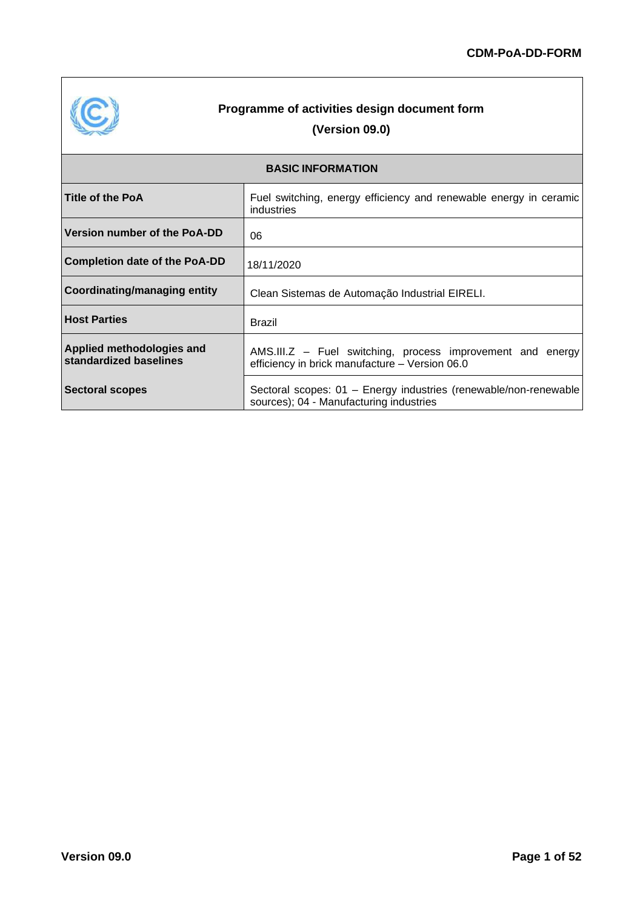

# **Programme of activities design document form (Version 09.0)**

| <b>BASIC INFORMATION</b>                            |                                                                                                              |  |  |
|-----------------------------------------------------|--------------------------------------------------------------------------------------------------------------|--|--|
| <b>Title of the PoA</b>                             | Fuel switching, energy efficiency and renewable energy in ceramic<br>industries                              |  |  |
| Version number of the PoA-DD                        | 06                                                                                                           |  |  |
| <b>Completion date of the PoA-DD</b>                | 18/11/2020                                                                                                   |  |  |
| <b>Coordinating/managing entity</b>                 | Clean Sistemas de Automação Industrial EIRELI.                                                               |  |  |
| <b>Host Parties</b>                                 | <b>Brazil</b>                                                                                                |  |  |
| Applied methodologies and<br>standardized baselines | AMS.III.Z - Fuel switching, process improvement and energy<br>efficiency in brick manufacture - Version 06.0 |  |  |
| <b>Sectoral scopes</b>                              | Sectoral scopes: 01 - Energy industries (renewable/non-renewable<br>sources); 04 - Manufacturing industries  |  |  |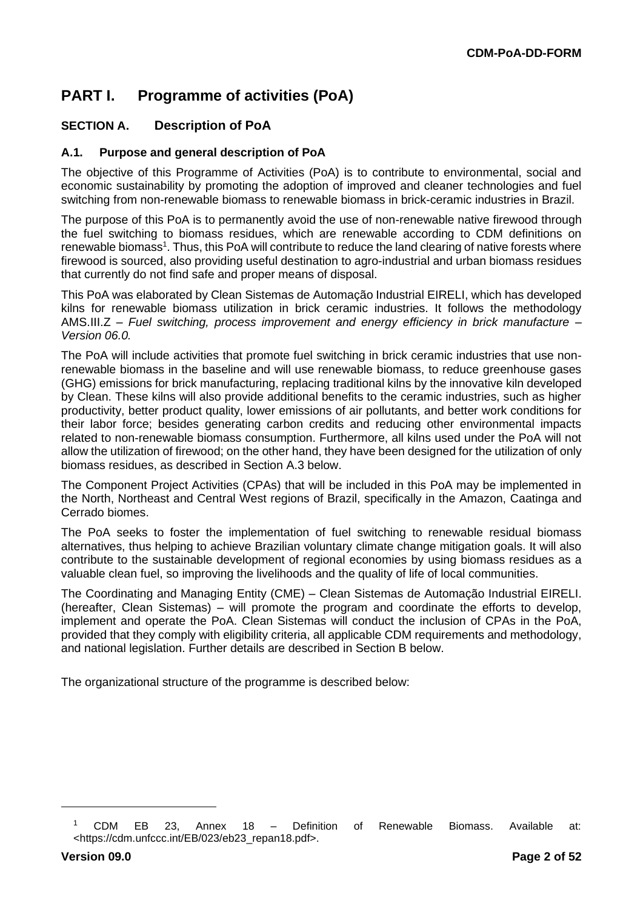# **PART I. Programme of activities (PoA)**

# **SECTION A. Description of PoA**

#### **A.1. Purpose and general description of PoA**

The objective of this Programme of Activities (PoA) is to contribute to environmental, social and economic sustainability by promoting the adoption of improved and cleaner technologies and fuel switching from non-renewable biomass to renewable biomass in brick-ceramic industries in Brazil.

The purpose of this PoA is to permanently avoid the use of non-renewable native firewood through the fuel switching to biomass residues, which are renewable according to CDM definitions on renewable biomass<sup>1</sup>. Thus, this PoA will contribute to reduce the land clearing of native forests where firewood is sourced, also providing useful destination to agro-industrial and urban biomass residues that currently do not find safe and proper means of disposal.

This PoA was elaborated by Clean Sistemas de Automação Industrial EIRELI, which has developed kilns for renewable biomass utilization in brick ceramic industries. It follows the methodology AMS.III.Z – *Fuel switching, process improvement and energy efficiency in brick manufacture – Version 06.0.*

The PoA will include activities that promote fuel switching in brick ceramic industries that use nonrenewable biomass in the baseline and will use renewable biomass, to reduce greenhouse gases (GHG) emissions for brick manufacturing, replacing traditional kilns by the innovative kiln developed by Clean. These kilns will also provide additional benefits to the ceramic industries, such as higher productivity, better product quality, lower emissions of air pollutants, and better work conditions for their labor force; besides generating carbon credits and reducing other environmental impacts related to non-renewable biomass consumption. Furthermore, all kilns used under the PoA will not allow the utilization of firewood; on the other hand, they have been designed for the utilization of only biomass residues, as described in Section A.3 below.

The Component Project Activities (CPAs) that will be included in this PoA may be implemented in the North, Northeast and Central West regions of Brazil, specifically in the Amazon, Caatinga and Cerrado biomes.

The PoA seeks to foster the implementation of fuel switching to renewable residual biomass alternatives, thus helping to achieve Brazilian voluntary climate change mitigation goals. It will also contribute to the sustainable development of regional economies by using biomass residues as a valuable clean fuel, so improving the livelihoods and the quality of life of local communities.

The Coordinating and Managing Entity (CME) – Clean Sistemas de Automação Industrial EIRELI. (hereafter, Clean Sistemas) – will promote the program and coordinate the efforts to develop, implement and operate the PoA. Clean Sistemas will conduct the inclusion of CPAs in the PoA, provided that they comply with eligibility criteria, all applicable CDM requirements and methodology, and national legislation. Further details are described in Section B below.

The organizational structure of the programme is described below:

<sup>&</sup>lt;sup>1</sup> CDM EB 23, Annex 18 – Definition of Renewable Biomass. Available at: <https://cdm.unfccc.int/EB/023/eb23\_repan18.pdf>.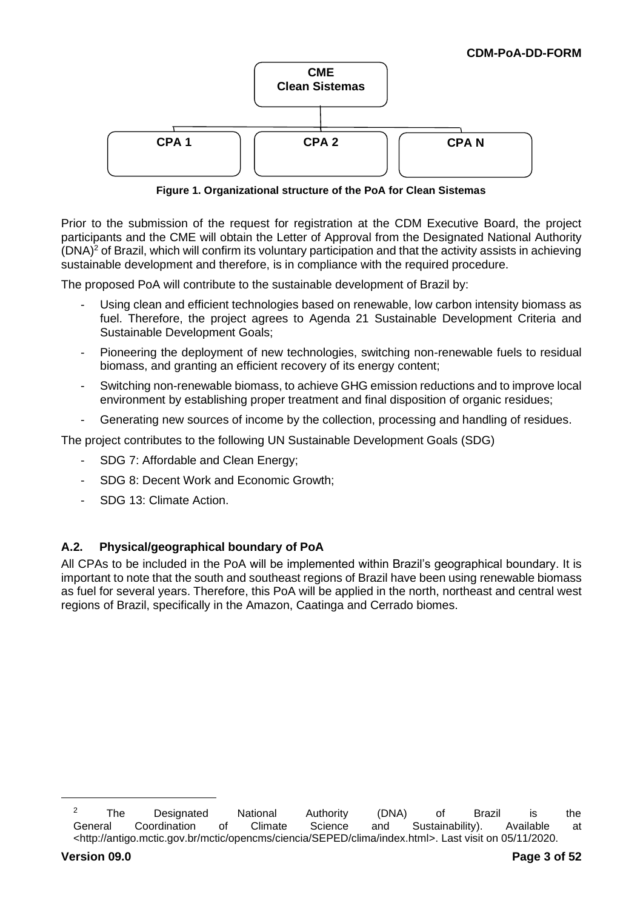

**Figure 1. Organizational structure of the PoA for Clean Sistemas**

Prior to the submission of the request for registration at the CDM Executive Board, the project participants and the CME will obtain the Letter of Approval from the Designated National Authority  $(DNA)^2$  of Brazil, which will confirm its voluntary participation and that the activity assists in achieving sustainable development and therefore, is in compliance with the required procedure.

The proposed PoA will contribute to the sustainable development of Brazil by:

- Using clean and efficient technologies based on renewable, low carbon intensity biomass as fuel. Therefore, the project agrees to Agenda 21 Sustainable Development Criteria and Sustainable Development Goals;
- Pioneering the deployment of new technologies, switching non-renewable fuels to residual biomass, and granting an efficient recovery of its energy content;
- Switching non-renewable biomass, to achieve GHG emission reductions and to improve local environment by establishing proper treatment and final disposition of organic residues;
- Generating new sources of income by the collection, processing and handling of residues.

The project contributes to the following UN Sustainable Development Goals (SDG)

- SDG 7: Affordable and Clean Energy;
- SDG 8: Decent Work and Economic Growth;
- SDG 13: Climate Action.

# **A.2. Physical/geographical boundary of PoA**

All CPAs to be included in the PoA will be implemented within Brazil's geographical boundary. It is important to note that the south and southeast regions of Brazil have been using renewable biomass as fuel for several years. Therefore, this PoA will be applied in the north, northeast and central west regions of Brazil, specifically in the Amazon, Caatinga and Cerrado biomes.

<sup>&</sup>lt;sup>2</sup> The Designated National Authority (DNA) of Brazil is the General Coordination of Climate Science and Sustainability). Available at <http://antigo.mctic.gov.br/mctic/opencms/ciencia/SEPED/clima/index.html>. Last visit on 05/11/2020.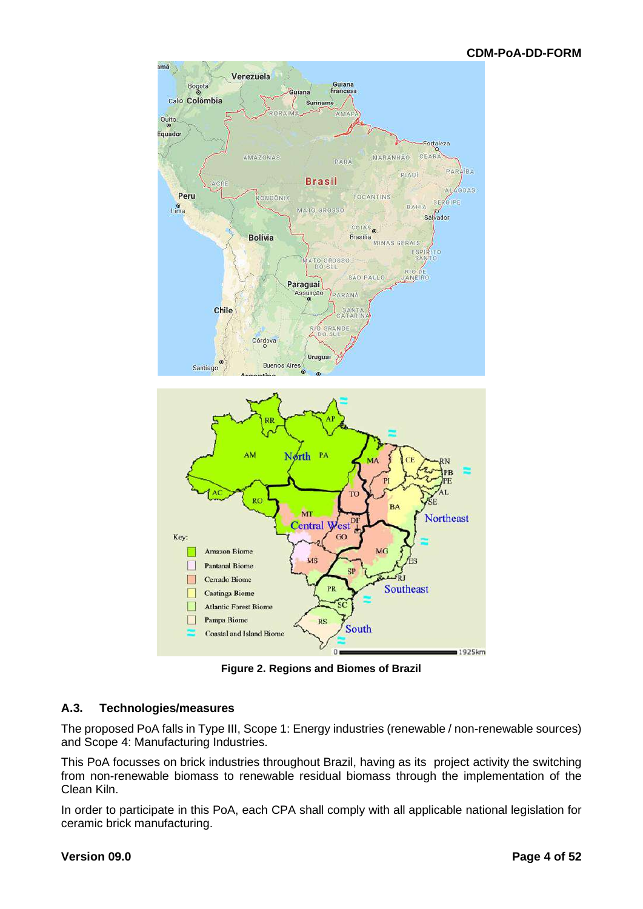

**Figure 2. Regions and Biomes of Brazil**

#### **A.3. Technologies/measures**

The proposed PoA falls in Type III, Scope 1: Energy industries (renewable / non-renewable sources) and Scope 4: Manufacturing Industries.

This PoA focusses on brick industries throughout Brazil, having as its project activity the switching from non-renewable biomass to renewable residual biomass through the implementation of the Clean Kiln.

In order to participate in this PoA, each CPA shall comply with all applicable national legislation for ceramic brick manufacturing.

#### **Version 09.0 Page 4 of 52**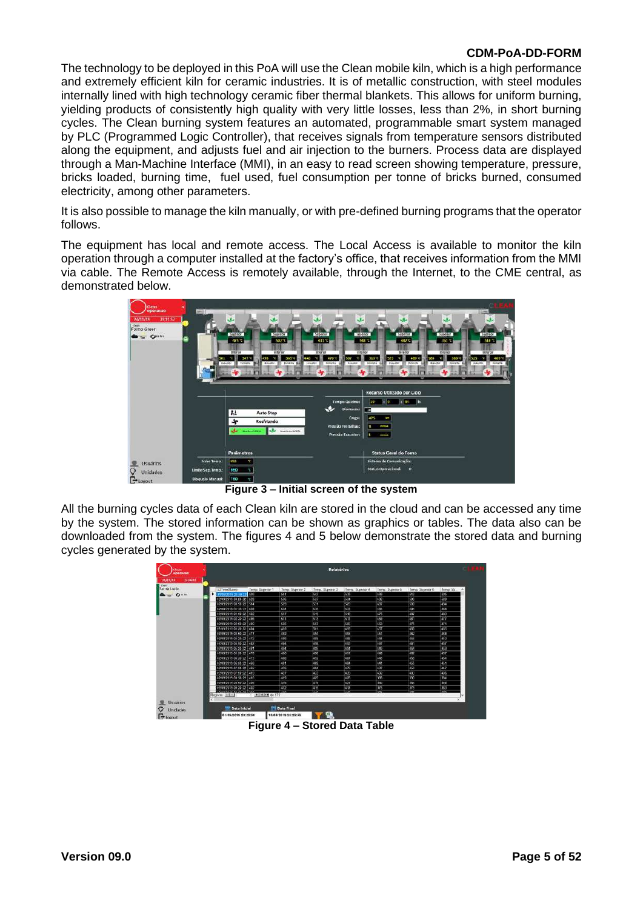The technology to be deployed in this PoA will use the Clean mobile kiln, which is a high performance and extremely efficient kiln for ceramic industries. It is of metallic construction, with steel modules internally lined with high technology ceramic fiber thermal blankets. This allows for uniform burning, yielding products of consistently high quality with very little losses, less than 2%, in short burning cycles. The Clean burning system features an automated, programmable smart system managed by PLC (Programmed Logic Controller), that receives signals from temperature sensors distributed along the equipment, and adjusts fuel and air injection to the burners. Process data are displayed through a Man-Machine Interface (MMI), in an easy to read screen showing temperature, pressure, bricks loaded, burning time, fuel used, fuel consumption per tonne of bricks burned, consumed electricity, among other parameters.

It is also possible to manage the kiln manually, or with pre-defined burning programs that the operator follows.

The equipment has local and remote access. The Local Access is available to monitor the kiln operation through a computer installed at the factory's office, that receives information from the MMI via cable. The Remote Access is remotely available, through the Internet, to the CME central, as demonstrated below.



**Figure 3 – Initial screen of the system**

All the burning cycles data of each Clean kiln are stored in the cloud and can be accessed any time by the system. The stored information can be shown as graphics or tables. The data also can be downloaded from the system. The figures 4 and 5 below demonstrate the stored data and burning cycles generated by the system.

| Santa Luzia    |    | ETTmwStamp                                                      | Temp: Boperior 1 | Terror: Superior 2 | Temp. Superior 3 | Terric Superior 4 | Temp: Superior 5 | Terrar: Superior 6 | Temp. So. |  |
|----------------|----|-----------------------------------------------------------------|------------------|--------------------|------------------|-------------------|------------------|--------------------|-----------|--|
| <b>Bangrad</b> | ٠  | 01/09/2019 23:10:2                                              | 526              | 541                | 543              | 539               | 495              | 512                | 535       |  |
|                |    | 02/09/2019 00:26:22 520                                         |                  | 636                | 537              | 634               | 492              | 606                | 500       |  |
|                |    | 02/09/2019 00:56:22 514                                         |                  | 529                | 531              | 529               | 487              | 500                | 154       |  |
|                |    | 02/09/2019 01:26:22 638                                         |                  | 624                | 426              | 323               | 431              | 495                | 3,825     |  |
|                |    | 02/03/2019 01:50:22 502                                         |                  | 517                | 519              | 518               | 475              | 497                | 488       |  |
|                |    | 02/09/2019 02:20:22 14:05                                       |                  | 511                | 513              | 1611              | 169              | 481                | 1477      |  |
|                |    | 02/09/2019 02:56:22 490                                         |                  | 505                | 507              | 545               | 463              | 475                | 1477      |  |
|                |    | 62/09/2015 00:24:22 4M                                          |                  | 493                | 501              | 210               | 157              | 403                | 455       |  |
|                |    | 02/09/2019 03:50:22 1477                                        |                  | 492                | 195              | 453               | 451              | 462                | 458       |  |
|                |    | 02/03/2019 08:26:22 472                                         |                  | 485                | 488              | 488               | 444              | 497                | 453       |  |
|                |    | 02/09/2019 Du 56 22 482                                         |                  | 191                | 438              | 233               | 147              | 461                | 457       |  |
|                |    | 02/03/2019 05:20:22 491                                         |                  | 494                | 499              | 494               | 442              | 464                | 459       |  |
|                |    | 02/09/2019 05:56:22 1478                                        |                  | 493                | 493              | 491               | 445              | 162                | $-157$    |  |
|                |    | aproxima 06:26:22 473                                           |                  | 486                | 492              | 407               | 445              | 458                | 454       |  |
|                |    | 02109/2019 06:56:22 466                                         |                  | 481                | 489              | 33                | 441              | 455                | 457       |  |
|                |    | 02/09/2019 07:26:22 4.62                                        |                  | 176                | 485              | 779               | 137              | 450                | 4.17      |  |
|                |    | 02/09/2019 07:50:22 419                                         |                  | 427                | 433              | 439               | 400              | 403                | 456       |  |
|                |    | 02/03/2019 08:26:22 410                                         |                  | <b>TEST</b>        | 425              | 488               | 336              | 390                | 354       |  |
|                |    | 02/09/2019 08:50:22 436                                         |                  | 416                | 419              | 421               | 390              | 384                | 350       |  |
|                |    | 02/03/2019 09:26:22 4:02                                        |                  | т                  | <b>TIS</b>       | 417               | 375              | 379                | 383       |  |
|                |    | <b><i><u>ANIMALAMENT CARACTERS</u></i></b><br>Registro IIII 111 | attached de 576  |                    | <b>STER</b>      |                   | $-1$             | $-$                | $-$       |  |
|                | œ. |                                                                 |                  |                    |                  |                   |                  |                    |           |  |

**Figure 4 – Stored Data Table**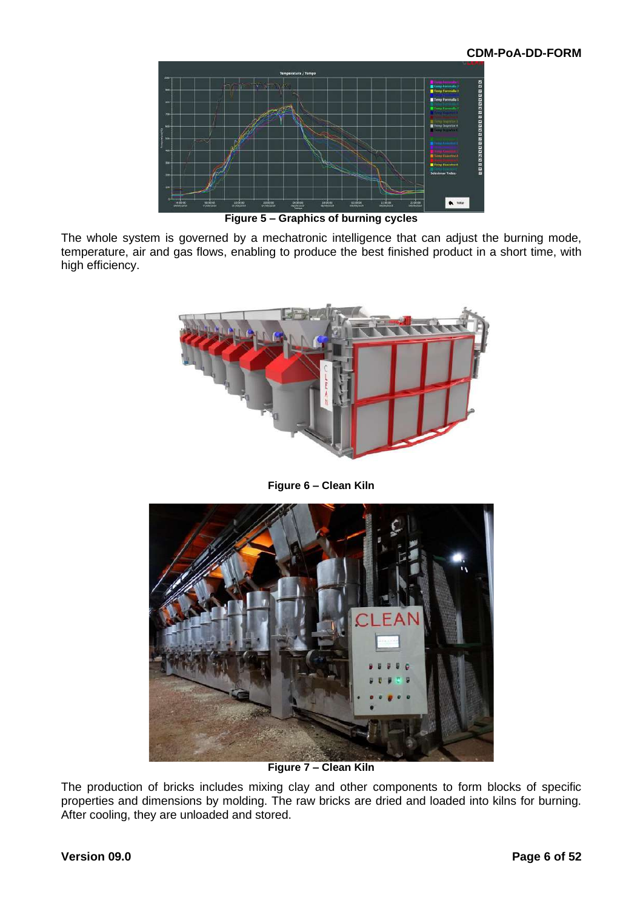

**Figure 5 – Graphics of burning cycles**

The whole system is governed by a mechatronic intelligence that can adjust the burning mode, temperature, air and gas flows, enabling to produce the best finished product in a short time, with high efficiency.



**Figure 6 – Clean Kiln**



**Figure 7 – Clean Kiln**

The production of bricks includes mixing clay and other components to form blocks of specific properties and dimensions by molding. The raw bricks are dried and loaded into kilns for burning. After cooling, they are unloaded and stored.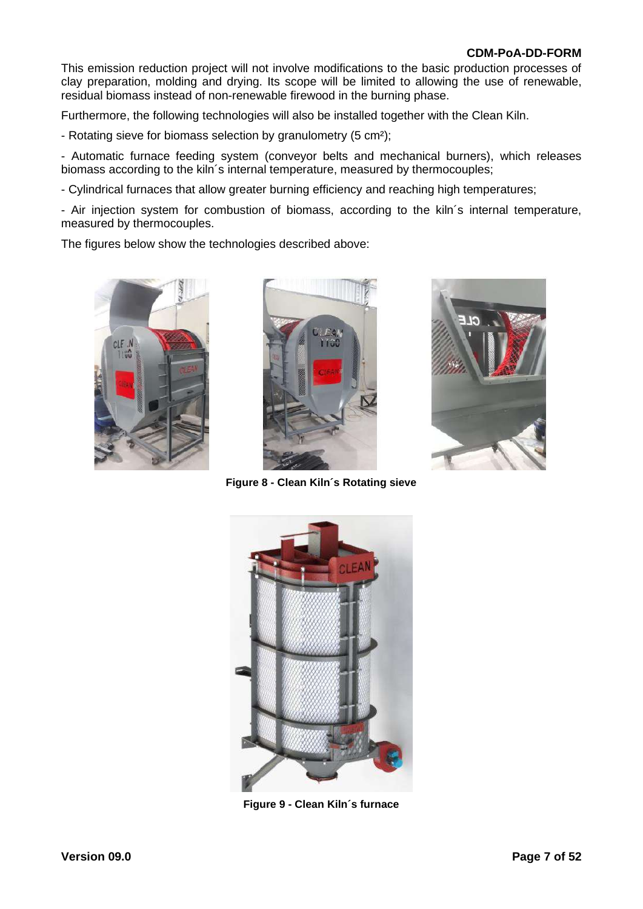This emission reduction project will not involve modifications to the basic production processes of clay preparation, molding and drying. Its scope will be limited to allowing the use of renewable, residual biomass instead of non-renewable firewood in the burning phase.

Furthermore, the following technologies will also be installed together with the Clean Kiln.

- Rotating sieve for biomass selection by granulometry (5 cm<sup>2</sup>);

- Automatic furnace feeding system (conveyor belts and mechanical burners), which releases biomass according to the kiln´s internal temperature, measured by thermocouples;

- Cylindrical furnaces that allow greater burning efficiency and reaching high temperatures;

- Air injection system for combustion of biomass, according to the kiln´s internal temperature, measured by thermocouples.

The figures below show the technologies described above:







**Figure 8 - Clean Kiln´s Rotating sieve**



**Figure 9 - Clean Kiln´s furnace**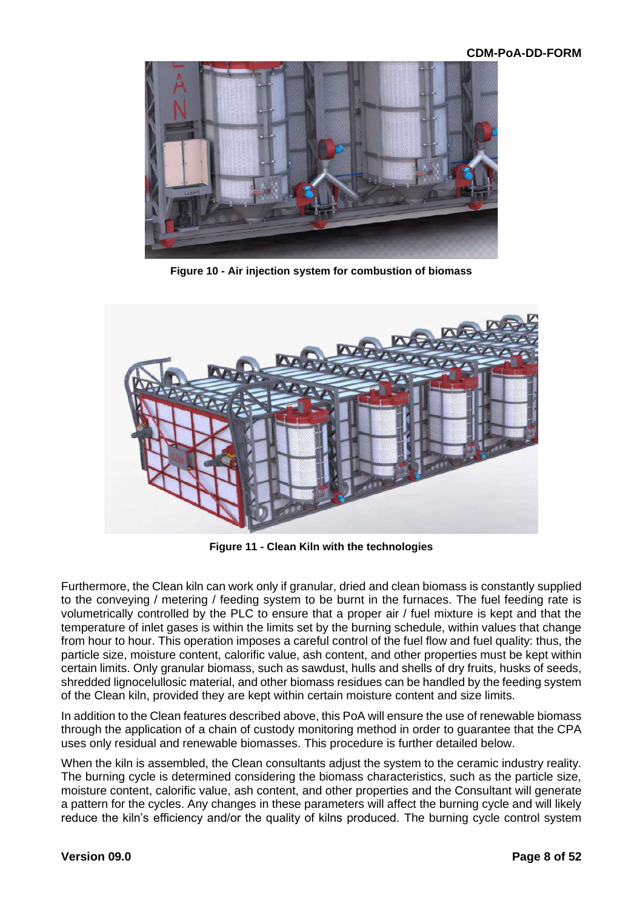

**Figure 10 - Air injection system for combustion of biomass**



**Figure 11 - Clean Kiln with the technologies**

Furthermore, the Clean kiln can work only if granular, dried and clean biomass is constantly supplied to the conveying / metering / feeding system to be burnt in the furnaces. The fuel feeding rate is volumetrically controlled by the PLC to ensure that a proper air / fuel mixture is kept and that the temperature of inlet gases is within the limits set by the burning schedule, within values that change from hour to hour. This operation imposes a careful control of the fuel flow and fuel quality: thus, the particle size, moisture content, calorific value, ash content, and other properties must be kept within certain limits. Only granular biomass, such as sawdust, hulls and shells of dry fruits, husks of seeds, shredded lignocelullosic material, and other biomass residues can be handled by the feeding system of the Clean kiln, provided they are kept within certain moisture content and size limits.

In addition to the Clean features described above, this PoA will ensure the use of renewable biomass through the application of a chain of custody monitoring method in order to guarantee that the CPA uses only residual and renewable biomasses. This procedure is further detailed below.

When the kiln is assembled, the Clean consultants adjust the system to the ceramic industry reality. The burning cycle is determined considering the biomass characteristics, such as the particle size, moisture content, calorific value, ash content, and other properties and the Consultant will generate a pattern for the cycles. Any changes in these parameters will affect the burning cycle and will likely reduce the kiln's efficiency and/or the quality of kilns produced. The burning cycle control system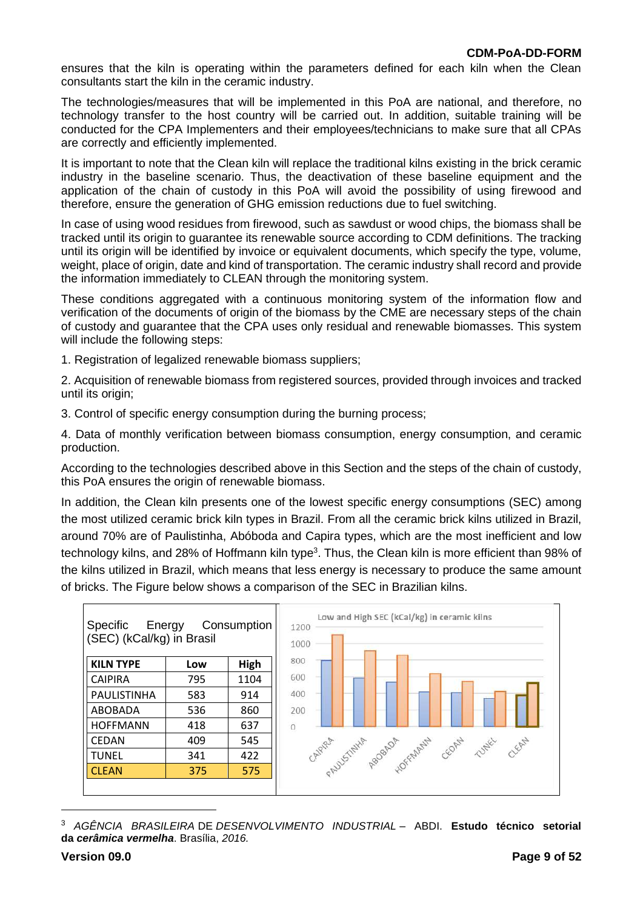ensures that the kiln is operating within the parameters defined for each kiln when the Clean consultants start the kiln in the ceramic industry.

The technologies/measures that will be implemented in this PoA are national, and therefore, no technology transfer to the host country will be carried out. In addition, suitable training will be conducted for the CPA Implementers and their employees/technicians to make sure that all CPAs are correctly and efficiently implemented.

It is important to note that the Clean kiln will replace the traditional kilns existing in the brick ceramic industry in the baseline scenario. Thus, the deactivation of these baseline equipment and the application of the chain of custody in this PoA will avoid the possibility of using firewood and therefore, ensure the generation of GHG emission reductions due to fuel switching.

In case of using wood residues from firewood, such as sawdust or wood chips, the biomass shall be tracked until its origin to guarantee its renewable source according to CDM definitions. The tracking until its origin will be identified by invoice or equivalent documents, which specify the type, volume, weight, place of origin, date and kind of transportation. The ceramic industry shall record and provide the information immediately to CLEAN through the monitoring system.

These conditions aggregated with a continuous monitoring system of the information flow and verification of the documents of origin of the biomass by the CME are necessary steps of the chain of custody and guarantee that the CPA uses only residual and renewable biomasses. This system will include the following steps:

1. Registration of legalized renewable biomass suppliers;

2. Acquisition of renewable biomass from registered sources, provided through invoices and tracked until its origin;

3. Control of specific energy consumption during the burning process;

4. Data of monthly verification between biomass consumption, energy consumption, and ceramic production.

According to the technologies described above in this Section and the steps of the chain of custody, this PoA ensures the origin of renewable biomass.

In addition, the Clean kiln presents one of the lowest specific energy consumptions (SEC) among the most utilized ceramic brick kiln types in Brazil. From all the ceramic brick kilns utilized in Brazil, around 70% are of Paulistinha, Abóboda and Capira types, which are the most inefficient and low technology kilns, and 28% of Hoffmann kiln type<sup>3</sup>. Thus, the Clean kiln is more efficient than 98% of the kilns utilized in Brazil, which means that less energy is necessary to produce the same amount of bricks. The Figure below shows a comparison of the SEC in Brazilian kilns.



<sup>3</sup> *AGÊNCIA BRASILEIRA* DE *DESENVOLVIMENTO INDUSTRIAL* – ABDI. **Estudo técnico setorial da** *cerâmica vermelha*. Brasília, *2016.*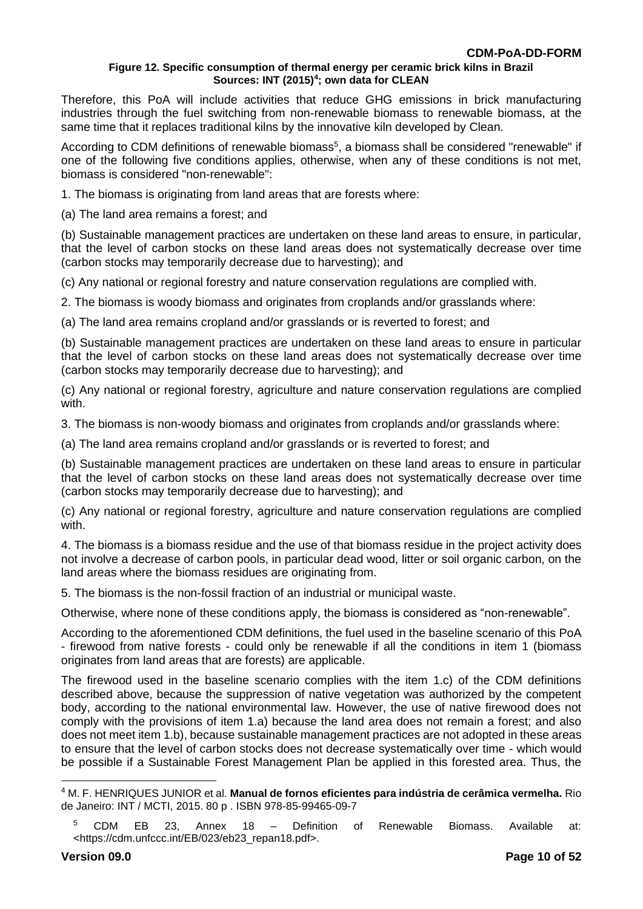#### **Figure 12. Specific consumption of thermal energy per ceramic brick kilns in Brazil Sources: INT (2015)<sup>4</sup> ; own data for CLEAN**

Therefore, this PoA will include activities that reduce GHG emissions in brick manufacturing industries through the fuel switching from non-renewable biomass to renewable biomass, at the same time that it replaces traditional kilns by the innovative kiln developed by Clean.

According to CDM definitions of renewable biomass<sup>5</sup>, a biomass shall be considered "renewable" if one of the following five conditions applies, otherwise, when any of these conditions is not met, biomass is considered "non-renewable":

1. The biomass is originating from land areas that are forests where:

(a) The land area remains a forest; and

(b) Sustainable management practices are undertaken on these land areas to ensure, in particular, that the level of carbon stocks on these land areas does not systematically decrease over time (carbon stocks may temporarily decrease due to harvesting); and

(c) Any national or regional forestry and nature conservation regulations are complied with.

2. The biomass is woody biomass and originates from croplands and/or grasslands where:

(a) The land area remains cropland and/or grasslands or is reverted to forest; and

(b) Sustainable management practices are undertaken on these land areas to ensure in particular that the level of carbon stocks on these land areas does not systematically decrease over time (carbon stocks may temporarily decrease due to harvesting); and

(c) Any national or regional forestry, agriculture and nature conservation regulations are complied with.

3. The biomass is non-woody biomass and originates from croplands and/or grasslands where:

(a) The land area remains cropland and/or grasslands or is reverted to forest; and

(b) Sustainable management practices are undertaken on these land areas to ensure in particular that the level of carbon stocks on these land areas does not systematically decrease over time (carbon stocks may temporarily decrease due to harvesting); and

(c) Any national or regional forestry, agriculture and nature conservation regulations are complied with.

4. The biomass is a biomass residue and the use of that biomass residue in the project activity does not involve a decrease of carbon pools, in particular dead wood, litter or soil organic carbon, on the land areas where the biomass residues are originating from.

5. The biomass is the non-fossil fraction of an industrial or municipal waste.

Otherwise, where none of these conditions apply, the biomass is considered as "non-renewable".

According to the aforementioned CDM definitions, the fuel used in the baseline scenario of this PoA - firewood from native forests - could only be renewable if all the conditions in item 1 (biomass originates from land areas that are forests) are applicable.

The firewood used in the baseline scenario complies with the item 1.c) of the CDM definitions described above, because the suppression of native vegetation was authorized by the competent body, according to the national environmental law. However, the use of native firewood does not comply with the provisions of item 1.a) because the land area does not remain a forest; and also does not meet item 1.b), because sustainable management practices are not adopted in these areas to ensure that the level of carbon stocks does not decrease systematically over time - which would be possible if a Sustainable Forest Management Plan be applied in this forested area. Thus, the

<sup>4</sup> M. F. HENRIQUES JUNIOR et al. **Manual de fornos eficientes para indústria de cerâmica vermelha.** Rio de Janeiro: INT / MCTI, 2015. 80 p . ISBN 978-85-99465-09-7

<sup>&</sup>lt;sup>5</sup> CDM EB 23, Annex 18 – Definition of Renewable Biomass. Available at: <https://cdm.unfccc.int/EB/023/eb23\_repan18.pdf>.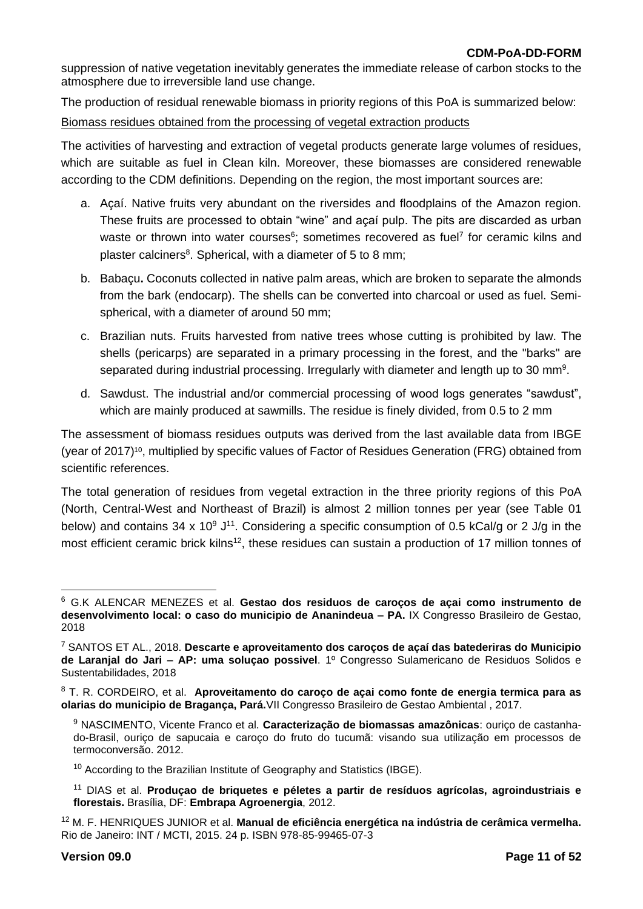suppression of native vegetation inevitably generates the immediate release of carbon stocks to the atmosphere due to irreversible land use change.

The production of residual renewable biomass in priority regions of this PoA is summarized below:

#### Biomass residues obtained from the processing of vegetal extraction products

The activities of harvesting and extraction of vegetal products generate large volumes of residues, which are suitable as fuel in Clean kiln. Moreover, these biomasses are considered renewable according to the CDM definitions. Depending on the region, the most important sources are:

- a. Açaí. Native fruits very abundant on the riversides and floodplains of the Amazon region. These fruits are processed to obtain "wine" and açaí pulp. The pits are discarded as urban waste or thrown into water courses $6$ ; sometimes recovered as fuel<sup>7</sup> for ceramic kilns and plaster calciners<sup>8</sup>. Spherical, with a diameter of 5 to 8 mm;
- b. Babaçu**.** Coconuts collected in native palm areas, which are broken to separate the almonds from the bark (endocarp). The shells can be converted into charcoal or used as fuel. Semispherical, with a diameter of around 50 mm;
- c. Brazilian nuts. Fruits harvested from native trees whose cutting is prohibited by law. The shells (pericarps) are separated in a primary processing in the forest, and the "barks" are separated during industrial processing. Irregularly with diameter and length up to 30 mm<sup>9</sup>.
- d. Sawdust. The industrial and/or commercial processing of wood logs generates "sawdust", which are mainly produced at sawmills. The residue is finely divided, from 0.5 to 2 mm

The assessment of biomass residues outputs was derived from the last available data from IBGE (year of 2017)<sup>10</sup>, multiplied by specific values of Factor of Residues Generation (FRG) obtained from scientific references.

The total generation of residues from vegetal extraction in the three priority regions of this PoA (North, Central-West and Northeast of Brazil) is almost 2 million tonnes per year (see Table 01 below) and contains 34 x 10<sup>9</sup> J<sup>11</sup>. Considering a specific consumption of 0.5 kCal/g or 2 J/g in the most efficient ceramic brick kilns<sup>12</sup>, these residues can sustain a production of 17 million tonnes of

<sup>6</sup> G.K ALENCAR MENEZES et al. **Gestao dos residuos de caroços de açai como instrumento de desenvolvimento local: o caso do municipio de Ananindeua – PA.** IX Congresso Brasileiro de Gestao, 2018

<sup>7</sup> SANTOS ET AL., 2018. **Descarte e aproveitamento dos caroços de açaí das batederiras do Municipio de Laranjal do Jari – AP: uma soluçao possivel**. 1º Congresso Sulamericano de Residuos Solidos e Sustentabilidades, 2018

<sup>8</sup> T. R. CORDEIRO, et al. **Aproveitamento do caroço de açai como fonte de energia termica para as olarias do municipio de Bragança, Pará.**VII Congresso Brasileiro de Gestao Ambiental , 2017.

<sup>9</sup> NASCIMENTO, Vicente Franco et al. **Caracterização de biomassas amazônicas**: ouriço de castanhado-Brasil, ouriço de sapucaia e caroço do fruto do tucumã: visando sua utilização em processos de termoconversão. 2012.

 $10$  According to the Brazilian Institute of Geography and Statistics (IBGE).

<sup>11</sup> DIAS et al. **Produçao de briquetes e péletes a partir de resíduos agrícolas, agroindustriais e florestais.** Brasília, DF: **Embrapa Agroenergia**, 2012.

<sup>12</sup> M. F. HENRIQUES JUNIOR et al. **Manual de eficiência energética na indústria de cerâmica vermelha.**  Rio de Janeiro: INT / MCTI, 2015. 24 p. ISBN 978-85-99465-07-3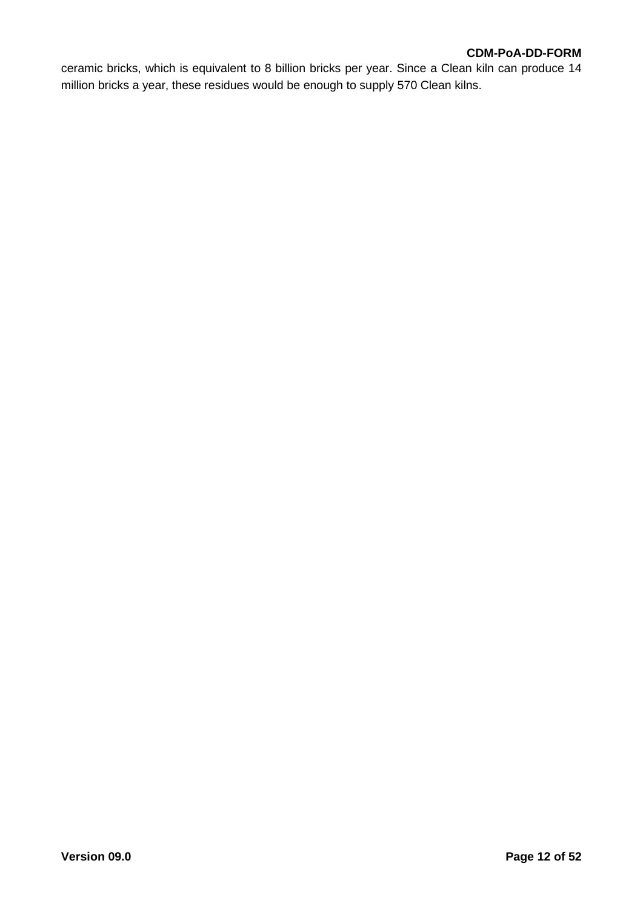ceramic bricks, which is equivalent to 8 billion bricks per year. Since a Clean kiln can produce 14 million bricks a year, these residues would be enough to supply 570 Clean kilns.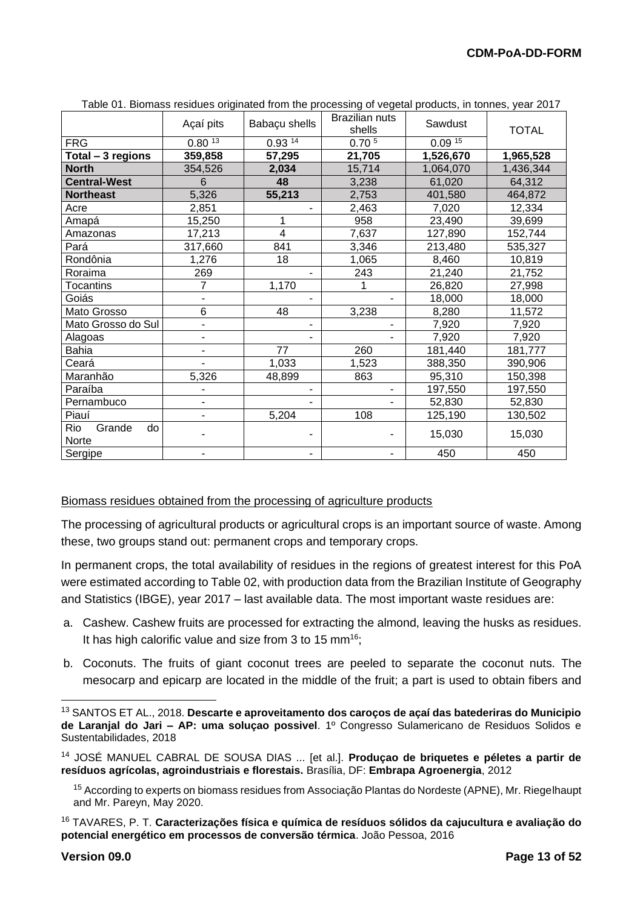|                              | Açaí pits      | Babaçu shells | <b>Brazilian nuts</b><br>shells | Sawdust   | <b>TOTAL</b> |
|------------------------------|----------------|---------------|---------------------------------|-----------|--------------|
| <b>FRG</b>                   | 0.8013         | 0.93 14       | 0.70 <sup>5</sup>               | 0.0915    |              |
| Total - 3 regions            | 359,858        | 57,295        | 21,705                          | 1,526,670 | 1,965,528    |
| <b>North</b>                 | 354,526        | 2,034         | 15,714                          | 1,064,070 | 1,436,344    |
| <b>Central-West</b>          | 6              | 48            | 3,238                           | 61,020    | 64,312       |
| <b>Northeast</b>             | 5,326          | 55,213        | 2,753                           | 401,580   | 464,872      |
| Acre                         | 2,851          |               | 2,463                           | 7,020     | 12,334       |
| Amapá                        | 15,250         | 1             | 958                             | 23,490    | 39,699       |
| Amazonas                     | 17,213         | 4             | 7,637                           | 127,890   | 152,744      |
| Pará                         | 317,660        | 841           | 3,346                           | 213,480   | 535,327      |
| Rondônia                     | 1,276          | 18            | 1,065                           | 8,460     | 10,819       |
| Roraima                      | 269            |               | 243                             | 21,240    | 21,752       |
| <b>Tocantins</b>             | $\overline{7}$ | 1,170         |                                 | 26,820    | 27,998       |
| Goiás                        |                |               |                                 | 18,000    | 18,000       |
| Mato Grosso                  | 6              | 48            | 3,238                           | 8,280     | 11,572       |
| Mato Grosso do Sul           |                |               |                                 | 7,920     | 7,920        |
| Alagoas                      |                |               |                                 | 7,920     | 7,920        |
| <b>Bahia</b>                 | Ξ.             | 77            | 260                             | 181,440   | 181,777      |
| Ceará                        |                | 1,033         | 1,523                           | 388,350   | 390,906      |
| Maranhão                     | 5,326          | 48,899        | 863                             | 95,310    | 150,398      |
| Paraíba                      |                |               |                                 | 197,550   | 197,550      |
| Pernambuco                   | ÷.             |               | ٠                               | 52,830    | 52,830       |
| Piauí                        |                | 5,204         | 108                             | 125,190   | 130,502      |
| Rio<br>Grande<br>do<br>Norte |                |               |                                 | 15,030    | 15,030       |
| Sergipe                      |                |               |                                 | 450       | 450          |

Table 01. Biomass residues originated from the processing of vegetal products, in tonnes, year 2017

#### Biomass residues obtained from the processing of agriculture products

The processing of agricultural products or agricultural crops is an important source of waste. Among these, two groups stand out: permanent crops and temporary crops.

In permanent crops, the total availability of residues in the regions of greatest interest for this PoA were estimated according to Table 02, with production data from the Brazilian Institute of Geography and Statistics (IBGE), year 2017 – last available data. The most important waste residues are:

- a. Cashew. Cashew fruits are processed for extracting the almond, leaving the husks as residues. It has high calorific value and size from 3 to 15 mm<sup>16</sup>;
- b. Coconuts. The fruits of giant coconut trees are peeled to separate the coconut nuts. The mesocarp and epicarp are located in the middle of the fruit; a part is used to obtain fibers and

<sup>13</sup> SANTOS ET AL., 2018. **Descarte e aproveitamento dos caroços de açaí das batederiras do Municipio de Laranjal do Jari – AP: uma soluçao possivel**. 1º Congresso Sulamericano de Residuos Solidos e Sustentabilidades, 2018

<sup>14</sup> JOSÉ MANUEL CABRAL DE SOUSA DIAS ... [et al.]. **Produçao de briquetes e péletes a partir de resíduos agrícolas, agroindustriais e florestais.** Brasília, DF: **Embrapa Agroenergia**, 2012

<sup>15</sup> According to experts on biomass residues from Associação Plantas do Nordeste (APNE), Mr. Riegelhaupt and Mr. Pareyn, May 2020.

<sup>16</sup> TAVARES, P. T. **Caracterizações física e química de resíduos sólidos da cajucultura e avaliação do potencial energético em processos de conversão térmica**. João Pessoa, 2016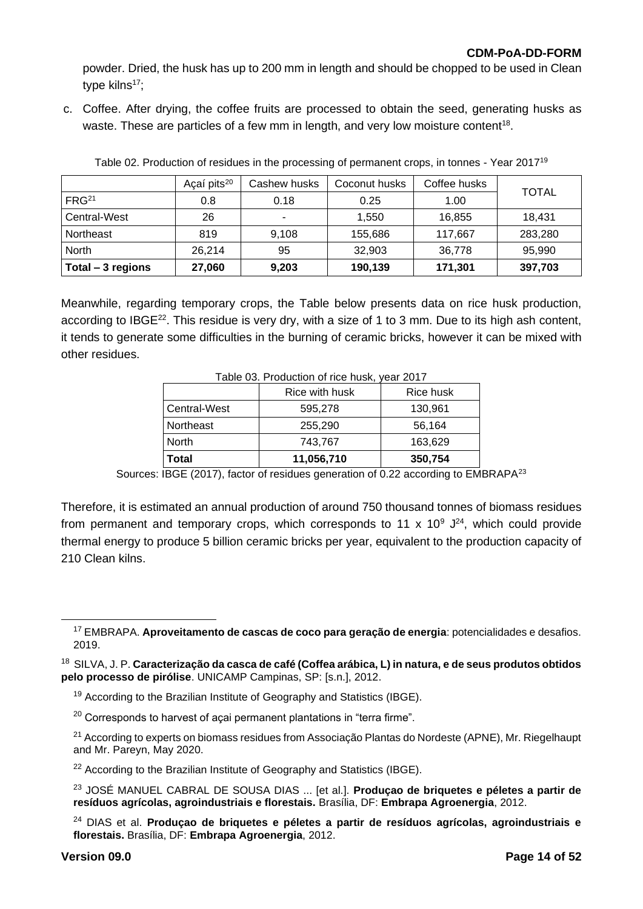powder. Dried, the husk has up to 200 mm in length and should be chopped to be used in Clean type kilns $17$ ;

c. Coffee. After drying, the coffee fruits are processed to obtain the seed, generating husks as waste. These are particles of a few mm in length, and very low moisture content<sup>18</sup>.

|                   | Açaí pits <sup>20</sup> | Cashew husks | Coconut husks | Coffee husks | <b>TOTAL</b> |  |
|-------------------|-------------------------|--------------|---------------|--------------|--------------|--|
| FRG <sup>21</sup> | 0.8                     | 0.18         | 0.25          | 1.00         |              |  |
| Central-West      | 26                      | ۰            | 1.550         | 16.855       | 18,431       |  |
| Northeast         | 819                     | 9,108        | 155,686       | 117,667      | 283,280      |  |
| North             | 26.214                  | 95           | 32,903        | 36,778       | 95,990       |  |
| Total - 3 regions | 27,060                  | 9,203        | 190,139       | 171,301      | 397,703      |  |

Table 02. Production of residues in the processing of permanent crops, in tonnes - Year 2017<sup>19</sup>

Meanwhile, regarding temporary crops, the Table below presents data on rice husk production, according to IBGE<sup>22</sup>. This residue is very dry, with a size of 1 to 3 mm. Due to its high ash content, it tends to generate some difficulties in the burning of ceramic bricks, however it can be mixed with other residues.

| Table 03. Production of rice husk, year 2017<br>Rice with husk |            | Rice husk |
|----------------------------------------------------------------|------------|-----------|
| Central-West                                                   | 595,278    | 130,961   |
| Northeast                                                      | 255,290    | 56,164    |
| North                                                          | 743,767    | 163,629   |
| Total                                                          | 11,056,710 | 350,754   |

Sources: IBGE (2017), factor of residues generation of 0.22 according to EMBRAPA<sup>23</sup>

Therefore, it is estimated an annual production of around 750 thousand tonnes of biomass residues from permanent and temporary crops, which corresponds to 11 x 10<sup>9</sup>  $J^{24}$ , which could provide thermal energy to produce 5 billion ceramic bricks per year, equivalent to the production capacity of 210 Clean kilns.

- <sup>19</sup> According to the Brazilian Institute of Geography and Statistics (IBGE).
- $20$  Corresponds to harvest of açai permanent plantations in "terra firme".
- <sup>21</sup> According to experts on biomass residues from Associação Plantas do Nordeste (APNE), Mr. Riegelhaupt and Mr. Pareyn, May 2020.
- $22$  According to the Brazilian Institute of Geography and Statistics (IBGE).
- <sup>23</sup> JOSÉ MANUEL CABRAL DE SOUSA DIAS ... [et al.]. **Produçao de briquetes e péletes a partir de resíduos agrícolas, agroindustriais e florestais.** Brasília, DF: **Embrapa Agroenergia**, 2012.
- <sup>24</sup> DIAS et al. **Produçao de briquetes e péletes a partir de resíduos agrícolas, agroindustriais e florestais.** Brasília, DF: **Embrapa Agroenergia**, 2012.

<sup>17</sup> EMBRAPA. **Aproveitamento de cascas de coco para geração de energia**: potencialidades e desafios. 2019.

<sup>18</sup> SILVA, J. P. **Caracterização da casca de café (Coffea arábica, L) in natura, e de seus produtos obtidos pelo processo de pirólise**. UNICAMP Campinas, SP: [s.n.], 2012.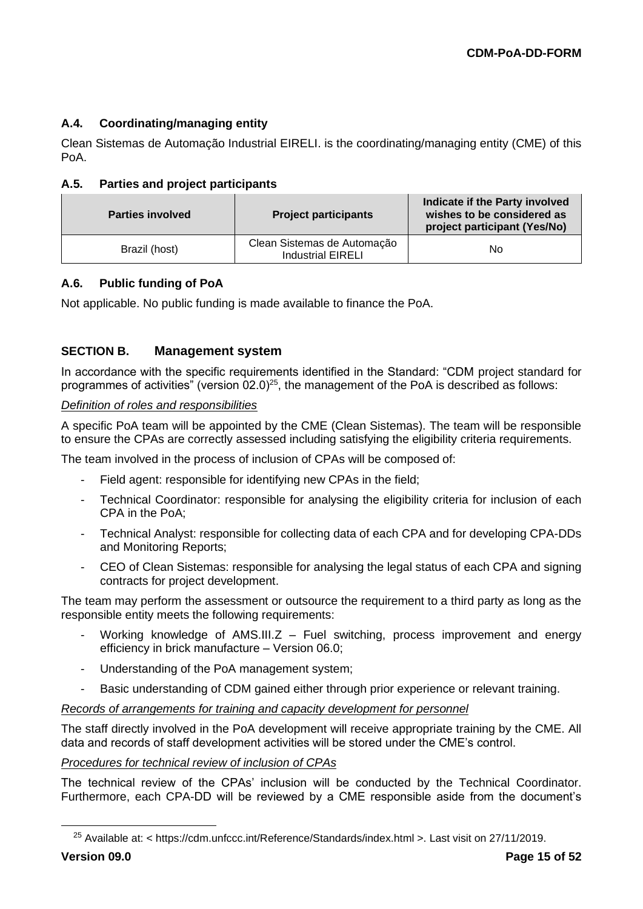# **A.4. Coordinating/managing entity**

Clean Sistemas de Automação Industrial EIRELI. is the coordinating/managing entity (CME) of this PoA.

### **A.5. Parties and project participants**

| <b>Parties involved</b> | <b>Project participants</b>                             | Indicate if the Party involved<br>wishes to be considered as<br>project participant (Yes/No) |
|-------------------------|---------------------------------------------------------|----------------------------------------------------------------------------------------------|
| Brazil (host)           | Clean Sistemas de Automação<br><b>Industrial EIRELI</b> | No                                                                                           |

### **A.6. Public funding of PoA**

Not applicable. No public funding is made available to finance the PoA.

# **SECTION B. Management system**

In accordance with the specific requirements identified in the Standard: "CDM project standard for programmes of activities" (version  $02.0$ )<sup>25</sup>, the management of the PoA is described as follows:

#### *Definition of roles and responsibilities*

A specific PoA team will be appointed by the CME (Clean Sistemas). The team will be responsible to ensure the CPAs are correctly assessed including satisfying the eligibility criteria requirements.

The team involved in the process of inclusion of CPAs will be composed of:

- Field agent: responsible for identifying new CPAs in the field;
- Technical Coordinator: responsible for analysing the eligibility criteria for inclusion of each CPA in the PoA;
- Technical Analyst: responsible for collecting data of each CPA and for developing CPA-DDs and Monitoring Reports;
- CEO of Clean Sistemas: responsible for analysing the legal status of each CPA and signing contracts for project development.

The team may perform the assessment or outsource the requirement to a third party as long as the responsible entity meets the following requirements:

- Working knowledge of AMS.III. $Z$  Fuel switching, process improvement and energy efficiency in brick manufacture – Version 06.0;
- Understanding of the PoA management system;
- Basic understanding of CDM gained either through prior experience or relevant training.

*Records of arrangements for training and capacity development for personnel*

The staff directly involved in the PoA development will receive appropriate training by the CME. All data and records of staff development activities will be stored under the CME's control.

#### *Procedures for technical review of inclusion of CPAs*

The technical review of the CPAs' inclusion will be conducted by the Technical Coordinator. Furthermore, each CPA-DD will be reviewed by a CME responsible aside from the document's

<sup>25</sup> Available at: < https://cdm.unfccc.int/Reference/Standards/index.html >. Last visit on 27/11/2019.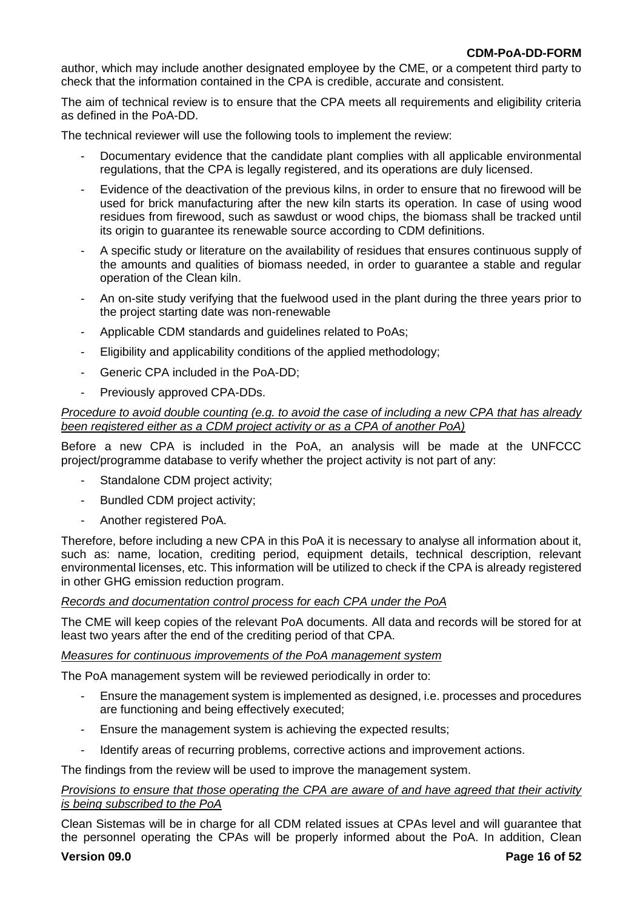author, which may include another designated employee by the CME, or a competent third party to check that the information contained in the CPA is credible, accurate and consistent.

The aim of technical review is to ensure that the CPA meets all requirements and eligibility criteria as defined in the PoA-DD.

The technical reviewer will use the following tools to implement the review:

- Documentary evidence that the candidate plant complies with all applicable environmental regulations, that the CPA is legally registered, and its operations are duly licensed.
- Evidence of the deactivation of the previous kilns, in order to ensure that no firewood will be used for brick manufacturing after the new kiln starts its operation. In case of using wood residues from firewood, such as sawdust or wood chips, the biomass shall be tracked until its origin to guarantee its renewable source according to CDM definitions.
- A specific study or literature on the availability of residues that ensures continuous supply of the amounts and qualities of biomass needed, in order to guarantee a stable and regular operation of the Clean kiln.
- An on-site study verifying that the fuelwood used in the plant during the three years prior to the project starting date was non-renewable
- Applicable CDM standards and guidelines related to PoAs;
- Eligibility and applicability conditions of the applied methodology;
- Generic CPA included in the PoA-DD;
- Previously approved CPA-DDs.

#### *Procedure to avoid double counting (e.g. to avoid the case of including a new CPA that has already been registered either as a CDM project activity or as a CPA of another PoA)*

Before a new CPA is included in the PoA, an analysis will be made at the UNFCCC project/programme database to verify whether the project activity is not part of any:

- Standalone CDM project activity;
- Bundled CDM project activity;
- Another registered PoA.

Therefore, before including a new CPA in this PoA it is necessary to analyse all information about it, such as: name, location, crediting period, equipment details, technical description, relevant environmental licenses, etc. This information will be utilized to check if the CPA is already registered in other GHG emission reduction program.

#### *Records and documentation control process for each CPA under the PoA*

The CME will keep copies of the relevant PoA documents. All data and records will be stored for at least two years after the end of the crediting period of that CPA.

#### *Measures for continuous improvements of the PoA management system*

The PoA management system will be reviewed periodically in order to:

- Ensure the management system is implemented as designed, i.e. processes and procedures are functioning and being effectively executed;
- Ensure the management system is achieving the expected results;
- Identify areas of recurring problems, corrective actions and improvement actions.

The findings from the review will be used to improve the management system.

#### *Provisions to ensure that those operating the CPA are aware of and have agreed that their activity is being subscribed to the PoA*

Clean Sistemas will be in charge for all CDM related issues at CPAs level and will guarantee that the personnel operating the CPAs will be properly informed about the PoA. In addition, Clean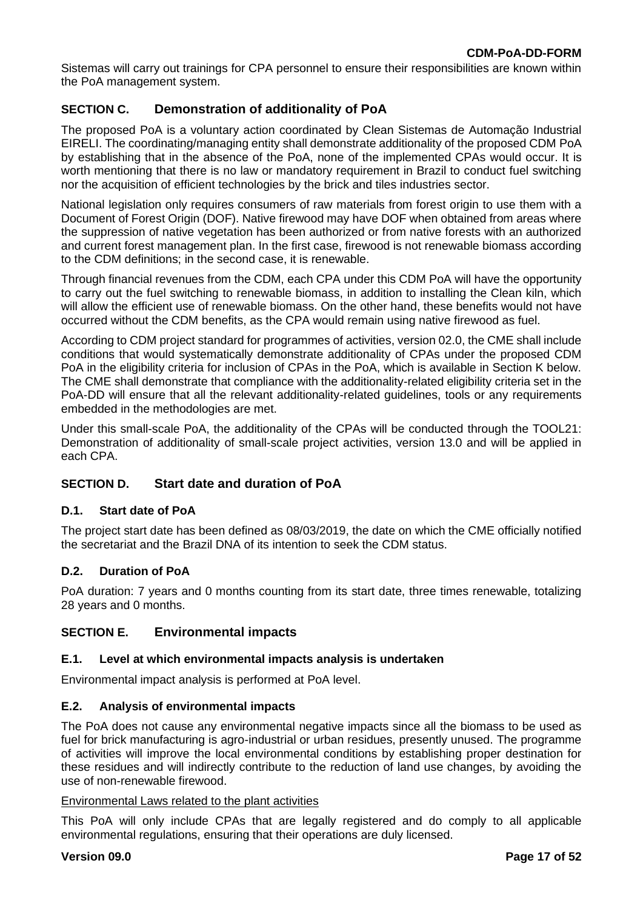Sistemas will carry out trainings for CPA personnel to ensure their responsibilities are known within the PoA management system.

# **SECTION C. Demonstration of additionality of PoA**

The proposed PoA is a voluntary action coordinated by Clean Sistemas de Automação Industrial EIRELI. The coordinating/managing entity shall demonstrate additionality of the proposed CDM PoA by establishing that in the absence of the PoA, none of the implemented CPAs would occur. It is worth mentioning that there is no law or mandatory requirement in Brazil to conduct fuel switching nor the acquisition of efficient technologies by the brick and tiles industries sector.

National legislation only requires consumers of raw materials from forest origin to use them with a Document of Forest Origin (DOF). Native firewood may have DOF when obtained from areas where the suppression of native vegetation has been authorized or from native forests with an authorized and current forest management plan. In the first case, firewood is not renewable biomass according to the CDM definitions; in the second case, it is renewable.

Through financial revenues from the CDM, each CPA under this CDM PoA will have the opportunity to carry out the fuel switching to renewable biomass, in addition to installing the Clean kiln, which will allow the efficient use of renewable biomass. On the other hand, these benefits would not have occurred without the CDM benefits, as the CPA would remain using native firewood as fuel.

According to CDM project standard for programmes of activities, version 02.0, the CME shall include conditions that would systematically demonstrate additionality of CPAs under the proposed CDM PoA in the eligibility criteria for inclusion of CPAs in the PoA, which is available in Section K below. The CME shall demonstrate that compliance with the additionality-related eligibility criteria set in the PoA-DD will ensure that all the relevant additionality-related guidelines, tools or any requirements embedded in the methodologies are met.

Under this small-scale PoA, the additionality of the CPAs will be conducted through the TOOL21: Demonstration of additionality of small-scale project activities, version 13.0 and will be applied in each CPA.

# **SECTION D. Start date and duration of PoA**

#### **D.1. Start date of PoA**

The project start date has been defined as 08/03/2019, the date on which the CME officially notified the secretariat and the Brazil DNA of its intention to seek the CDM status.

#### **D.2. Duration of PoA**

PoA duration: 7 years and 0 months counting from its start date, three times renewable, totalizing 28 years and 0 months.

# **SECTION E. Environmental impacts**

#### **E.1. Level at which environmental impacts analysis is undertaken**

Environmental impact analysis is performed at PoA level.

#### **E.2. Analysis of environmental impacts**

The PoA does not cause any environmental negative impacts since all the biomass to be used as fuel for brick manufacturing is agro-industrial or urban residues, presently unused. The programme of activities will improve the local environmental conditions by establishing proper destination for these residues and will indirectly contribute to the reduction of land use changes, by avoiding the use of non-renewable firewood.

#### Environmental Laws related to the plant activities

This PoA will only include CPAs that are legally registered and do comply to all applicable environmental regulations, ensuring that their operations are duly licensed.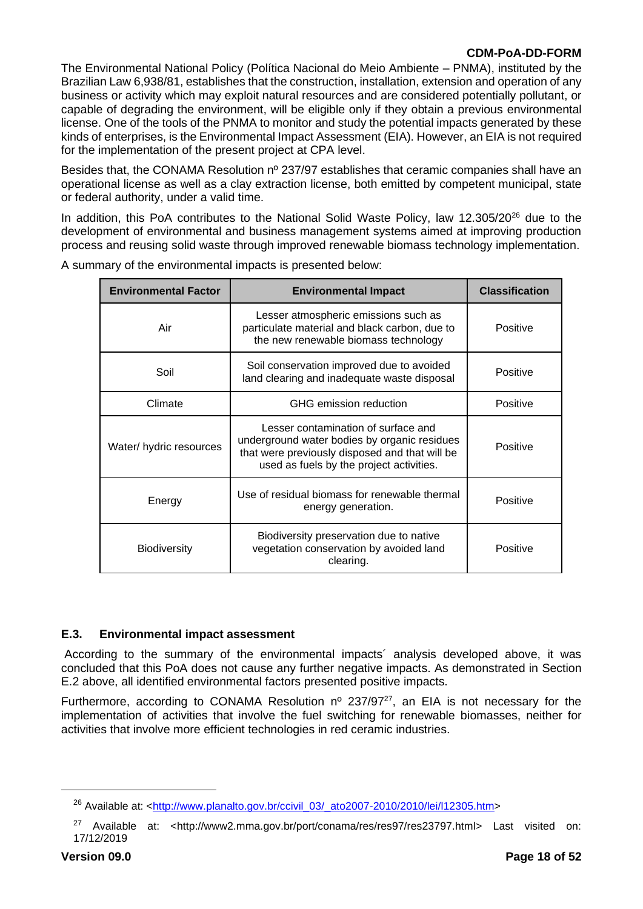The Environmental National Policy (Política Nacional do Meio Ambiente – PNMA), instituted by the Brazilian Law 6,938/81, establishes that the construction, installation, extension and operation of any business or activity which may exploit natural resources and are considered potentially pollutant, or capable of degrading the environment, will be eligible only if they obtain a previous environmental license. One of the tools of the PNMA to monitor and study the potential impacts generated by these kinds of enterprises, is the Environmental Impact Assessment (EIA). However, an EIA is not required for the implementation of the present project at CPA level.

Besides that, the CONAMA Resolution nº 237/97 establishes that ceramic companies shall have an operational license as well as a clay extraction license, both emitted by competent municipal, state or federal authority, under a valid time.

In addition, this PoA contributes to the National Solid Waste Policy, law 12.305/20<sup>26</sup> due to the development of environmental and business management systems aimed at improving production process and reusing solid waste through improved renewable biomass technology implementation.

| <b>Environmental Factor</b>                                                                      | <b>Environmental Impact</b>                                                                                                                                                       |          |
|--------------------------------------------------------------------------------------------------|-----------------------------------------------------------------------------------------------------------------------------------------------------------------------------------|----------|
| Air                                                                                              | Lesser atmospheric emissions such as<br>particulate material and black carbon, due to<br>the new renewable biomass technology                                                     | Positive |
| Soil conservation improved due to avoided<br>Soil<br>land clearing and inadequate waste disposal |                                                                                                                                                                                   | Positive |
| Climate<br>GHG emission reduction                                                                |                                                                                                                                                                                   | Positive |
| Water/ hydric resources                                                                          | Lesser contamination of surface and<br>underground water bodies by organic residues<br>that were previously disposed and that will be<br>used as fuels by the project activities. | Positive |
| Energy                                                                                           | Use of residual biomass for renewable thermal<br>energy generation.                                                                                                               | Positive |
| <b>Biodiversity</b>                                                                              | Biodiversity preservation due to native<br>vegetation conservation by avoided land<br>clearing.                                                                                   | Positive |

A summary of the environmental impacts is presented below:

#### **E.3. Environmental impact assessment**

According to the summary of the environmental impacts´ analysis developed above, it was concluded that this PoA does not cause any further negative impacts. As demonstrated in Section E.2 above, all identified environmental factors presented positive impacts.

Furthermore, according to CONAMA Resolution  $n^{\circ}$  237/97<sup>27</sup>, an EIA is not necessary for the implementation of activities that involve the fuel switching for renewable biomasses, neither for activities that involve more efficient technologies in red ceramic industries.

<sup>&</sup>lt;sup>26</sup> Available at: [<http://www.planalto.gov.br/ccivil\\_03/\\_ato2007-2010/2010/lei/l12305.htm>](http://www.planalto.gov.br/ccivil_03/_ato2007-2010/2010/lei/l12305.htm)

<sup>&</sup>lt;sup>27</sup> Available at: [<http://www2.mma.gov.br/port/conama/res/res97/res23797.html>](http://www2.mma.gov.br/port/conama/res/res97/res23797.html) Last visited on: 17/12/2019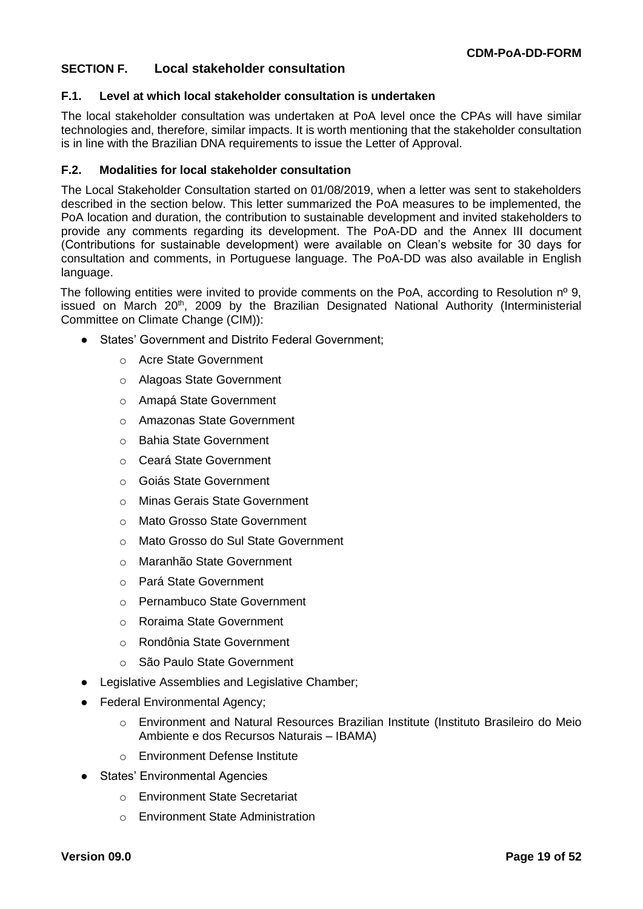### **SECTION F. Local stakeholder consultation**

#### **F.1. Level at which local stakeholder consultation is undertaken**

The local stakeholder consultation was undertaken at PoA level once the CPAs will have similar technologies and, therefore, similar impacts. It is worth mentioning that the stakeholder consultation is in line with the Brazilian DNA requirements to issue the Letter of Approval.

#### **F.2. Modalities for local stakeholder consultation**

The Local Stakeholder Consultation started on 01/08/2019, when a letter was sent to stakeholders described in the section below. This letter summarized the PoA measures to be implemented, the PoA location and duration, the contribution to sustainable development and invited stakeholders to provide any comments regarding its development. The PoA-DD and the Annex III document (Contributions for sustainable development) were available on Clean's website for 30 days for consultation and comments, in Portuguese language. The PoA-DD was also available in English language.

The following entities were invited to provide comments on the PoA, according to Resolution  $n^{\circ}$  9, issued on March 20<sup>th</sup>, 2009 by the Brazilian Designated National Authority (Interministerial Committee on Climate Change (CIM)):

- States' Government and Distrito Federal Government:
	- o Acre State Government
	- o Alagoas State Government
	- o Amapá State Government
	- o Amazonas State Government
	- o Bahia State Government
	- o Ceará State Government
	- o Goiás State Government
	- o Minas Gerais State Government
	- o Mato Grosso State Government
	- o Mato Grosso do Sul State Government
	- o Maranhão State Government
	- o Pará State Government
	- o Pernambuco State Government
	- o Roraima State Government
	- o Rondônia State Government
	- o São Paulo State Government
- Legislative Assemblies and Legislative Chamber;
- Federal Environmental Agency;
	- o Environment and Natural Resources Brazilian Institute (Instituto Brasileiro do Meio Ambiente e dos Recursos Naturais – IBAMA)
	- o Environment Defense Institute
- States' Environmental Agencies
	- o Environment State Secretariat
	- o Environment State Administration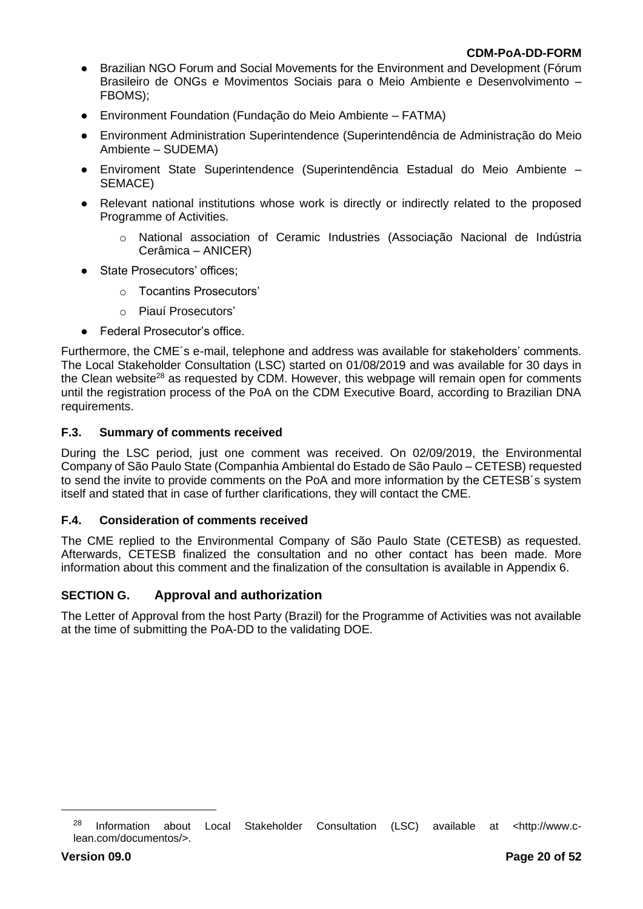- Brazilian NGO Forum and Social Movements for the Environment and Development (Fórum Brasileiro de ONGs e Movimentos Sociais para o Meio Ambiente e Desenvolvimento – FBOMS);
- Environment Foundation (Fundação do Meio Ambiente FATMA)
- Environment Administration Superintendence (Superintendência de Administração do Meio Ambiente – SUDEMA)
- Enviroment State Superintendence (Superintendência Estadual do Meio Ambiente SEMACE)
- Relevant national institutions whose work is directly or indirectly related to the proposed Programme of Activities.
	- o National association of Ceramic Industries (Associação Nacional de Indústria Cerâmica – ANICER)
- State Prosecutors' offices;
	- o Tocantins Prosecutors'
	- o Piauí Prosecutors'
- Federal Prosecutor's office.

Furthermore, the CME´s e-mail, telephone and address was available for stakeholders' comments. The Local Stakeholder Consultation (LSC) started on 01/08/2019 and was available for 30 days in the Clean website<sup>28</sup> as requested by CDM. However, this webpage will remain open for comments until the registration process of the PoA on the CDM Executive Board, according to Brazilian DNA requirements.

#### **F.3. Summary of comments received**

During the LSC period, just one comment was received. On 02/09/2019, the Environmental Company of São Paulo State (Companhia Ambiental do Estado de São Paulo – CETESB) requested to send the invite to provide comments on the PoA and more information by the CETESB´s system itself and stated that in case of further clarifications, they will contact the CME.

#### **F.4. Consideration of comments received**

The CME replied to the Environmental Company of São Paulo State (CETESB) as requested. Afterwards, CETESB finalized the consultation and no other contact has been made. More information about this comment and the finalization of the consultation is available in Appendix 6.

# **SECTION G. Approval and authorization**

The Letter of Approval from the host Party (Brazil) for the Programme of Activities was not available at the time of submitting the PoA-DD to the validating DOE.

<sup>28</sup> Information about Local Stakeholder Consultation (LSC) available at <http://www.clean.com/documentos/>.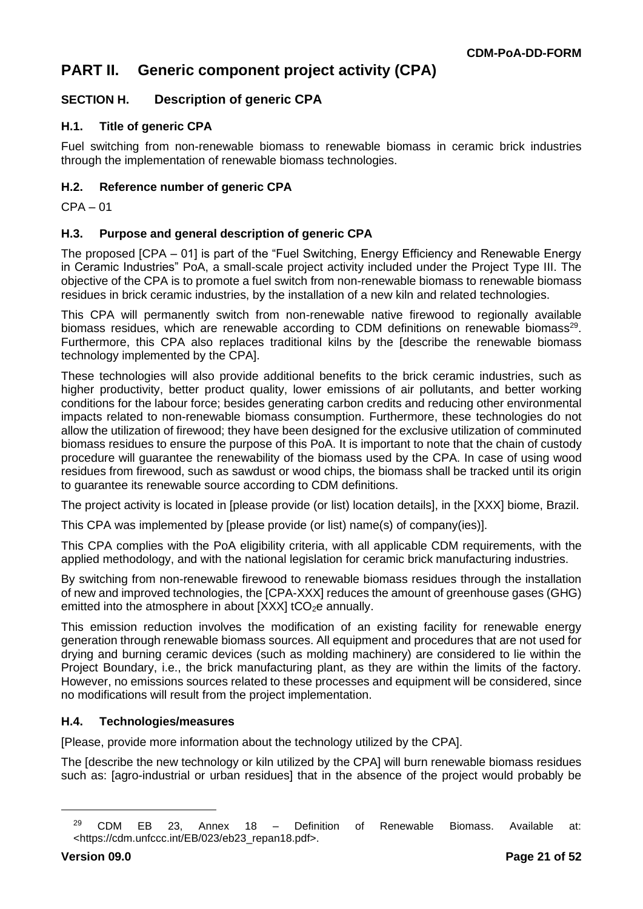# **PART II. Generic component project activity (CPA)**

# **SECTION H. Description of generic CPA**

### **H.1. Title of generic CPA**

Fuel switching from non-renewable biomass to renewable biomass in ceramic brick industries through the implementation of renewable biomass technologies.

#### **H.2. Reference number of generic CPA**

CPA – 01

### **H.3. Purpose and general description of generic CPA**

The proposed [CPA – 01] is part of the "Fuel Switching, Energy Efficiency and Renewable Energy in Ceramic Industries" PoA, a small-scale project activity included under the Project Type III. The objective of the CPA is to promote a fuel switch from non-renewable biomass to renewable biomass residues in brick ceramic industries, by the installation of a new kiln and related technologies.

This CPA will permanently switch from non-renewable native firewood to regionally available biomass residues, which are renewable according to CDM definitions on renewable biomass<sup>29</sup>. Furthermore, this CPA also replaces traditional kilns by the [describe the renewable biomass technology implemented by the CPA].

These technologies will also provide additional benefits to the brick ceramic industries, such as higher productivity, better product quality, lower emissions of air pollutants, and better working conditions for the labour force; besides generating carbon credits and reducing other environmental impacts related to non-renewable biomass consumption. Furthermore, these technologies do not allow the utilization of firewood; they have been designed for the exclusive utilization of comminuted biomass residues to ensure the purpose of this PoA. It is important to note that the chain of custody procedure will guarantee the renewability of the biomass used by the CPA. In case of using wood residues from firewood, such as sawdust or wood chips, the biomass shall be tracked until its origin to guarantee its renewable source according to CDM definitions.

The project activity is located in [please provide (or list) location details], in the [XXX] biome, Brazil.

This CPA was implemented by [please provide (or list) name(s) of company(ies)].

This CPA complies with the PoA eligibility criteria, with all applicable CDM requirements, with the applied methodology, and with the national legislation for ceramic brick manufacturing industries.

By switching from non-renewable firewood to renewable biomass residues through the installation of new and improved technologies, the [CPA-XXX] reduces the amount of greenhouse gases (GHG) emitted into the atmosphere in about  $[XXX]$  tCO<sub>2</sub>e annually.

This emission reduction involves the modification of an existing facility for renewable energy generation through renewable biomass sources. All equipment and procedures that are not used for drying and burning ceramic devices (such as molding machinery) are considered to lie within the Project Boundary, i.e., the brick manufacturing plant, as they are within the limits of the factory. However, no emissions sources related to these processes and equipment will be considered, since no modifications will result from the project implementation.

#### **H.4. Technologies/measures**

[Please, provide more information about the technology utilized by the CPA].

The [describe the new technology or kiln utilized by the CPA] will burn renewable biomass residues such as: [agro-industrial or urban residues] that in the absence of the project would probably be

 $29$  CDM EB 23, Annex 18 – Definition of Renewable Biomass. Available at: <https://cdm.unfccc.int/EB/023/eb23\_repan18.pdf>.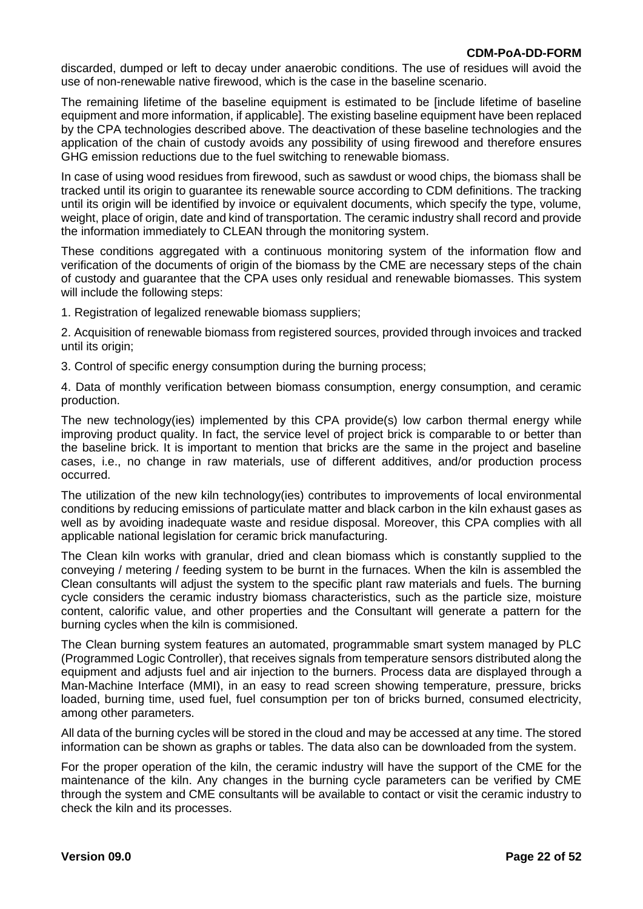discarded, dumped or left to decay under anaerobic conditions. The use of residues will avoid the use of non-renewable native firewood, which is the case in the baseline scenario.

The remaining lifetime of the baseline equipment is estimated to be [include lifetime of baseline equipment and more information, if applicable]. The existing baseline equipment have been replaced by the CPA technologies described above. The deactivation of these baseline technologies and the application of the chain of custody avoids any possibility of using firewood and therefore ensures GHG emission reductions due to the fuel switching to renewable biomass.

In case of using wood residues from firewood, such as sawdust or wood chips, the biomass shall be tracked until its origin to guarantee its renewable source according to CDM definitions. The tracking until its origin will be identified by invoice or equivalent documents, which specify the type, volume, weight, place of origin, date and kind of transportation. The ceramic industry shall record and provide the information immediately to CLEAN through the monitoring system.

These conditions aggregated with a continuous monitoring system of the information flow and verification of the documents of origin of the biomass by the CME are necessary steps of the chain of custody and guarantee that the CPA uses only residual and renewable biomasses. This system will include the following steps:

1. Registration of legalized renewable biomass suppliers;

2. Acquisition of renewable biomass from registered sources, provided through invoices and tracked until its origin;

3. Control of specific energy consumption during the burning process;

4. Data of monthly verification between biomass consumption, energy consumption, and ceramic production.

The new technology(ies) implemented by this CPA provide(s) low carbon thermal energy while improving product quality. In fact, the service level of project brick is comparable to or better than the baseline brick. It is important to mention that bricks are the same in the project and baseline cases, i.e., no change in raw materials, use of different additives, and/or production process occurred.

The utilization of the new kiln technology(ies) contributes to improvements of local environmental conditions by reducing emissions of particulate matter and black carbon in the kiln exhaust gases as well as by avoiding inadequate waste and residue disposal. Moreover, this CPA complies with all applicable national legislation for ceramic brick manufacturing.

The Clean kiln works with granular, dried and clean biomass which is constantly supplied to the conveying / metering / feeding system to be burnt in the furnaces. When the kiln is assembled the Clean consultants will adjust the system to the specific plant raw materials and fuels. The burning cycle considers the ceramic industry biomass characteristics, such as the particle size, moisture content, calorific value, and other properties and the Consultant will generate a pattern for the burning cycles when the kiln is commisioned.

The Clean burning system features an automated, programmable smart system managed by PLC (Programmed Logic Controller), that receives signals from temperature sensors distributed along the equipment and adjusts fuel and air injection to the burners. Process data are displayed through a Man-Machine Interface (MMI), in an easy to read screen showing temperature, pressure, bricks loaded, burning time, used fuel, fuel consumption per ton of bricks burned, consumed electricity, among other parameters.

All data of the burning cycles will be stored in the cloud and may be accessed at any time. The stored information can be shown as graphs or tables. The data also can be downloaded from the system.

For the proper operation of the kiln, the ceramic industry will have the support of the CME for the maintenance of the kiln. Any changes in the burning cycle parameters can be verified by CME through the system and CME consultants will be available to contact or visit the ceramic industry to check the kiln and its processes.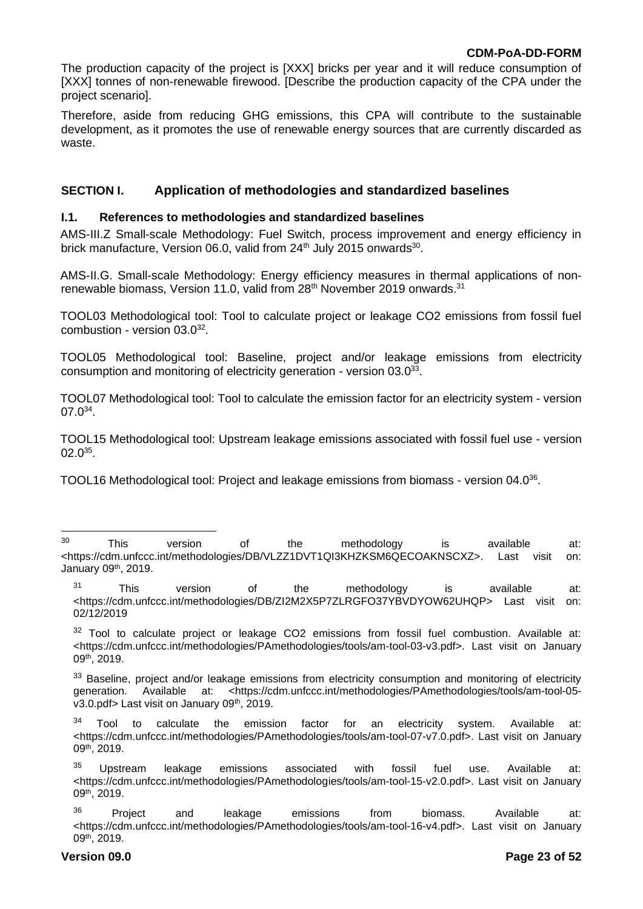The production capacity of the project is [XXX] bricks per year and it will reduce consumption of [XXX] tonnes of non-renewable firewood. [Describe the production capacity of the CPA under the project scenario].

Therefore, aside from reducing GHG emissions, this CPA will contribute to the sustainable development, as it promotes the use of renewable energy sources that are currently discarded as waste.

# **SECTION I. Application of methodologies and standardized baselines**

#### **I.1. References to methodologies and standardized baselines**

AMS-III.Z Small-scale Methodology: Fuel Switch, process improvement and energy efficiency in brick manufacture, Version 06.0, valid from 24<sup>th</sup> July 2015 onwards<sup>30</sup>.

AMS-II.G. Small-scale Methodology: Energy efficiency measures in thermal applications of nonrenewable biomass, Version 11.0, valid from 28<sup>th</sup> November 2019 onwards.<sup>31</sup>

TOOL03 Methodological tool: Tool to calculate project or leakage CO2 emissions from fossil fuel  $combustion - version 03.0<sup>32</sup>$ .

TOOL05 Methodological tool: Baseline, project and/or leakage emissions from electricity consumption and monitoring of electricity generation - version  $03.0^{33}$ .

TOOL07 Methodological tool: Tool to calculate the emission factor for an electricity system - version  $07.0^{34}$ .

TOOL15 Methodological tool: Upstream leakage emissions associated with fossil fuel use - version  $02.0^{35}$ .

TOOL16 Methodological tool: Project and leakage emissions from biomass - version 04.0 $^{36}$ .

<sup>31</sup> This version of the methodology is available at: <https://cdm.unfccc.int/methodologies/DB/ZI2M2X5P7ZLRGFO37YBVDYOW62UHQP> Last visit on: 02/12/2019

 $32$  Tool to calculate project or leakage CO2 emissions from fossil fuel combustion. Available at: <https://cdm.unfccc.int/methodologies/PAmethodologies/tools/am-tool-03-v3.pdf>. Last visit on January 09th, 2019.

<sup>33</sup> Baseline, project and/or leakage emissions from electricity consumption and monitoring of electricity generation. Available at: <https://cdm.unfccc.int/methodologies/PAmethodologies/tools/am-tool-05v3.0.pdf> Last visit on January 09<sup>th</sup>, 2019.

 $34$  Tool to calculate the emission factor for an electricity system. Available at: <https://cdm.unfccc.int/methodologies/PAmethodologies/tools/am-tool-07-v7.0.pdf>. Last visit on January 09th, 2019.

 $35$  Upstream leakage emissions associated with fossil fuel use. Available at: <https://cdm.unfccc.int/methodologies/PAmethodologies/tools/am-tool-15-v2.0.pdf>. Last visit on January 09th, 2019.

<sup>&</sup>lt;sup>30</sup> This version of the methodology is available at: <https://cdm.unfccc.int/methodologies/DB/VLZZ1DVT1QI3KHZKSM6QECOAKNSCXZ>. Last visit on: January 09th, 2019.

 $36$  Project and leakage emissions from biomass. Available at: <https://cdm.unfccc.int/methodologies/PAmethodologies/tools/am-tool-16-v4.pdf>. Last visit on January 09th, 2019.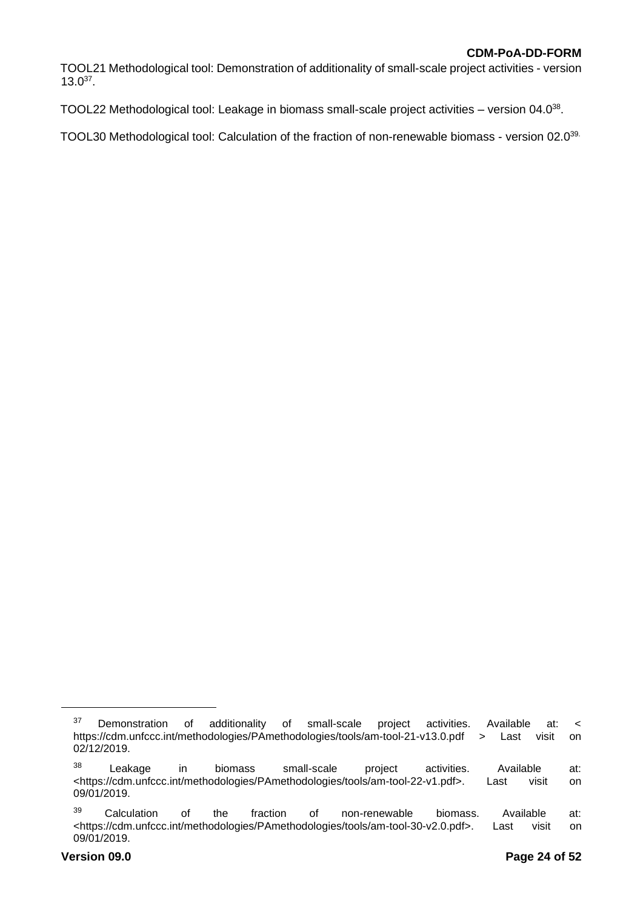TOOL21 Methodological tool: Demonstration of additionality of small-scale project activities - version  $13.0^{37}$ .

TOOL22 Methodological tool: Leakage in biomass small-scale project activities – version 04.0<sup>38</sup>.

TOOL30 Methodological tool: Calculation of the fraction of non-renewable biomass - version 02.0<sup>39.</sup>

 $37$  Demonstration of additionality of small-scale project activities. Available at: < https://cdm.unfccc.int/methodologies/PAmethodologies/tools/am-tool-21-v13.0.pdf > Last visit on 02/12/2019.

<sup>&</sup>lt;sup>38</sup> Leakage in biomass small-scale project activities. Available at: <https://cdm.unfccc.int/methodologies/PAmethodologies/tools/am-tool-22-v1.pdf>. Last visit on 09/01/2019.

<sup>&</sup>lt;sup>39</sup> Calculation of the fraction of non-renewable biomass. Available at: <https://cdm.unfccc.int/methodologies/PAmethodologies/tools/am-tool-30-v2.0.pdf>. Last visit on 09/01/2019.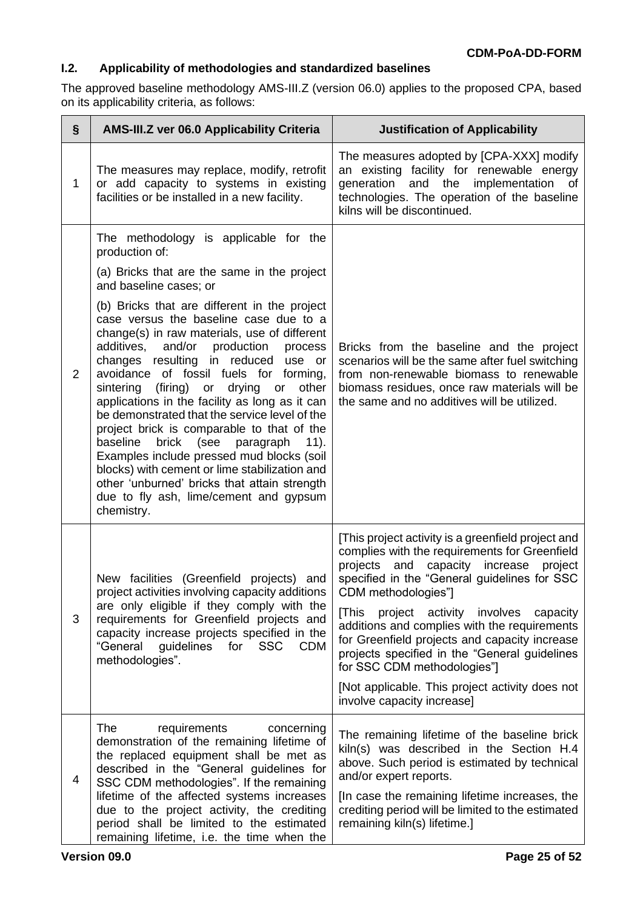# **I.2. Applicability of methodologies and standardized baselines**

The approved baseline methodology AMS-III.Z (version 06.0) applies to the proposed CPA, based on its applicability criteria, as follows:

| $\S$           | <b>AMS-III.Z ver 06.0 Applicability Criteria</b>                                                                                                                                                                                                                                                                                                                                                                                                                                                                                                                                                                                                                                                                                                                                                                                                                             | <b>Justification of Applicability</b>                                                                                                                                                                                                                                                                                                                                                                                                                                                                                                       |
|----------------|------------------------------------------------------------------------------------------------------------------------------------------------------------------------------------------------------------------------------------------------------------------------------------------------------------------------------------------------------------------------------------------------------------------------------------------------------------------------------------------------------------------------------------------------------------------------------------------------------------------------------------------------------------------------------------------------------------------------------------------------------------------------------------------------------------------------------------------------------------------------------|---------------------------------------------------------------------------------------------------------------------------------------------------------------------------------------------------------------------------------------------------------------------------------------------------------------------------------------------------------------------------------------------------------------------------------------------------------------------------------------------------------------------------------------------|
| $\mathbf{1}$   | The measures may replace, modify, retrofit<br>or add capacity to systems in existing<br>facilities or be installed in a new facility.                                                                                                                                                                                                                                                                                                                                                                                                                                                                                                                                                                                                                                                                                                                                        | The measures adopted by [CPA-XXX] modify<br>an existing facility for renewable energy<br>implementation<br>generation<br>and the<br>οf<br>technologies. The operation of the baseline<br>kilns will be discontinued.                                                                                                                                                                                                                                                                                                                        |
| $\overline{2}$ | The methodology is applicable for the<br>production of:<br>(a) Bricks that are the same in the project<br>and baseline cases; or<br>(b) Bricks that are different in the project<br>case versus the baseline case due to a<br>change(s) in raw materials, use of different<br>additives,<br>and/or<br>production<br>process<br>changes resulting in reduced use or<br>avoidance of fossil fuels for forming,<br>(firing) or<br>drying<br>sintering<br>other<br>or<br>applications in the facility as long as it can<br>be demonstrated that the service level of the<br>project brick is comparable to that of the<br>baseline<br>brick<br>(see<br>paragraph<br>$11$ .<br>Examples include pressed mud blocks (soil<br>blocks) with cement or lime stabilization and<br>other 'unburned' bricks that attain strength<br>due to fly ash, lime/cement and gypsum<br>chemistry. | Bricks from the baseline and the project<br>scenarios will be the same after fuel switching<br>from non-renewable biomass to renewable<br>biomass residues, once raw materials will be<br>the same and no additives will be utilized.                                                                                                                                                                                                                                                                                                       |
| 3              | New facilities (Greenfield projects) and<br>project activities involving capacity additions<br>are only eligible if they comply with the<br>requirements for Greenfield projects and<br>capacity increase projects specified in the<br>"General guidelines for<br>SSC CDM<br>methodologies".                                                                                                                                                                                                                                                                                                                                                                                                                                                                                                                                                                                 | [This project activity is a greenfield project and<br>complies with the requirements for Greenfield<br>projects<br>capacity increase<br>and<br>project<br>specified in the "General guidelines for SSC<br>CDM methodologies"]<br>[This project activity involves capacity<br>additions and complies with the requirements<br>for Greenfield projects and capacity increase<br>projects specified in the "General guidelines<br>for SSC CDM methodologies"]<br>[Not applicable. This project activity does not<br>involve capacity increase] |
| 4              | The<br>requirements<br>concerning<br>demonstration of the remaining lifetime of<br>the replaced equipment shall be met as<br>described in the "General guidelines for<br>SSC CDM methodologies". If the remaining<br>lifetime of the affected systems increases<br>due to the project activity, the crediting<br>period shall be limited to the estimated<br>remaining lifetime, i.e. the time when the                                                                                                                                                                                                                                                                                                                                                                                                                                                                      | The remaining lifetime of the baseline brick<br>kiln(s) was described in the Section H.4<br>above. Such period is estimated by technical<br>and/or expert reports.<br>[In case the remaining lifetime increases, the<br>crediting period will be limited to the estimated<br>remaining kiln(s) lifetime.]                                                                                                                                                                                                                                   |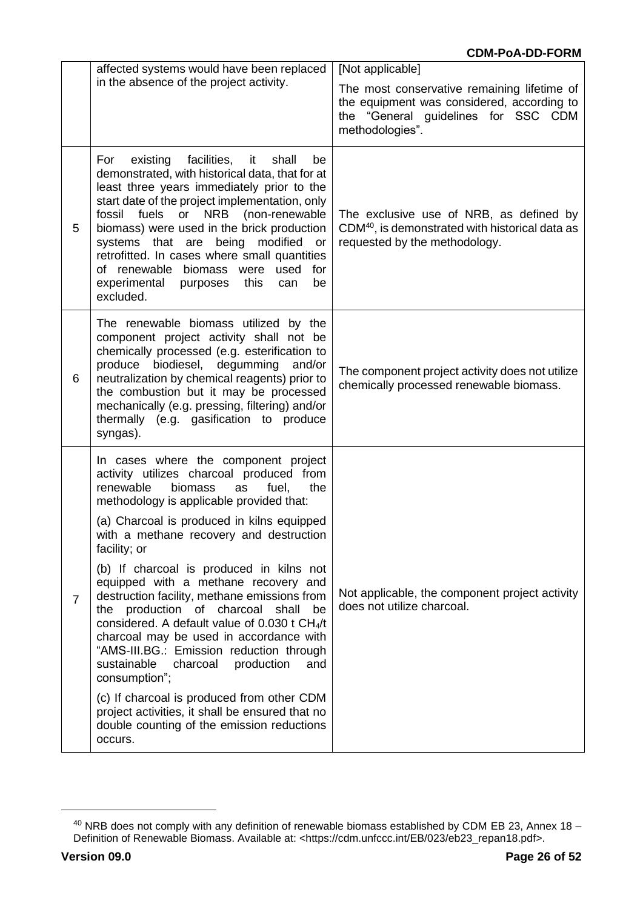|   | affected systems would have been replaced                                                                                                                                                                                                                                                                                                                                                                                                                                                                                                                                                                                                                                                                                                                                                                                                              | [Not applicable]                                                                                                                                    |
|---|--------------------------------------------------------------------------------------------------------------------------------------------------------------------------------------------------------------------------------------------------------------------------------------------------------------------------------------------------------------------------------------------------------------------------------------------------------------------------------------------------------------------------------------------------------------------------------------------------------------------------------------------------------------------------------------------------------------------------------------------------------------------------------------------------------------------------------------------------------|-----------------------------------------------------------------------------------------------------------------------------------------------------|
|   | in the absence of the project activity.                                                                                                                                                                                                                                                                                                                                                                                                                                                                                                                                                                                                                                                                                                                                                                                                                | The most conservative remaining lifetime of<br>the equipment was considered, according to<br>the "General guidelines for SSC CDM<br>methodologies". |
| 5 | facilities,<br>existing<br>shall<br>For<br>it<br>be<br>demonstrated, with historical data, that for at<br>least three years immediately prior to the<br>start date of the project implementation, only<br><b>NRB</b><br>(non-renewable<br>fossil<br>fuels<br>or<br>biomass) were used in the brick production<br>systems that are<br>being<br>modified<br><b>or</b><br>retrofitted. In cases where small quantities<br>of renewable biomass<br>used<br>for<br>were<br>experimental<br>purposes<br>this<br>be<br>can<br>excluded.                                                                                                                                                                                                                                                                                                                       | The exclusive use of NRB, as defined by<br>CDM <sup>40</sup> , is demonstrated with historical data as<br>requested by the methodology.             |
| 6 | The renewable biomass utilized by the<br>component project activity shall not be<br>chemically processed (e.g. esterification to<br>produce biodiesel, degumming<br>and/or<br>neutralization by chemical reagents) prior to<br>the combustion but it may be processed<br>mechanically (e.g. pressing, filtering) and/or<br>thermally (e.g. gasification to produce<br>syngas).                                                                                                                                                                                                                                                                                                                                                                                                                                                                         | The component project activity does not utilize<br>chemically processed renewable biomass.                                                          |
| 7 | In cases where the component project<br>activity utilizes charcoal produced from<br>renewable<br>biomass<br>fuel.<br>the<br>as<br>methodology is applicable provided that:<br>(a) Charcoal is produced in kilns equipped<br>with a methane recovery and destruction<br>facility; or<br>(b) If charcoal is produced in kilns not<br>equipped with a methane recovery and<br>destruction facility, methane emissions from<br>production of charcoal<br>the<br>shall<br>be<br>considered. A default value of 0.030 t CH <sub>4</sub> /t<br>charcoal may be used in accordance with<br>"AMS-III.BG.: Emission reduction through<br>sustainable<br>charcoal<br>production<br>and<br>consumption";<br>(c) If charcoal is produced from other CDM<br>project activities, it shall be ensured that no<br>double counting of the emission reductions<br>occurs. | Not applicable, the component project activity<br>does not utilize charcoal.                                                                        |

<sup>40</sup> NRB does not comply with any definition of renewable biomass established by CDM EB 23, Annex 18 – Definition of Renewable Biomass. Available at: <https://cdm.unfccc.int/EB/023/eb23\_repan18.pdf>.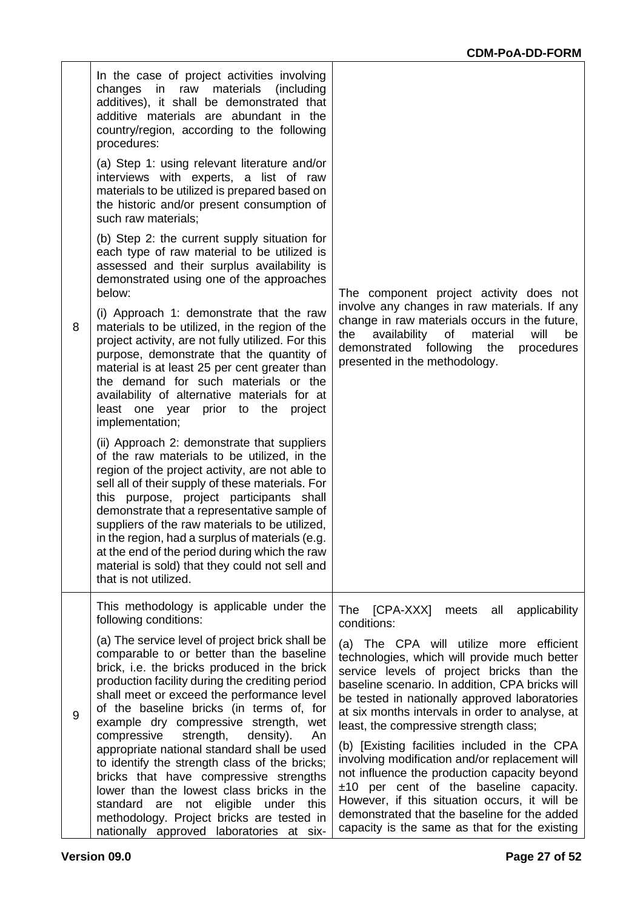| 8 | In the case of project activities involving<br>materials<br>changes<br>in<br>raw<br>(including)<br>additives), it shall be demonstrated that<br>additive materials are abundant in the<br>country/region, according to the following<br>procedures:<br>(a) Step 1: using relevant literature and/or<br>interviews with experts, a list of raw<br>materials to be utilized is prepared based on<br>the historic and/or present consumption of<br>such raw materials;<br>(b) Step 2: the current supply situation for<br>each type of raw material to be utilized is<br>assessed and their surplus availability is<br>demonstrated using one of the approaches<br>below:<br>(i) Approach 1: demonstrate that the raw<br>materials to be utilized, in the region of the<br>project activity, are not fully utilized. For this | The component project activity does not<br>involve any changes in raw materials. If any<br>change in raw materials occurs in the future,<br>material<br>will<br>the<br>availability<br>of<br>be                                                                                                                                                                                                                                                                                                                                                                                                                                                                                                                                                           |
|---|----------------------------------------------------------------------------------------------------------------------------------------------------------------------------------------------------------------------------------------------------------------------------------------------------------------------------------------------------------------------------------------------------------------------------------------------------------------------------------------------------------------------------------------------------------------------------------------------------------------------------------------------------------------------------------------------------------------------------------------------------------------------------------------------------------------------------|-----------------------------------------------------------------------------------------------------------------------------------------------------------------------------------------------------------------------------------------------------------------------------------------------------------------------------------------------------------------------------------------------------------------------------------------------------------------------------------------------------------------------------------------------------------------------------------------------------------------------------------------------------------------------------------------------------------------------------------------------------------|
|   | purpose, demonstrate that the quantity of<br>material is at least 25 per cent greater than<br>the demand for such materials or the<br>availability of alternative materials for at<br>least one year prior to the project<br>implementation;<br>(ii) Approach 2: demonstrate that suppliers<br>of the raw materials to be utilized, in the<br>region of the project activity, are not able to<br>sell all of their supply of these materials. For<br>this purpose, project participants shall<br>demonstrate that a representative sample of<br>suppliers of the raw materials to be utilized,<br>in the region, had a surplus of materials (e.g.<br>at the end of the period during which the raw<br>material is sold) that they could not sell and<br>that is not utilized.                                              | demonstrated<br>following<br>the<br>procedures<br>presented in the methodology.                                                                                                                                                                                                                                                                                                                                                                                                                                                                                                                                                                                                                                                                           |
| 9 | This methodology is applicable under the<br>following conditions:<br>(a) The service level of project brick shall be<br>comparable to or better than the baseline<br>brick, i.e. the bricks produced in the brick<br>production facility during the crediting period<br>shall meet or exceed the performance level<br>of the baseline bricks (in terms of, for<br>example dry compressive strength, wet<br>compressive<br>strength,<br>density).<br>An<br>appropriate national standard shall be used<br>to identify the strength class of the bricks;<br>bricks that have compressive strengths<br>lower than the lowest class bricks in the<br>not eligible under this<br>standard are<br>methodology. Project bricks are tested in<br>nationally approved laboratories at six-                                          | The<br>[CPA-XXX]<br>meets<br>all<br>applicability<br>conditions:<br>(a) The CPA will utilize more efficient<br>technologies, which will provide much better<br>service levels of project bricks than the<br>baseline scenario. In addition, CPA bricks will<br>be tested in nationally approved laboratories<br>at six months intervals in order to analyse, at<br>least, the compressive strength class;<br>(b) [Existing facilities included in the CPA<br>involving modification and/or replacement will<br>not influence the production capacity beyond<br>$±10$ per cent of the baseline capacity.<br>However, if this situation occurs, it will be<br>demonstrated that the baseline for the added<br>capacity is the same as that for the existing |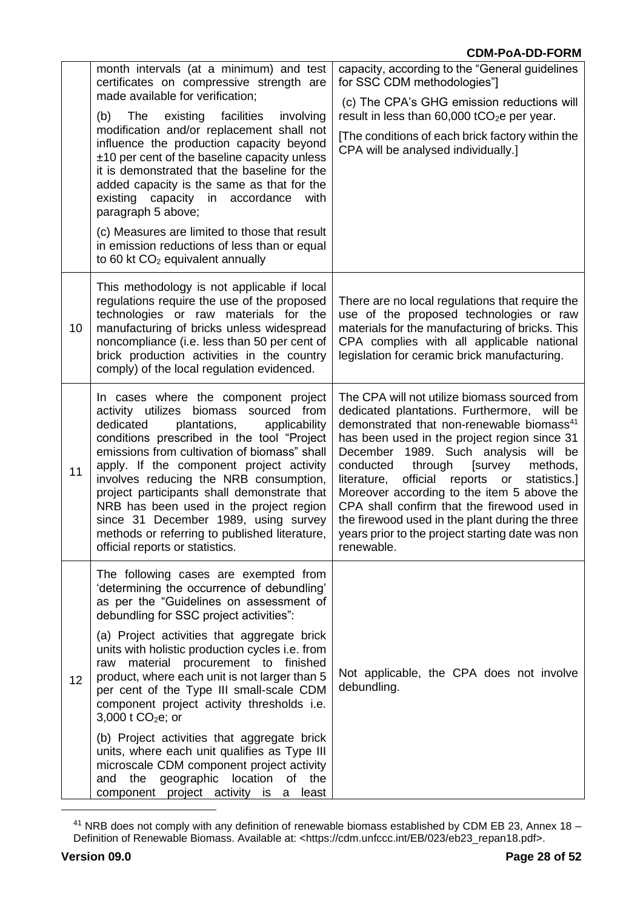|    | month intervals (at a minimum) and test<br>certificates on compressive strength are<br>made available for verification;<br>(b)<br>The<br>existing facilities<br>involving<br>modification and/or replacement shall not<br>influence the production capacity beyond<br>$±10$ per cent of the baseline capacity unless<br>it is demonstrated that the baseline for the<br>added capacity is the same as that for the<br>existing capacity in accordance<br>with<br>paragraph 5 above;<br>(c) Measures are limited to those that result<br>in emission reductions of less than or equal<br>to 60 kt CO <sub>2</sub> equivalent annually                                                                                                        | capacity, according to the "General guidelines<br>for SSC CDM methodologies"]<br>(c) The CPA's GHG emission reductions will<br>result in less than $60,000$ tCO <sub>2</sub> e per year.<br>[The conditions of each brick factory within the<br>CPA will be analysed individually.]                                                                                                                                                                                                                                                                                  |
|----|---------------------------------------------------------------------------------------------------------------------------------------------------------------------------------------------------------------------------------------------------------------------------------------------------------------------------------------------------------------------------------------------------------------------------------------------------------------------------------------------------------------------------------------------------------------------------------------------------------------------------------------------------------------------------------------------------------------------------------------------|----------------------------------------------------------------------------------------------------------------------------------------------------------------------------------------------------------------------------------------------------------------------------------------------------------------------------------------------------------------------------------------------------------------------------------------------------------------------------------------------------------------------------------------------------------------------|
| 10 | This methodology is not applicable if local<br>regulations require the use of the proposed<br>technologies or raw materials for the<br>manufacturing of bricks unless widespread<br>noncompliance (i.e. less than 50 per cent of<br>brick production activities in the country<br>comply) of the local regulation evidenced.                                                                                                                                                                                                                                                                                                                                                                                                                | There are no local regulations that require the<br>use of the proposed technologies or raw<br>materials for the manufacturing of bricks. This<br>CPA complies with all applicable national<br>legislation for ceramic brick manufacturing.                                                                                                                                                                                                                                                                                                                           |
| 11 | In cases where the component project<br>activity utilizes biomass sourced from<br>plantations,<br>dedicated<br>applicability<br>conditions prescribed in the tool "Project"<br>emissions from cultivation of biomass" shall<br>apply. If the component project activity<br>involves reducing the NRB consumption,<br>project participants shall demonstrate that<br>NRB has been used in the project region<br>since 31 December 1989, using survey<br>methods or referring to published literature,<br>official reports or statistics.                                                                                                                                                                                                     | The CPA will not utilize biomass sourced from<br>dedicated plantations. Furthermore, will be<br>demonstrated that non-renewable biomass <sup>41</sup><br>has been used in the project region since 31<br>December 1989. Such analysis will be<br>conducted<br>through<br>[survey<br>methods,<br>official reports or<br>literature,<br>statistics.]<br>Moreover according to the item 5 above the<br>CPA shall confirm that the firewood used in<br>the firewood used in the plant during the three<br>years prior to the project starting date was non<br>renewable. |
| 12 | The following cases are exempted from<br>'determining the occurrence of debundling'<br>as per the "Guidelines on assessment of<br>debundling for SSC project activities":<br>(a) Project activities that aggregate brick<br>units with holistic production cycles i.e. from<br>material<br>procurement to finished<br>raw<br>product, where each unit is not larger than 5<br>per cent of the Type III small-scale CDM<br>component project activity thresholds i.e.<br>3,000 t $CO2e$ ; or<br>(b) Project activities that aggregate brick<br>units, where each unit qualifies as Type III<br>microscale CDM component project activity<br>location<br>the<br>geographic<br>and<br>of<br>the<br>component project activity is<br>least<br>a | Not applicable, the CPA does not involve<br>debundling.                                                                                                                                                                                                                                                                                                                                                                                                                                                                                                              |

<sup>41</sup> NRB does not comply with any definition of renewable biomass established by CDM EB 23, Annex 18 – Definition of Renewable Biomass. Available at: <https://cdm.unfccc.int/EB/023/eb23\_repan18.pdf>.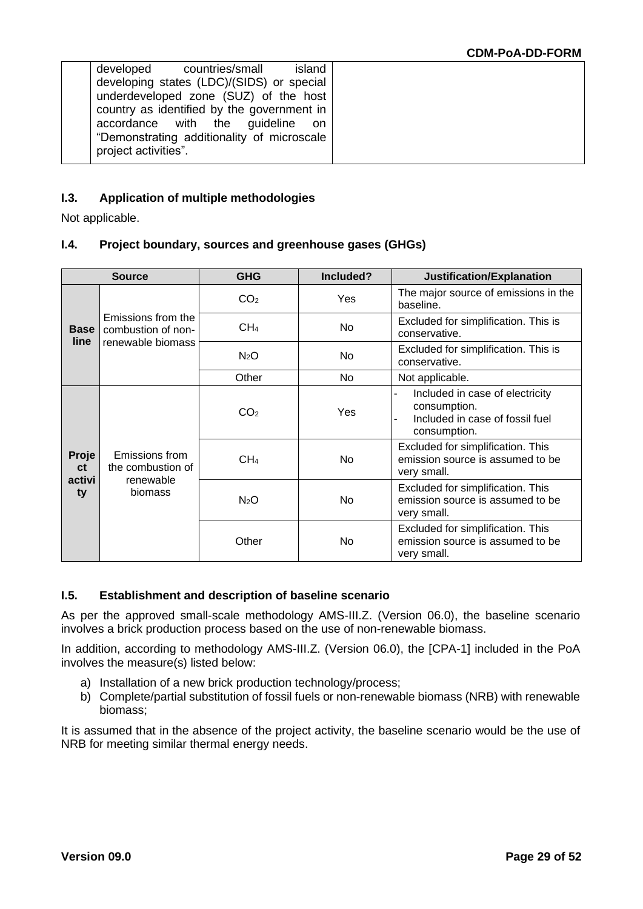| island<br>developed countries/small        |  |
|--------------------------------------------|--|
| developing states (LDC)/(SIDS) or special  |  |
| underdeveloped zone (SUZ) of the host      |  |
| country as identified by the government in |  |
| accordance with the guideline<br>on.       |  |
| "Demonstrating additionality of microscale |  |
| project activities".                       |  |
|                                            |  |

# **I.3. Application of multiple methodologies**

Not applicable.

# **I.4. Project boundary, sources and greenhouse gases (GHGs)**

| <b>Source</b>                      |                                                               | <b>GHG</b>       | Included? | Justification/Explanation                                                                                                  |  |  |
|------------------------------------|---------------------------------------------------------------|------------------|-----------|----------------------------------------------------------------------------------------------------------------------------|--|--|
| <b>Base</b><br>line.               | Emissions from the<br>combustion of non-<br>renewable biomass | CO <sub>2</sub>  | Yes       | The major source of emissions in the<br>baseline.                                                                          |  |  |
|                                    |                                                               | CH <sub>4</sub>  | No        | Excluded for simplification. This is<br>conservative.                                                                      |  |  |
|                                    |                                                               | N <sub>2</sub> O | No        | Excluded for simplification. This is<br>conservative.                                                                      |  |  |
|                                    |                                                               | Other            | No.       | Not applicable.                                                                                                            |  |  |
| Proje<br><b>ct</b><br>activi<br>ty | Emissions from<br>the combustion of<br>renewable<br>biomass   | CO <sub>2</sub>  | Yes       | Included in case of electricity<br>L.<br>consumption.<br>Included in case of fossil fuel<br>$\blacksquare$<br>consumption. |  |  |
|                                    |                                                               | CH <sub>4</sub>  | <b>No</b> | Excluded for simplification. This<br>emission source is assumed to be<br>very small.                                       |  |  |
|                                    |                                                               | N <sub>2</sub> O | No        | Excluded for simplification. This<br>emission source is assumed to be<br>very small.                                       |  |  |
|                                    |                                                               | Other            | No.       | Excluded for simplification. This<br>emission source is assumed to be<br>very small.                                       |  |  |

# **I.5. Establishment and description of baseline scenario**

As per the approved small-scale methodology AMS-III.Z. (Version 06.0), the baseline scenario involves a brick production process based on the use of non-renewable biomass.

In addition, according to methodology AMS-III.Z. (Version 06.0), the [CPA-1] included in the PoA involves the measure(s) listed below:

- a) Installation of a new brick production technology/process;
- b) Complete/partial substitution of fossil fuels or non-renewable biomass (NRB) with renewable biomass;

It is assumed that in the absence of the project activity, the baseline scenario would be the use of NRB for meeting similar thermal energy needs.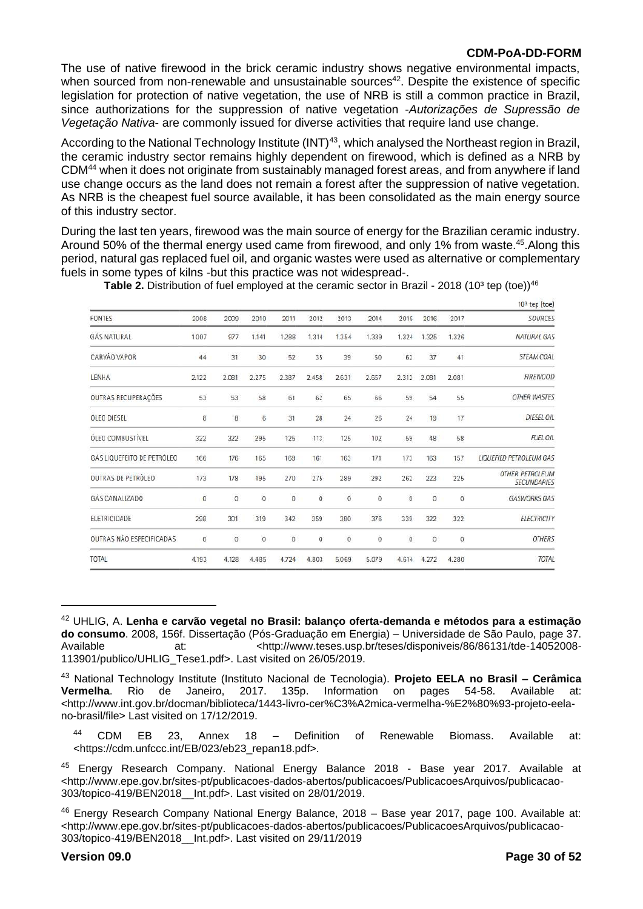The use of native firewood in the brick ceramic industry shows negative environmental impacts, when sourced from non-renewable and unsustainable sources<sup>42</sup>. Despite the existence of specific legislation for protection of native vegetation, the use of NRB is still a common practice in Brazil, since authorizations for the suppression of native vegetation -*Autorizações de Supressão de Vegetação Nativa*- are commonly issued for diverse activities that require land use change.

According to the National Technology Institute (INT)<sup>43</sup>, which analysed the Northeast region in Brazil, the ceramic industry sector remains highly dependent on firewood, which is defined as a NRB by CDM<sup>44</sup> when it does not originate from sustainably managed forest areas, and from anywhere if land use change occurs as the land does not remain a forest after the suppression of native vegetation. As NRB is the cheapest fuel source available, it has been consolidated as the main energy source of this industry sector.

During the last ten years, firewood was the main source of energy for the Brazilian ceramic industry. Around 50% of the thermal energy used came from firewood, and only 1% from waste.<sup>45</sup>.Along this period, natural gas replaced fuel oil, and organic wastes were used as alternative or complementary fuels in some types of kilns -but this practice was not widespread-.

|                            |                |                |                |                |                     |                |                |                  |                |                     | $103$ tep (toe)                              |
|----------------------------|----------------|----------------|----------------|----------------|---------------------|----------------|----------------|------------------|----------------|---------------------|----------------------------------------------|
| <b>FONTES</b>              | 2008           | 2009           | 2010           | 2011           | 2012                | 2013           | 2014           | 2015             | 2016           | 2017                | <b>SOURCES</b>                               |
| <b>GÁS NATURAL</b>         | 1.007          | 977            | 1.141          | 1.288          | 1.314               | 1.354          | 1.339          | 1.324            | 1.325          | 1.326               | <b>NATURAL GAS</b>                           |
| CARVÃO VAPOR               | 44             | 31             | 30             | 52             | 35                  | 39             | 50             | 62               | 37             | 41                  | STEAM COAL                                   |
| LENHA                      | 2.122          | 2.081          | 2.275          | 2.387          | 2.458               | 2.631          | 2.657          | 2.312            | 2.081          | 2.081               | <b>FIREWOOD</b>                              |
| OUTRAS RECUPERAÇÕES        | 53             | 53             | 58             | 61             | 62                  | 65             | 66             | 59               | 54             | 55                  | <b>OTHER WASTES</b>                          |
| <b>OLEO DIESEL</b>         | 8              | 8              | 6              | 31             | 28                  | 24             | 26             | 24               | 19             | 17                  | <b>DIESEL OIL</b>                            |
| <b>OLEO COMBUSTIVEL</b>    | 322            | 322            | 295            | 125            | 113                 | 125            | 102            | 59               | 48             | 58                  | <b>FUEL OIL</b>                              |
| GÁS LIQUEFEITO DE PETRÓLEO | 166            | 176            | 165            | 169            | 161                 | 163            | 171            | 173              | 163            | 157                 | <b>LIQUEFIED PETROLEUM GAS</b>               |
| <b>OUTRAS DE PETRÓLEO</b>  | 173            | 178            | 195            | 270            | 275                 | 289            | 292            | 262              | 223            | 225                 | <b>OTHER PETROLEUM</b><br><b>SECUNDARIES</b> |
| GÁS CANALIZADO             | $\overline{0}$ | $\overline{0}$ | $\overline{0}$ | $\overline{0}$ | $\ddot{\mathbf{0}}$ | $\overline{0}$ | $\overline{0}$ | $\mathbf{0}$     | $\overline{0}$ | $\ddot{\mathbf{0}}$ | <b>GASWORKS GAS</b>                          |
| ELETRICIDADE               | 298            | 301            | 319            | 342            | 359                 | 380            | 376            | 339              | 322            | 322                 | <b>ELECTRICITY</b>                           |
| OUTRAS NÃO ESPECIFICADAS   | 0              | $\overline{0}$ | 0              | $\circ$        | $\boldsymbol{0}$    | $\circ$        | $\bf{0}$       | $\boldsymbol{0}$ | $\circ$        | $\overline{0}$      | <b>OTHERS</b>                                |
| <b>TOTAL</b>               | 4.193          | 4.128          | 4.485          | 4.724          | 4.803               | 5.069          | 5.079          | 4.614            | 4.272          | 4.280               | TOTAL                                        |

**Table 2.** Distribution of fuel employed at the ceramic sector in Brazil - 2018 (10<sup>3</sup> tep (toe))<sup>46</sup>

<sup>42</sup> UHLIG, A. **Lenha e carvão vegetal no Brasil: balanço oferta-demanda e métodos para a estimação do consumo**. 2008, 156f. Dissertação (Pós-Graduação em Energia) – Universidade de São Paulo, page 37. Available at: <http://www.teses.usp.br/teses/disponiveis/86/86131/tde-14052008- 113901/publico/UHLIG\_Tese1.pdf>. Last visited on 26/05/2019.

<sup>43</sup> National Technology Institute (Instituto Nacional de Tecnologia). **Projeto EELA no Brasil – Cerâmica Vermelha**. Rio de Janeiro, 2017. 135p. Information on pages 54-58. Available at: [<http://www.int.gov.br/docman/biblioteca/1443-livro-cer%C3%A2mica-vermelha-%E2%80%93-projeto-eela](http://www.int.gov.br/docman/biblioteca/1443-livro-cer%C3%A2mica-vermelha-%E2%80%93-projeto-eela-no-brasil/file)[no-brasil/file>](http://www.int.gov.br/docman/biblioteca/1443-livro-cer%C3%A2mica-vermelha-%E2%80%93-projeto-eela-no-brasil/file) Last visited on 17/12/2019.

<sup>44</sup> CDM EB 23, Annex 18 – Definition of Renewable Biomass. Available at: <https://cdm.unfccc.int/EB/023/eb23\_repan18.pdf>.

<sup>45</sup> Energy Research Company. National Energy Balance 2018 - Base year 2017. Available at <http://www.epe.gov.br/sites-pt/publicacoes-dados-abertos/publicacoes/PublicacoesArquivos/publicacao-303/topico-419/BEN2018\_\_Int.pdf>. Last visited on 28/01/2019.

<sup>46</sup> Energy Research Company National Energy Balance, 2018 – Base year 2017, page 100. Available at: <http://www.epe.gov.br/sites-pt/publicacoes-dados-abertos/publicacoes/PublicacoesArquivos/publicacao-303/topico-419/BEN2018\_\_Int.pdf>. Last visited on 29/11/2019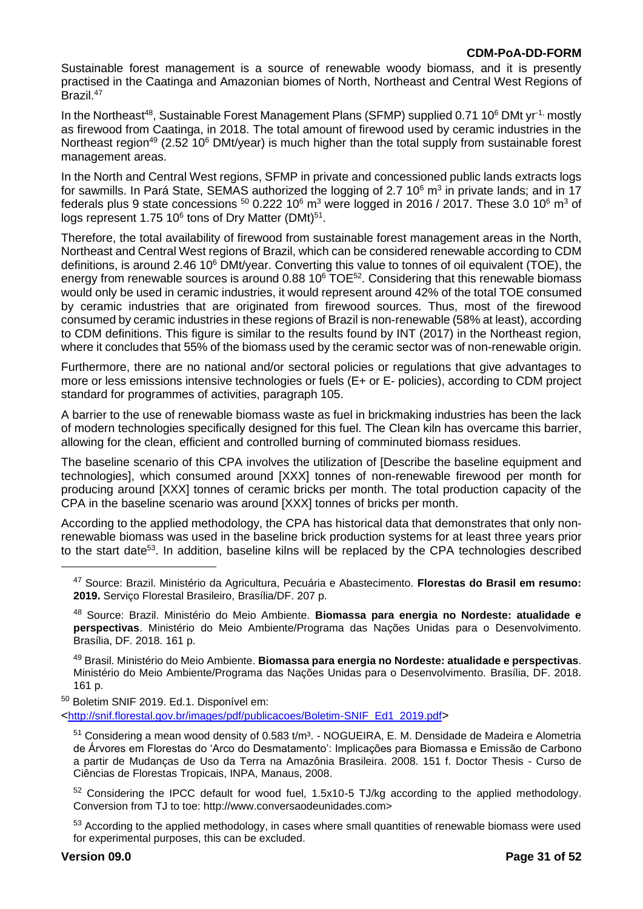Sustainable forest management is a source of renewable woody biomass, and it is presently practised in the Caatinga and Amazonian biomes of North, Northeast and Central West Regions of Brazil.<sup>47</sup>

In the Northeast<sup>48</sup>, Sustainable Forest Management Plans (SFMP) supplied 0.71 10<sup>6</sup> DMt yr<sup>-1,</sup> mostly as firewood from Caatinga, in 2018. The total amount of firewood used by ceramic industries in the Northeast region<sup>49</sup> (2.52 10<sup>6</sup> DMt/year) is much higher than the total supply from sustainable forest management areas.

In the North and Central West regions, SFMP in private and concessioned public lands extracts logs for sawmills. In Pará State, SEMAS authorized the logging of 2.7 10 $^6$  m $^3$  in private lands; and in 17 federals plus 9 state concessions  $50$  0.222 10<sup>6</sup> m<sup>3</sup> were logged in 2016 / 2017. These 3.0 10<sup>6</sup> m<sup>3</sup> of logs represent 1.75 10 $^6$  tons of Dry Matter (DMt) $^{51}$ .

Therefore, the total availability of firewood from sustainable forest management areas in the North, Northeast and Central West regions of Brazil, which can be considered renewable according to CDM definitions, is around 2.46 10 $^6$  DMt/year. Converting this value to tonnes of oil equivalent (TOE), the energy from renewable sources is around 0.88 10<sup>6</sup> TOE<sup>52</sup>. Considering that this renewable biomass would only be used in ceramic industries, it would represent around 42% of the total TOE consumed by ceramic industries that are originated from firewood sources. Thus, most of the firewood consumed by ceramic industries in these regions of Brazil is non-renewable (58% at least), according to CDM definitions. This figure is similar to the results found by INT (2017) in the Northeast region, where it concludes that 55% of the biomass used by the ceramic sector was of non-renewable origin.

Furthermore, there are no national and/or sectoral policies or regulations that give advantages to more or less emissions intensive technologies or fuels (E+ or E- policies), according to CDM project standard for programmes of activities, paragraph 105.

A barrier to the use of renewable biomass waste as fuel in brickmaking industries has been the lack of modern technologies specifically designed for this fuel. The Clean kiln has overcame this barrier, allowing for the clean, efficient and controlled burning of comminuted biomass residues.

The baseline scenario of this CPA involves the utilization of [Describe the baseline equipment and technologies], which consumed around [XXX] tonnes of non-renewable firewood per month for producing around [XXX] tonnes of ceramic bricks per month. The total production capacity of the CPA in the baseline scenario was around [XXX] tonnes of bricks per month.

According to the applied methodology, the CPA has historical data that demonstrates that only nonrenewable biomass was used in the baseline brick production systems for at least three years prior to the start date<sup>53</sup>. In addition, baseline kilns will be replaced by the CPA technologies described

<sup>49</sup> Brasil. Ministério do Meio Ambiente. **Biomassa para energia no Nordeste: atualidade e perspectivas**. Ministério do Meio Ambiente/Programa das Nações Unidas para o Desenvolvimento. Brasília, DF. 2018. 161 p.

<sup>50</sup> Boletim SNIF 2019. Ed.1. Disponível em:

<[http://snif.florestal.gov.br/images/pdf/publicacoes/Boletim-SNIF\\_Ed1\\_2019.pdf](http://snif.florestal.gov.br/images/pdf/publicacoes/Boletim-SNIF_Ed1_2019.pdf)>

 $51$  Considering a mean wood density of 0.583 t/m<sup>3</sup>. - NOGUEIRA, E. M. Densidade de Madeira e Alometria de Árvores em Florestas do 'Arco do Desmatamento': Implicações para Biomassa e Emissão de Carbono a partir de Mudanças de Uso da Terra na Amazônia Brasileira. 2008. 151 f. Doctor Thesis - Curso de Ciências de Florestas Tropicais, INPA, Manaus, 2008.

<sup>52</sup> Considering the IPCC default for wood fuel, 1.5x10-5 TJ/kg according to the applied methodology. Conversion from TJ to toe: http://www.conversaodeunidades.com>

53 According to the applied methodology, in cases where small quantities of renewable biomass were used for experimental purposes, this can be excluded.

<sup>47</sup> Source: Brazil. Ministério da Agricultura, Pecuária e Abastecimento. **Florestas do Brasil em resumo: 2019.** Serviço Florestal Brasileiro, Brasília/DF. 207 p.

<sup>48</sup> Source: Brazil. Ministério do Meio Ambiente. **Biomassa para energia no Nordeste: atualidade e perspectivas**. Ministério do Meio Ambiente/Programa das Nações Unidas para o Desenvolvimento. Brasília, DF. 2018. 161 p.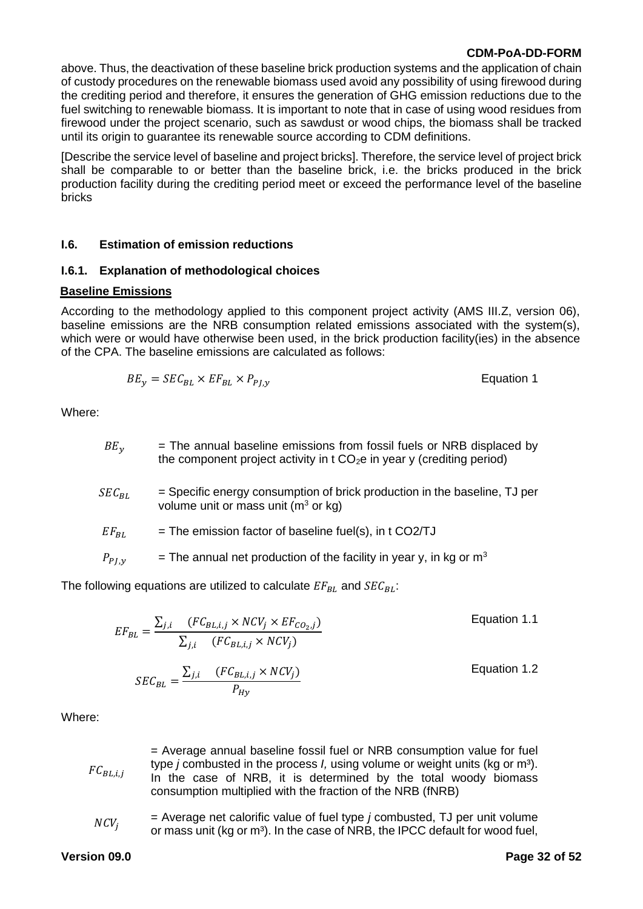above. Thus, the deactivation of these baseline brick production systems and the application of chain of custody procedures on the renewable biomass used avoid any possibility of using firewood during the crediting period and therefore, it ensures the generation of GHG emission reductions due to the fuel switching to renewable biomass. It is important to note that in case of using wood residues from firewood under the project scenario, such as sawdust or wood chips, the biomass shall be tracked until its origin to guarantee its renewable source according to CDM definitions.

[Describe the service level of baseline and project bricks]. Therefore, the service level of project brick shall be comparable to or better than the baseline brick, i.e. the bricks produced in the brick production facility during the crediting period meet or exceed the performance level of the baseline bricks

#### **I.6. Estimation of emission reductions**

### **I.6.1. Explanation of methodological choices**

#### **Baseline Emissions**

According to the methodology applied to this component project activity (AMS III.Z, version 06), baseline emissions are the NRB consumption related emissions associated with the system(s), which were or would have otherwise been used, in the brick production facility(ies) in the absence of the CPA. The baseline emissions are calculated as follows:

$$
BE_y = SEC_{BL} \times EF_{BL} \times P_{PJ,y}
$$
 *Equation 1*

Where:

| $BE_v$     | = The annual baseline emissions from fossil fuels or NRB displaced by<br>the component project activity in t $CO2e$ in year y (crediting period) |
|------------|--------------------------------------------------------------------------------------------------------------------------------------------------|
| $SEC_{BL}$ | = Specific energy consumption of brick production in the baseline, TJ per<br>volume unit or mass unit ( $m3$ or kg)                              |
| $EF_{BL}$  | $=$ The emission factor of baseline fuel(s), in t CO2/TJ                                                                                         |
| $P_{P}$    | = The annual net production of the facility in year y, in kg or $m3$                                                                             |

The following equations are utilized to calculate  $EF_{BL}$  and  $SEC_{BL}$ :

 $EF_{BL} =$  $\sum_{j,i}$   $(FC_{BL,i,j} \times NCV_j \times EF_{CO_2,j})$  $\sum_{j,i}$   $(FC_{BL,i,j} \times NCV_j)$ Equation 1.1  $SEC_{BL} =$  $\sum_{j,i}$   $(FC_{BL,i,j} \times NCV_j)$  $P_{Hy}$ Equation 1.2

Where:

 $FC_{BL,i,j}$ = Average annual baseline fossil fuel or NRB consumption value for fuel type *j* combusted in the process *I*, using volume or weight units (kg or m<sup>3</sup>). In the case of NRB, it is determined by the total woody biomass consumption multiplied with the fraction of the NRB (fNRB)

 $NCV_i$ = Average net calorific value of fuel type *j* combusted, TJ per unit volume or mass unit (kg or m<sup>3</sup>). In the case of NRB, the IPCC default for wood fuel,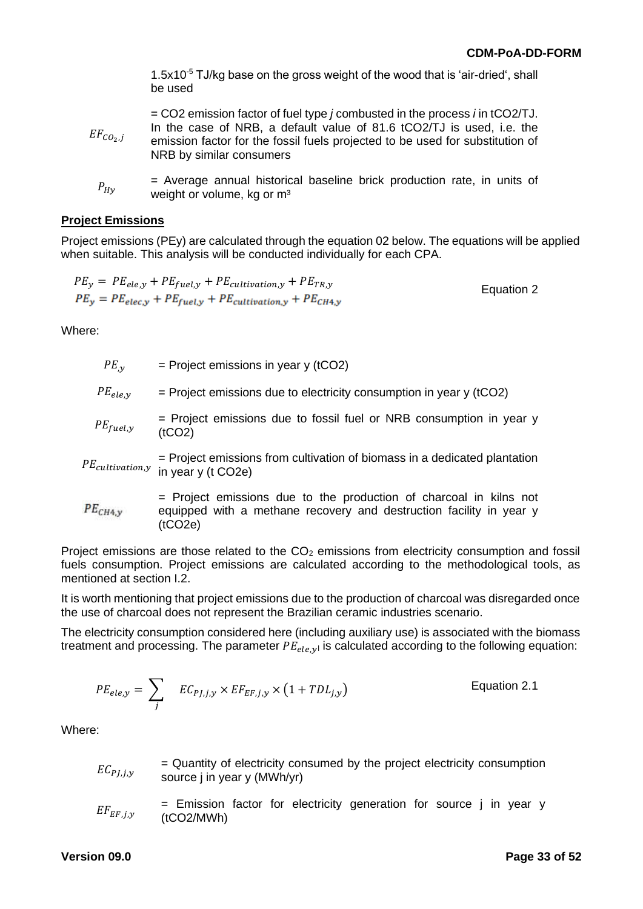1.5x10 $<sup>5</sup>$  TJ/kg base on the gross weight of the wood that is 'air-dried', shall</sup> be used

| $EF_{CO_2,1}$ | $=$ CO2 emission factor of fuel type <i>j</i> combusted in the process <i>i</i> in tCO2/TJ.<br>In the case of NRB, a default value of 81.6 tCO2/TJ is used, i.e. the<br>emission factor for the fossil fuels projected to be used for substitution of<br>NRB by similar consumers |
|---------------|-----------------------------------------------------------------------------------------------------------------------------------------------------------------------------------------------------------------------------------------------------------------------------------|
|               |                                                                                                                                                                                                                                                                                   |

 $P_{H\nu}$ = Average annual historical baseline brick production rate, in units of weight or volume, kg or m<sup>3</sup>

#### **Project Emissions**

Project emissions (PEy) are calculated through the equation 02 below. The equations will be applied when suitable. This analysis will be conducted individually for each CPA.

$$
PE_y = PE_{ele,y} + PE_{fuel,y} + PE_{cultivation,y} + PE_{TR,y}
$$
  
\n
$$
PE_y = PE_{elec,y} + PE_{fuel,y} + PE_{cultivation,y} + PE_{CH4,y}
$$
 \nEquation 2

Where:

| $PE_{,v}$           | $=$ Project emissions in year y (tCO2)                                                                                                               |
|---------------------|------------------------------------------------------------------------------------------------------------------------------------------------------|
| $PE_{ele,y}$        | $=$ Project emissions due to electricity consumption in year y (tCO2)                                                                                |
| $PE_{fuel,y}$       | $=$ Project emissions due to fossil fuel or NRB consumption in year y<br>(tCO2)                                                                      |
|                     | $=$ Project emissions from cultivation of biomass in a dedicated plantation<br>PE <sub>cultivation,y</sub> in year y (t CO2e)                        |
| PE <sub>CH4,y</sub> | = Project emissions due to the production of charcoal in kilns not<br>equipped with a methane recovery and destruction facility in year y<br>(tCO2e) |

Project emissions are those related to the  $CO<sub>2</sub>$  emissions from electricity consumption and fossil fuels consumption. Project emissions are calculated according to the methodological tools, as mentioned at section I.2.

It is worth mentioning that project emissions due to the production of charcoal was disregarded once the use of charcoal does not represent the Brazilian ceramic industries scenario.

The electricity consumption considered here (including auxiliary use) is associated with the biomass treatment and processing. The parameter  $PE_{ele,yl}$  is calculated according to the following equation:

$$
PE_{ele,y} = \sum_{j} EC_{PJ,j,y} \times EF_{EF,j,y} \times (1 + TDL_{j,y})
$$
 Equation 2.1

Where:

| $EC_{PJ,j,y}$ | = Quantity of electricity consumed by the project electricity consumption |
|---------------|---------------------------------------------------------------------------|
|               | source j in year y (MWh/yr)                                               |

$$
EF_{EF,j,y}
$$
 = Emission factor for electricity generation for source j in year y (tCO2/MWh)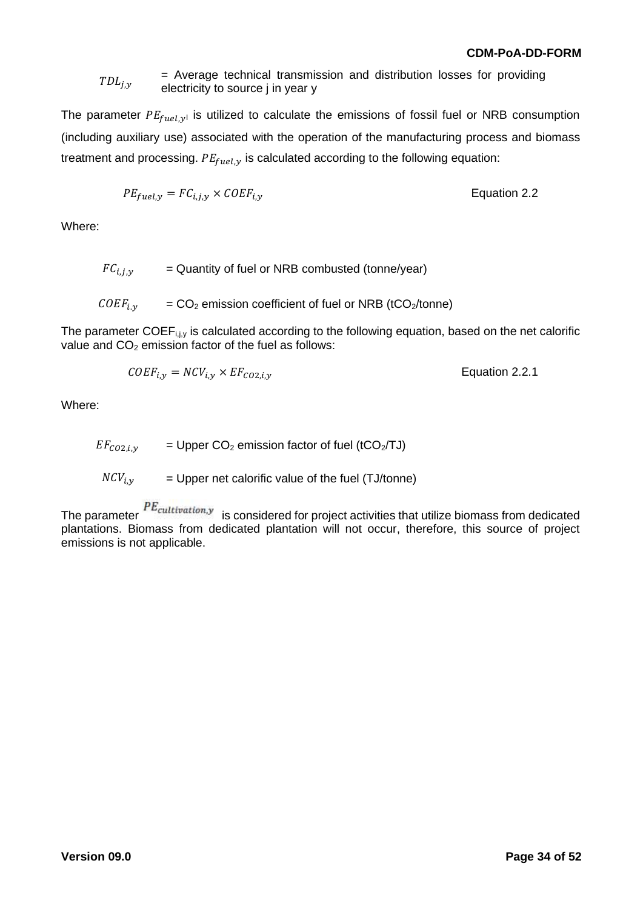#### $TDL_{i,y}$ = Average technical transmission and distribution losses for providing electricity to source j in year y

The parameter  $PE_{fuel,v}$  is utilized to calculate the emissions of fossil fuel or NRB consumption (including auxiliary use) associated with the operation of the manufacturing process and biomass treatment and processing.  $PE_{fuel, y}$  is calculated according to the following equation:

$$
PE_{fuel,y} = FC_{i,j,y} \times COEF_{i,y}
$$
 Equation 2.2

Where:

 $FC_{i,i,v}$  = Quantity of fuel or NRB combusted (tonne/year)

 $COEF_{i,v}$  =  $CO_2$  emission coefficient of fuel or NRB (tCO<sub>2</sub>/tonne)

The parameter COEF<sub>i, iy</sub> is calculated according to the following equation, based on the net calorific value and  $CO<sub>2</sub>$  emission factor of the fuel as follows:

$$
COEF_{i,y} = NCV_{i,y} \times EF_{CO2,i,y}
$$
   
Equation 2.2.1

Where:

 $EF_{CO2,i,v}$  = Upper CO<sub>2</sub> emission factor of fuel (tCO<sub>2</sub>/TJ)

 $NCV_{i,v}$  = Upper net calorific value of the fuel (TJ/tonne)

The parameter  $P_{cultivation,y}$  is considered for project activities that utilize biomass from dedicated plantations. Biomass from dedicated plantation will not occur, therefore, this source of project emissions is not applicable.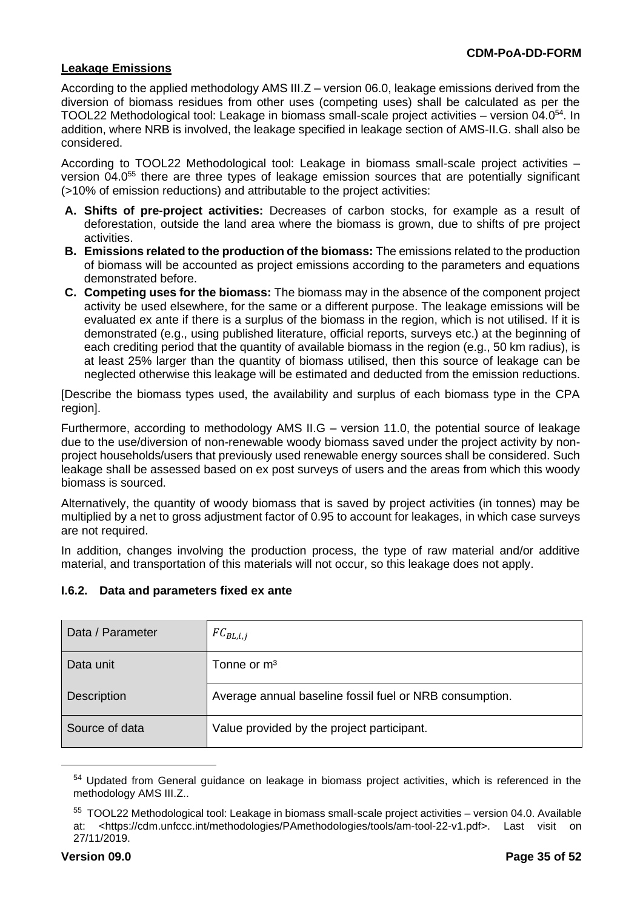#### **Leakage Emissions**

According to the applied methodology AMS III.Z – version 06.0, leakage emissions derived from the diversion of biomass residues from other uses (competing uses) shall be calculated as per the TOOL22 Methodological tool: Leakage in biomass small-scale project activities – version 04.0<sup>54</sup>. In addition, where NRB is involved, the leakage specified in leakage section of AMS-II.G. shall also be considered.

According to TOOL22 Methodological tool: Leakage in biomass small-scale project activities – version 04.0<sup>55</sup> there are three types of leakage emission sources that are potentially significant (>10% of emission reductions) and attributable to the project activities:

- **A. Shifts of pre-project activities:** Decreases of carbon stocks, for example as a result of deforestation, outside the land area where the biomass is grown, due to shifts of pre project activities.
- **B. Emissions related to the production of the biomass:** The emissions related to the production of biomass will be accounted as project emissions according to the parameters and equations demonstrated before.
- **C. Competing uses for the biomass:** The biomass may in the absence of the component project activity be used elsewhere, for the same or a different purpose. The leakage emissions will be evaluated ex ante if there is a surplus of the biomass in the region, which is not utilised. If it is demonstrated (e.g., using published literature, official reports, surveys etc.) at the beginning of each crediting period that the quantity of available biomass in the region (e.g., 50 km radius), is at least 25% larger than the quantity of biomass utilised, then this source of leakage can be neglected otherwise this leakage will be estimated and deducted from the emission reductions.

[Describe the biomass types used, the availability and surplus of each biomass type in the CPA region].

Furthermore, according to methodology AMS II.G – version 11.0, the potential source of leakage due to the use/diversion of non-renewable woody biomass saved under the project activity by nonproject households/users that previously used renewable energy sources shall be considered. Such leakage shall be assessed based on ex post surveys of users and the areas from which this woody biomass is sourced.

Alternatively, the quantity of woody biomass that is saved by project activities (in tonnes) may be multiplied by a net to gross adjustment factor of 0.95 to account for leakages, in which case surveys are not required.

In addition, changes involving the production process, the type of raw material and/or additive material, and transportation of this materials will not occur, so this leakage does not apply.

| Data / Parameter | $FC_{BL,i,j}$                                           |
|------------------|---------------------------------------------------------|
| Data unit        | Tonne or $m3$                                           |
| Description      | Average annual baseline fossil fuel or NRB consumption. |
| Source of data   | Value provided by the project participant.              |

# **I.6.2. Data and parameters fixed ex ante**

<sup>&</sup>lt;sup>54</sup> Updated from General guidance on leakage in biomass project activities, which is referenced in the methodology AMS III.Z..

<sup>&</sup>lt;sup>55</sup> TOOL22 Methodological tool: Leakage in biomass small-scale project activities - version 04.0. Available at: <https://cdm.unfccc.int/methodologies/PAmethodologies/tools/am-tool-22-v1.pdf>. Last visit on 27/11/2019.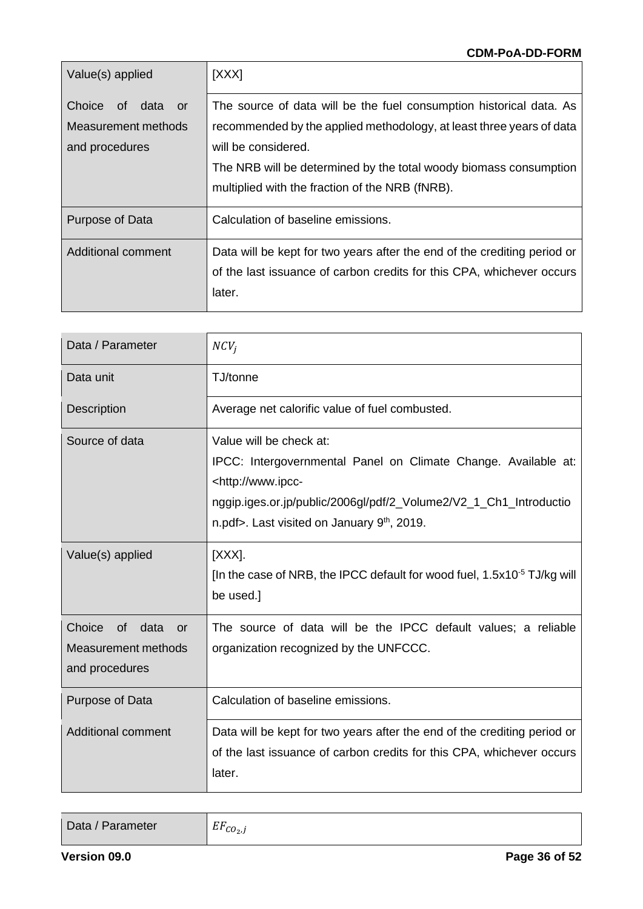| Value(s) applied     | [XXX]                                                                    |  |  |
|----------------------|--------------------------------------------------------------------------|--|--|
| Choice of data<br>or | The source of data will be the fuel consumption historical data. As      |  |  |
| Measurement methods  | recommended by the applied methodology, at least three years of data     |  |  |
| and procedures       | will be considered.                                                      |  |  |
|                      | The NRB will be determined by the total woody biomass consumption        |  |  |
|                      | multiplied with the fraction of the NRB (fNRB).                          |  |  |
| Purpose of Data      | Calculation of baseline emissions.                                       |  |  |
| Additional comment   | Data will be kept for two years after the end of the crediting period or |  |  |
|                      | of the last issuance of carbon credits for this CPA, whichever occurs    |  |  |
|                      | later.                                                                   |  |  |

| Data / Parameter                                                                   | $NCV_i$                                                                                                                                                                                                                                                    |
|------------------------------------------------------------------------------------|------------------------------------------------------------------------------------------------------------------------------------------------------------------------------------------------------------------------------------------------------------|
| Data unit                                                                          | TJ/tonne                                                                                                                                                                                                                                                   |
| <b>Description</b>                                                                 | Average net calorific value of fuel combusted.                                                                                                                                                                                                             |
| Source of data                                                                     | Value will be check at:<br>IPCC: Intergovernmental Panel on Climate Change. Available at:<br><http: www.ipcc-<br="">nggip.iges.or.jp/public/2006gl/pdf/2_Volume2/V2_1_Ch1_Introductio<br/>n.pdf&gt;. Last visited on January 9<sup>th</sup>, 2019.</http:> |
| Value(s) applied                                                                   | [XXX].<br>[In the case of NRB, the IPCC default for wood fuel, 1.5x10 <sup>-5</sup> TJ/kg will<br>be used.]                                                                                                                                                |
| Choice<br>data<br>of l<br>$\alpha$<br><b>Measurement methods</b><br>and procedures | The source of data will be the IPCC default values; a reliable<br>organization recognized by the UNFCCC.                                                                                                                                                   |
| Purpose of Data                                                                    | Calculation of baseline emissions.                                                                                                                                                                                                                         |
| <b>Additional comment</b>                                                          | Data will be kept for two years after the end of the crediting period or<br>of the last issuance of carbon credits for this CPA, whichever occurs<br>later.                                                                                                |

| Data / Parameter | $\mathbf{H}$ $\mathbf{H}$<br>$E_{cO_{2\nu}}$ |
|------------------|----------------------------------------------|
|------------------|----------------------------------------------|

 $\overline{1}$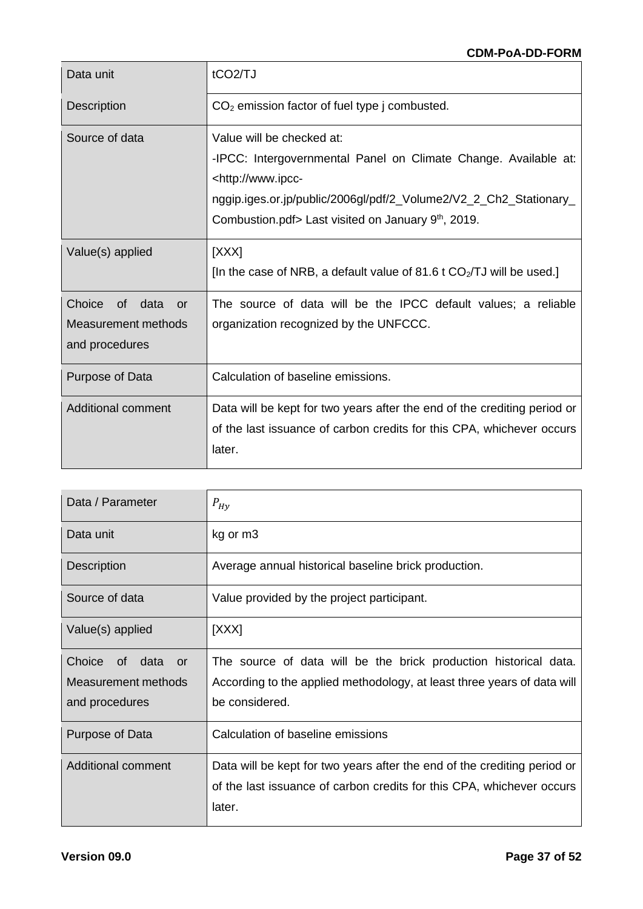| Data unit                                                               | tCO <sub>2</sub> /TJ                                                                                                                                                                                                                                                  |
|-------------------------------------------------------------------------|-----------------------------------------------------------------------------------------------------------------------------------------------------------------------------------------------------------------------------------------------------------------------|
| <b>Description</b>                                                      | $CO2$ emission factor of fuel type j combusted.                                                                                                                                                                                                                       |
| Source of data                                                          | Value will be checked at:<br>-IPCC: Intergovernmental Panel on Climate Change. Available at:<br><http: www.ipcc-<br="">nggip.iges.or.jp/public/2006gl/pdf/2_Volume2/V2_2_Ch2_Stationary_<br/>Combustion.pdf&gt; Last visited on January 9<sup>th</sup>, 2019.</http:> |
| Value(s) applied                                                        | [XXX]<br>[In the case of NRB, a default value of 81.6 t CO <sub>2</sub> /TJ will be used.]                                                                                                                                                                            |
| Choice<br>of data<br><b>or</b><br>Measurement methods<br>and procedures | The source of data will be the IPCC default values; a reliable<br>organization recognized by the UNFCCC.                                                                                                                                                              |
| Purpose of Data                                                         | Calculation of baseline emissions.                                                                                                                                                                                                                                    |
| <b>Additional comment</b>                                               | Data will be kept for two years after the end of the crediting period or<br>of the last issuance of carbon credits for this CPA, whichever occurs<br>later.                                                                                                           |

| Data / Parameter                                                       | $P_{Hy}$                                                                                                                                                      |
|------------------------------------------------------------------------|---------------------------------------------------------------------------------------------------------------------------------------------------------------|
| Data unit                                                              | kg or m3                                                                                                                                                      |
| <b>Description</b>                                                     | Average annual historical baseline brick production.                                                                                                          |
| Source of data                                                         | Value provided by the project participant.                                                                                                                    |
| Value(s) applied                                                       | [XXX]                                                                                                                                                         |
| Choice<br>of data<br>$\alpha$<br>Measurement methods<br>and procedures | The source of data will be the brick production historical data.<br>According to the applied methodology, at least three years of data will<br>be considered. |
| Purpose of Data                                                        | Calculation of baseline emissions                                                                                                                             |
| Additional comment                                                     | Data will be kept for two years after the end of the crediting period or<br>of the last issuance of carbon credits for this CPA, whichever occurs<br>later.   |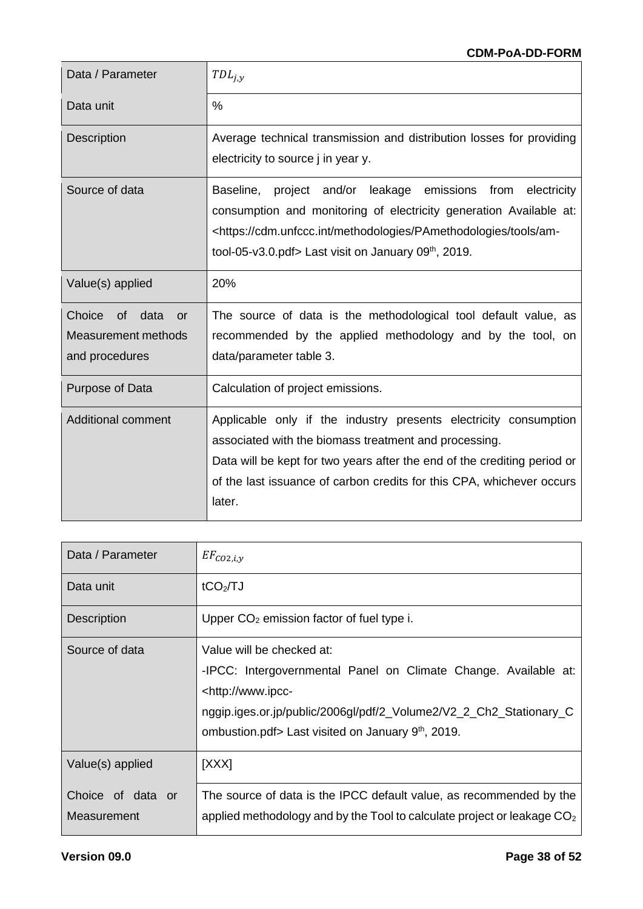| Data / Parameter                                                               | $TDL_{j,y}$                                                                                                                                                                                                                                                                                         |
|--------------------------------------------------------------------------------|-----------------------------------------------------------------------------------------------------------------------------------------------------------------------------------------------------------------------------------------------------------------------------------------------------|
| Data unit                                                                      | $\frac{0}{0}$                                                                                                                                                                                                                                                                                       |
| <b>Description</b>                                                             | Average technical transmission and distribution losses for providing<br>electricity to source j in year y.                                                                                                                                                                                          |
| Source of data                                                                 | project and/or leakage emissions from electricity<br>Baseline,<br>consumption and monitoring of electricity generation Available at:<br><https: am-<br="" cdm.unfccc.int="" methodologies="" pamethodologies="" tools="">tool-05-v3.0.pdf&gt; Last visit on January 09<sup>th</sup>, 2019.</https:> |
| Value(s) applied                                                               | 20%                                                                                                                                                                                                                                                                                                 |
| Choice<br>of data<br><b>or</b><br><b>Measurement methods</b><br>and procedures | The source of data is the methodological tool default value, as<br>recommended by the applied methodology and by the tool, on<br>data/parameter table 3.                                                                                                                                            |
| Purpose of Data                                                                | Calculation of project emissions.                                                                                                                                                                                                                                                                   |
| <b>Additional comment</b>                                                      | Applicable only if the industry presents electricity consumption<br>associated with the biomass treatment and processing.<br>Data will be kept for two years after the end of the crediting period or<br>of the last issuance of carbon credits for this CPA, whichever occurs<br>later.            |

| Data / Parameter                 | $EF_{CO2,i,y}$                                                                                                                                                                                                                                                        |
|----------------------------------|-----------------------------------------------------------------------------------------------------------------------------------------------------------------------------------------------------------------------------------------------------------------------|
| Data unit                        | tCO <sub>2</sub> /TJ                                                                                                                                                                                                                                                  |
| <b>Description</b>               | Upper $CO2$ emission factor of fuel type i.                                                                                                                                                                                                                           |
| Source of data                   | Value will be checked at:<br>-IPCC: Intergovernmental Panel on Climate Change. Available at:<br><http: www.ipcc-<br="">nggip.iges.or.jp/public/2006gl/pdf/2_Volume2/V2_2_Ch2_Stationary_C<br/>ombustion.pdf&gt; Last visited on January 9<sup>th</sup>, 2019.</http:> |
| Value(s) applied                 | [XXX]                                                                                                                                                                                                                                                                 |
| Choice of data or<br>Measurement | The source of data is the IPCC default value, as recommended by the<br>applied methodology and by the Tool to calculate project or leakage $CO2$                                                                                                                      |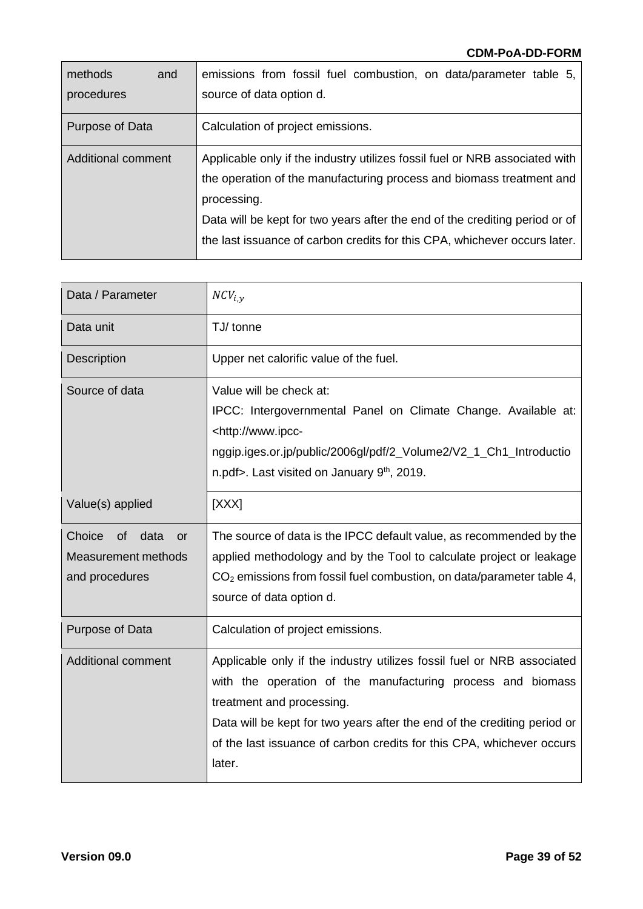| methods<br>and     | emissions from fossil fuel combustion, on data/parameter table 5,           |
|--------------------|-----------------------------------------------------------------------------|
| procedures         | source of data option d.                                                    |
| Purpose of Data    | Calculation of project emissions.                                           |
| Additional comment | Applicable only if the industry utilizes fossil fuel or NRB associated with |
|                    | the operation of the manufacturing process and biomass treatment and        |
|                    | processing.                                                                 |
|                    | Data will be kept for two years after the end of the crediting period or of |
|                    | the last issuance of carbon credits for this CPA, whichever occurs later.   |

| Data / Parameter                                                                      | $NCV_{i,v}$                                                                                                                                                                                                                                                                                                                       |
|---------------------------------------------------------------------------------------|-----------------------------------------------------------------------------------------------------------------------------------------------------------------------------------------------------------------------------------------------------------------------------------------------------------------------------------|
| Data unit                                                                             | TJ/ tonne                                                                                                                                                                                                                                                                                                                         |
| Description                                                                           | Upper net calorific value of the fuel.                                                                                                                                                                                                                                                                                            |
| Source of data                                                                        | Value will be check at:<br>IPCC: Intergovernmental Panel on Climate Change. Available at:<br><http: www.ipcc-<br="">nggip.iges.or.jp/public/2006gl/pdf/2_Volume2/V2_1_Ch1_Introductio<br/>n.pdf&gt;. Last visited on January 9<sup>th</sup>, 2019.</http:>                                                                        |
| Value(s) applied                                                                      | [XXX]                                                                                                                                                                                                                                                                                                                             |
| Choice<br>data<br><sub>of</sub><br><b>or</b><br>Measurement methods<br>and procedures | The source of data is the IPCC default value, as recommended by the<br>applied methodology and by the Tool to calculate project or leakage<br>$CO2$ emissions from fossil fuel combustion, on data/parameter table 4,<br>source of data option d.                                                                                 |
| Purpose of Data                                                                       | Calculation of project emissions.                                                                                                                                                                                                                                                                                                 |
| <b>Additional comment</b>                                                             | Applicable only if the industry utilizes fossil fuel or NRB associated<br>with the operation of the manufacturing process and biomass<br>treatment and processing.<br>Data will be kept for two years after the end of the crediting period or<br>of the last issuance of carbon credits for this CPA, whichever occurs<br>later. |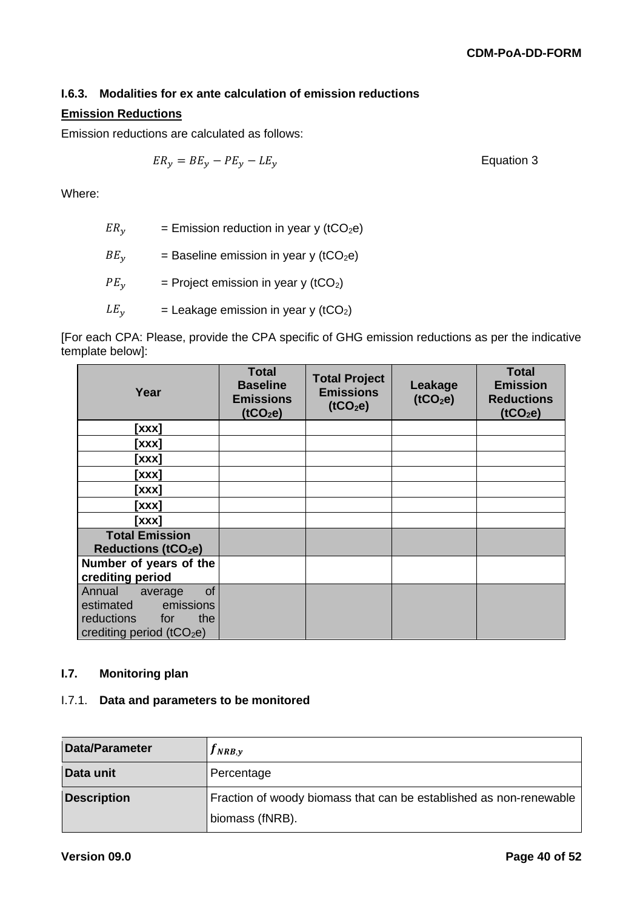# **I.6.3. Modalities for ex ante calculation of emission reductions**

## **Emission Reductions**

Emission reductions are calculated as follows:

 $ER_y = BE_y - PE_y - LE_y$  Equation 3

Where:

| $ER_v$     | = Emission reduction in year y (tCO <sub>2</sub> e) |
|------------|-----------------------------------------------------|
| $BE_v$     | = Baseline emission in year y ( $tCO2e$ )           |
| $PE_{\nu}$ | = Project emission in year y (tCO <sub>2</sub> )    |
| $LE_{\nu}$ | = Leakage emission in year y ( $tCO2$ )             |

[For each CPA: Please, provide the CPA specific of GHG emission reductions as per the indicative template below]:

| Year                                                                                                          | <b>Total</b><br><b>Baseline</b><br><b>Emissions</b><br>(tCO <sub>2</sub> e) | <b>Total Project</b><br><b>Emissions</b><br>(tCO <sub>2</sub> e) | Leakage<br>(tCO <sub>2</sub> e) | <b>Total</b><br><b>Emission</b><br><b>Reductions</b><br>(tCO <sub>2</sub> e) |
|---------------------------------------------------------------------------------------------------------------|-----------------------------------------------------------------------------|------------------------------------------------------------------|---------------------------------|------------------------------------------------------------------------------|
| [xxx]                                                                                                         |                                                                             |                                                                  |                                 |                                                                              |
| [xxx]                                                                                                         |                                                                             |                                                                  |                                 |                                                                              |
| [xxx]                                                                                                         |                                                                             |                                                                  |                                 |                                                                              |
| [xxx]                                                                                                         |                                                                             |                                                                  |                                 |                                                                              |
| [xxx]                                                                                                         |                                                                             |                                                                  |                                 |                                                                              |
| [xxx]                                                                                                         |                                                                             |                                                                  |                                 |                                                                              |
| [xxx]                                                                                                         |                                                                             |                                                                  |                                 |                                                                              |
| <b>Total Emission</b><br><b>Reductions (tCO<sub>2</sub>e)</b>                                                 |                                                                             |                                                                  |                                 |                                                                              |
| Number of years of the<br>crediting period                                                                    |                                                                             |                                                                  |                                 |                                                                              |
| Annual<br>of<br>average<br>emissions<br>estimated<br>reductions<br>the<br>for<br>crediting period ( $tCO2e$ ) |                                                                             |                                                                  |                                 |                                                                              |

#### **I.7. Monitoring plan**

#### I.7.1. **Data and parameters to be monitored**

| Data/Parameter     | $J_{NRB,\nu}$                                                      |
|--------------------|--------------------------------------------------------------------|
| Data unit          | Percentage                                                         |
| <b>Description</b> | Fraction of woody biomass that can be established as non-renewable |
|                    | biomass (fNRB).                                                    |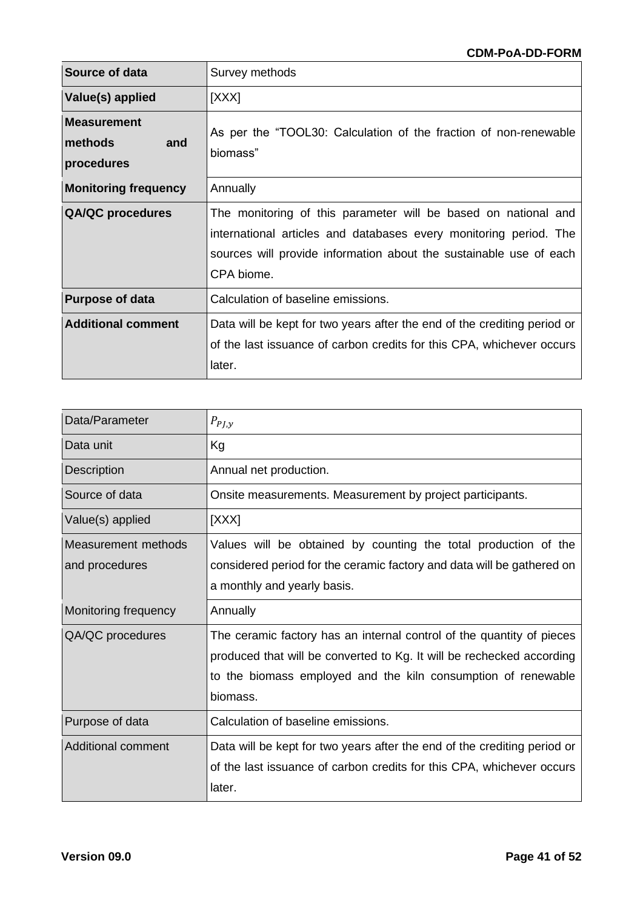| Source of data                                     | Survey methods                                                                                                                                                                                                          |
|----------------------------------------------------|-------------------------------------------------------------------------------------------------------------------------------------------------------------------------------------------------------------------------|
| Value(s) applied                                   | [XXX]                                                                                                                                                                                                                   |
| <b>Measurement</b><br>methods<br>and<br>procedures | As per the "TOOL30: Calculation of the fraction of non-renewable<br>biomass"                                                                                                                                            |
| <b>Monitoring frequency</b>                        | Annually                                                                                                                                                                                                                |
| <b>QA/QC</b> procedures                            | The monitoring of this parameter will be based on national and<br>international articles and databases every monitoring period. The<br>sources will provide information about the sustainable use of each<br>CPA biome. |
| <b>Purpose of data</b>                             | Calculation of baseline emissions.                                                                                                                                                                                      |
| <b>Additional comment</b>                          | Data will be kept for two years after the end of the crediting period or<br>of the last issuance of carbon credits for this CPA, whichever occurs<br>later.                                                             |

| Data/Parameter       | $P_{PJ,y}$                                                               |
|----------------------|--------------------------------------------------------------------------|
| Data unit            | Kg                                                                       |
| Description          | Annual net production.                                                   |
| Source of data       | Onsite measurements. Measurement by project participants.                |
| Value(s) applied     | [XXX]                                                                    |
| Measurement methods  | Values will be obtained by counting the total production of the          |
| and procedures       | considered period for the ceramic factory and data will be gathered on   |
|                      | a monthly and yearly basis.                                              |
|                      |                                                                          |
| Monitoring frequency | Annually                                                                 |
| QA/QC procedures     | The ceramic factory has an internal control of the quantity of pieces    |
|                      | produced that will be converted to Kg. It will be rechecked according    |
|                      | to the biomass employed and the kiln consumption of renewable            |
|                      | biomass.                                                                 |
| Purpose of data      | Calculation of baseline emissions.                                       |
| Additional comment   | Data will be kept for two years after the end of the crediting period or |
|                      | of the last issuance of carbon credits for this CPA, whichever occurs    |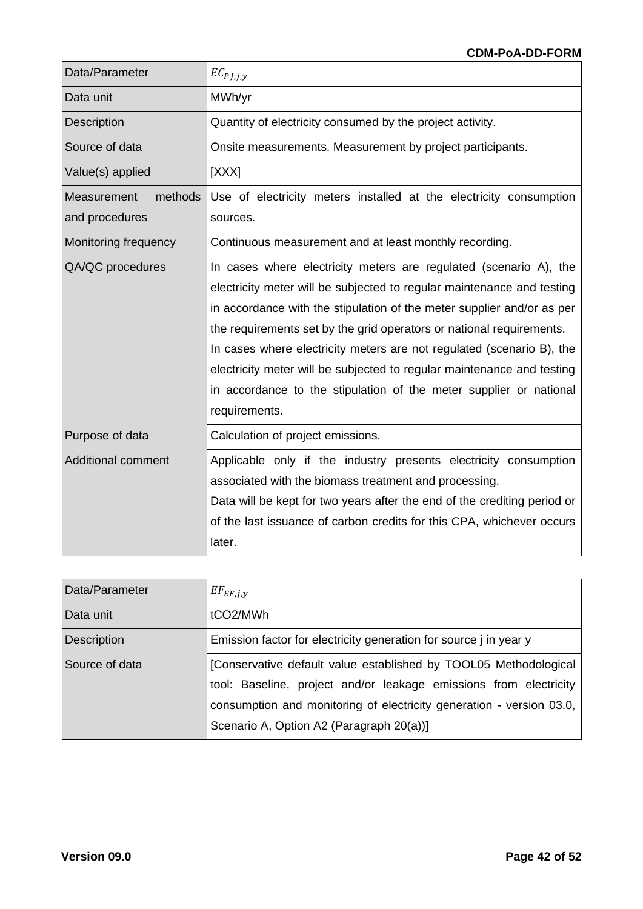| Data/Parameter                           | $EC_{PJ,j,y}$                                                                                                                                                                                                                                                                                                                                                                                                                                                                                                                           |
|------------------------------------------|-----------------------------------------------------------------------------------------------------------------------------------------------------------------------------------------------------------------------------------------------------------------------------------------------------------------------------------------------------------------------------------------------------------------------------------------------------------------------------------------------------------------------------------------|
| Data unit                                | MWh/yr                                                                                                                                                                                                                                                                                                                                                                                                                                                                                                                                  |
| <b>Description</b>                       | Quantity of electricity consumed by the project activity.                                                                                                                                                                                                                                                                                                                                                                                                                                                                               |
| Source of data                           | Onsite measurements. Measurement by project participants.                                                                                                                                                                                                                                                                                                                                                                                                                                                                               |
| Value(s) applied                         | [XXX]                                                                                                                                                                                                                                                                                                                                                                                                                                                                                                                                   |
| methods<br>Measurement<br>and procedures | Use of electricity meters installed at the electricity consumption<br>sources.                                                                                                                                                                                                                                                                                                                                                                                                                                                          |
| Monitoring frequency                     | Continuous measurement and at least monthly recording.                                                                                                                                                                                                                                                                                                                                                                                                                                                                                  |
| QA/QC procedures                         | In cases where electricity meters are regulated (scenario A), the<br>electricity meter will be subjected to regular maintenance and testing<br>in accordance with the stipulation of the meter supplier and/or as per<br>the requirements set by the grid operators or national requirements.<br>In cases where electricity meters are not regulated (scenario B), the<br>electricity meter will be subjected to regular maintenance and testing<br>in accordance to the stipulation of the meter supplier or national<br>requirements. |
| Purpose of data                          | Calculation of project emissions.                                                                                                                                                                                                                                                                                                                                                                                                                                                                                                       |
| <b>Additional comment</b>                | Applicable only if the industry presents electricity consumption<br>associated with the biomass treatment and processing.<br>Data will be kept for two years after the end of the crediting period or<br>of the last issuance of carbon credits for this CPA, whichever occurs<br>later.                                                                                                                                                                                                                                                |

| Data/Parameter     | $EF_{EF,i,y}$                                                        |
|--------------------|----------------------------------------------------------------------|
| Data unit          | tCO2/MWh                                                             |
| <b>Description</b> | Emission factor for electricity generation for source j in year y    |
| Source of data     | [Conservative default value established by TOOL05 Methodological     |
|                    | tool: Baseline, project and/or leakage emissions from electricity    |
|                    | consumption and monitoring of electricity generation - version 03.0, |
|                    | Scenario A, Option A2 (Paragraph 20(a))]                             |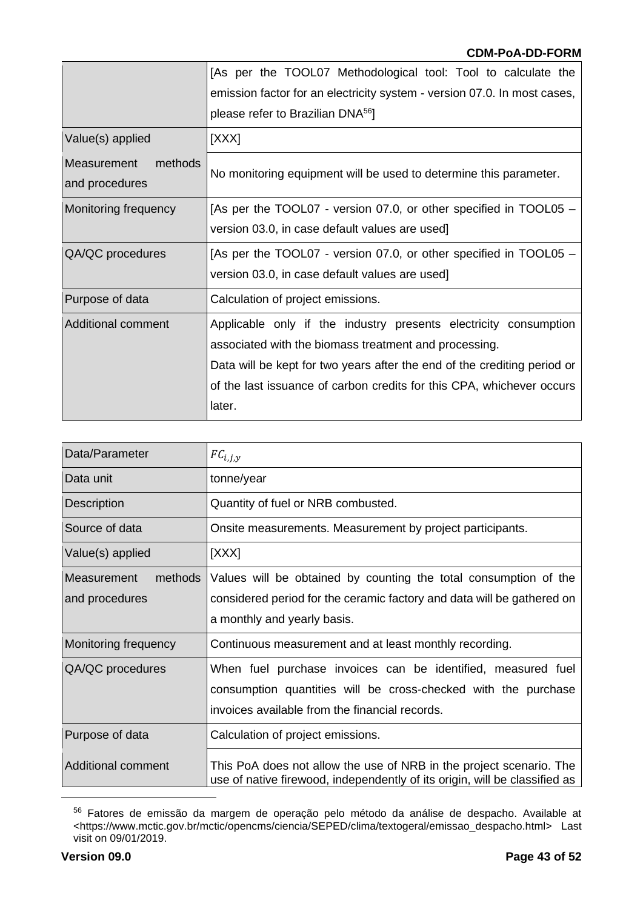|                                          | [As per the TOOL07 Methodological tool: Tool to calculate the            |  |  |
|------------------------------------------|--------------------------------------------------------------------------|--|--|
|                                          | emission factor for an electricity system - version 07.0. In most cases, |  |  |
|                                          | please refer to Brazilian DNA <sup>56</sup> ]                            |  |  |
| Value(s) applied                         | [XXX]                                                                    |  |  |
| methods<br>Measurement<br>and procedures | No monitoring equipment will be used to determine this parameter.        |  |  |
| Monitoring frequency                     | [As per the TOOL07 - version 07.0, or other specified in TOOL05 –        |  |  |
|                                          | version 03.0, in case default values are used]                           |  |  |
| QA/QC procedures                         | [As per the TOOL07 - version 07.0, or other specified in TOOL05 –        |  |  |
|                                          | version 03.0, in case default values are used]                           |  |  |
| Purpose of data                          | Calculation of project emissions.                                        |  |  |
| Additional comment                       | Applicable only if the industry presents electricity consumption         |  |  |
|                                          | associated with the biomass treatment and processing.                    |  |  |
|                                          | Data will be kept for two years after the end of the crediting period or |  |  |
|                                          | of the last issuance of carbon credits for this CPA, whichever occurs    |  |  |
|                                          | later.                                                                   |  |  |
|                                          |                                                                          |  |  |

| Data/Parameter                           | $FC_{i,j,y}$                                                                                                                                                                     |
|------------------------------------------|----------------------------------------------------------------------------------------------------------------------------------------------------------------------------------|
| Data unit                                | tonne/year                                                                                                                                                                       |
| Description                              | Quantity of fuel or NRB combusted.                                                                                                                                               |
| Source of data                           | Onsite measurements. Measurement by project participants.                                                                                                                        |
| Value(s) applied                         | [XXX]                                                                                                                                                                            |
| Measurement<br>methods<br>and procedures | Values will be obtained by counting the total consumption of the<br>considered period for the ceramic factory and data will be gathered on<br>a monthly and yearly basis.        |
| Monitoring frequency                     | Continuous measurement and at least monthly recording.                                                                                                                           |
| QA/QC procedures                         | When fuel purchase invoices can be identified, measured fuel<br>consumption quantities will be cross-checked with the purchase<br>invoices available from the financial records. |
| Purpose of data                          | Calculation of project emissions.                                                                                                                                                |
| <b>Additional comment</b>                | This PoA does not allow the use of NRB in the project scenario. The<br>use of native firewood, independently of its origin, will be classified as                                |

<sup>&</sup>lt;sup>56</sup> Fatores de emissão da margem de operação pelo método da análise de despacho. Available at <https://www.mctic.gov.br/mctic/opencms/ciencia/SEPED/clima/textogeral/emissao\_despacho.html> Last visit on 09/01/2019.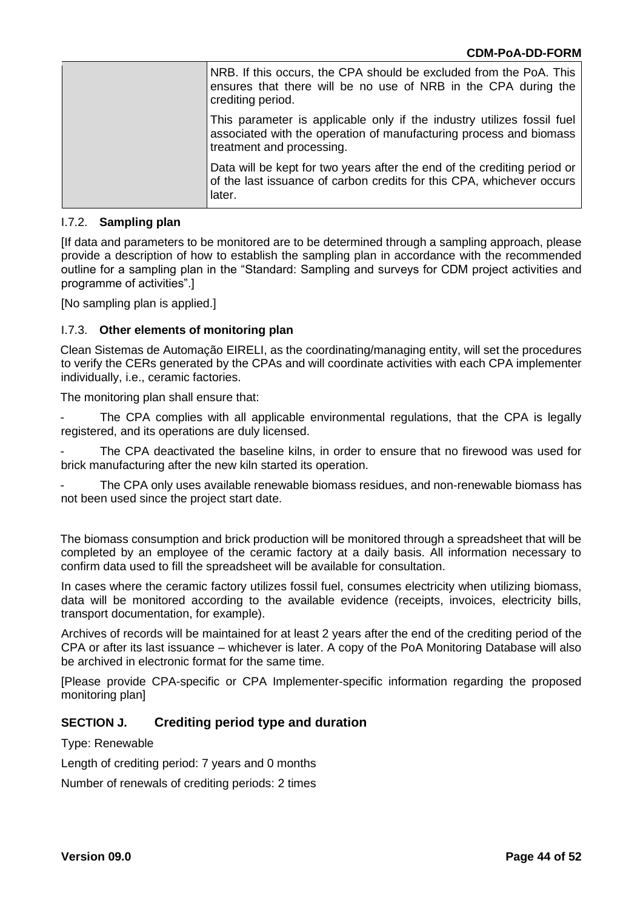| <b>INRB.</b> If this occurs, the CPA should be excluded from the PoA. This<br>ensures that there will be no use of NRB in the CPA during the<br>crediting period.         |
|---------------------------------------------------------------------------------------------------------------------------------------------------------------------------|
| This parameter is applicable only if the industry utilizes fossil fuel<br>associated with the operation of manufacturing process and biomass<br>treatment and processing. |
| Data will be kept for two years after the end of the crediting period or<br>of the last issuance of carbon credits for this CPA, whichever occurs<br>later.               |

#### I.7.2. **Sampling plan**

[If data and parameters to be monitored are to be determined through a sampling approach, please provide a description of how to establish the sampling plan in accordance with the recommended outline for a sampling plan in the "Standard: Sampling and surveys for CDM project activities and programme of activities".]

[No sampling plan is applied.]

#### I.7.3. **Other elements of monitoring plan**

Clean Sistemas de Automação EIRELI, as the coordinating/managing entity, will set the procedures to verify the CERs generated by the CPAs and will coordinate activities with each CPA implementer individually, i.e., ceramic factories.

The monitoring plan shall ensure that:

The CPA complies with all applicable environmental regulations, that the CPA is legally registered, and its operations are duly licensed.

The CPA deactivated the baseline kilns, in order to ensure that no firewood was used for brick manufacturing after the new kiln started its operation.

The CPA only uses available renewable biomass residues, and non-renewable biomass has not been used since the project start date.

The biomass consumption and brick production will be monitored through a spreadsheet that will be completed by an employee of the ceramic factory at a daily basis. All information necessary to confirm data used to fill the spreadsheet will be available for consultation.

In cases where the ceramic factory utilizes fossil fuel, consumes electricity when utilizing biomass, data will be monitored according to the available evidence (receipts, invoices, electricity bills, transport documentation, for example).

Archives of records will be maintained for at least 2 years after the end of the crediting period of the CPA or after its last issuance – whichever is later. A copy of the PoA Monitoring Database will also be archived in electronic format for the same time.

[Please provide CPA-specific or CPA Implementer-specific information regarding the proposed monitoring plan]

#### **SECTION J. Crediting period type and duration**

Type: Renewable

Length of crediting period: 7 years and 0 months

Number of renewals of crediting periods: 2 times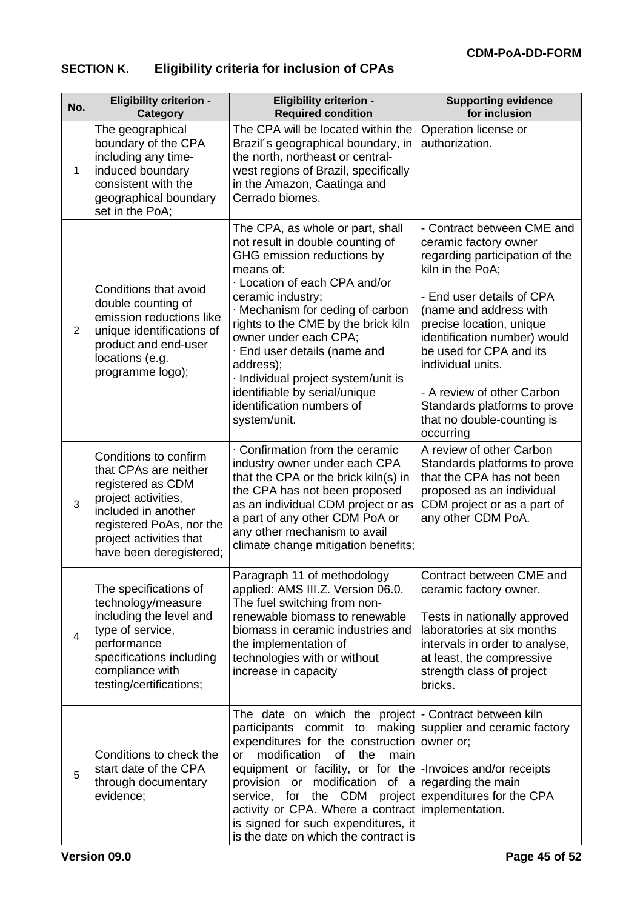# **SECTION K. Eligibility criteria for inclusion of CPAs**

| No.            | <b>Eligibility criterion -</b><br><b>Category</b>                                                                                                                                                   | <b>Eligibility criterion -</b><br><b>Required condition</b>                                                                                                                                                                                                                                                                                                                                                                                                                                                   | <b>Supporting evidence</b><br>for inclusion                                                                                                                                                                                                                                                                                                                                           |
|----------------|-----------------------------------------------------------------------------------------------------------------------------------------------------------------------------------------------------|---------------------------------------------------------------------------------------------------------------------------------------------------------------------------------------------------------------------------------------------------------------------------------------------------------------------------------------------------------------------------------------------------------------------------------------------------------------------------------------------------------------|---------------------------------------------------------------------------------------------------------------------------------------------------------------------------------------------------------------------------------------------------------------------------------------------------------------------------------------------------------------------------------------|
| 1              | The geographical<br>boundary of the CPA<br>including any time-<br>induced boundary<br>consistent with the<br>geographical boundary<br>set in the PoA;                                               | The CPA will be located within the<br>Brazil's geographical boundary, in<br>the north, northeast or central-<br>west regions of Brazil, specifically<br>in the Amazon, Caatinga and<br>Cerrado biomes.                                                                                                                                                                                                                                                                                                        | Operation license or<br>authorization.                                                                                                                                                                                                                                                                                                                                                |
| $\overline{2}$ | Conditions that avoid<br>double counting of<br>emission reductions like<br>unique identifications of<br>product and end-user<br>locations (e.g.<br>programme logo);                                 | The CPA, as whole or part, shall<br>not result in double counting of<br>GHG emission reductions by<br>means of:<br>· Location of each CPA and/or<br>ceramic industry;<br>Mechanism for ceding of carbon<br>rights to the CME by the brick kiln<br>owner under each CPA;<br>· End user details (name and<br>address);<br>· Individual project system/unit is<br>identifiable by serial/unique<br>identification numbers of<br>system/unit.                                                                     | - Contract between CME and<br>ceramic factory owner<br>regarding participation of the<br>kiln in the PoA;<br>- End user details of CPA<br>(name and address with<br>precise location, unique<br>identification number) would<br>be used for CPA and its<br>individual units.<br>- A review of other Carbon<br>Standards platforms to prove<br>that no double-counting is<br>occurring |
| 3              | Conditions to confirm<br>that CPAs are neither<br>registered as CDM<br>project activities,<br>included in another<br>registered PoAs, nor the<br>project activities that<br>have been deregistered; | Confirmation from the ceramic<br>industry owner under each CPA<br>that the CPA or the brick kiln(s) in<br>the CPA has not been proposed<br>as an individual CDM project or as<br>a part of any other CDM PoA or<br>any other mechanism to avail<br>climate change mitigation benefits;                                                                                                                                                                                                                        | A review of other Carbon<br>Standards platforms to prove<br>that the CPA has not been<br>proposed as an individual<br>CDM project or as a part of<br>any other CDM PoA.                                                                                                                                                                                                               |
| 4              | The specifications of<br>technology/measure<br>including the level and<br>type of service,<br>performance<br>specifications including<br>compliance with<br>testing/certifications;                 | Paragraph 11 of methodology<br>applied: AMS III.Z. Version 06.0.<br>The fuel switching from non-<br>renewable biomass to renewable<br>biomass in ceramic industries and<br>the implementation of<br>technologies with or without<br>increase in capacity                                                                                                                                                                                                                                                      | Contract between CME and<br>ceramic factory owner.<br>Tests in nationally approved<br>laboratories at six months<br>intervals in order to analyse,<br>at least, the compressive<br>strength class of project<br>bricks.                                                                                                                                                               |
| 5              | Conditions to check the<br>start date of the CPA<br>through documentary<br>evidence;                                                                                                                | The date on which the project - Contract between kiln<br>participants commit to making supplier and ceramic factory<br>expenditures for the construction owner or;<br>modification<br><b>of</b><br>the<br>main<br><b>or</b><br>equipment or facility, or for the  - Invoices and/or receipts<br>provision or modification of a regarding the main<br>service, for the CDM<br>activity or CPA. Where a contract implementation.<br>is signed for such expenditures, it<br>is the date on which the contract is | project expenditures for the CPA                                                                                                                                                                                                                                                                                                                                                      |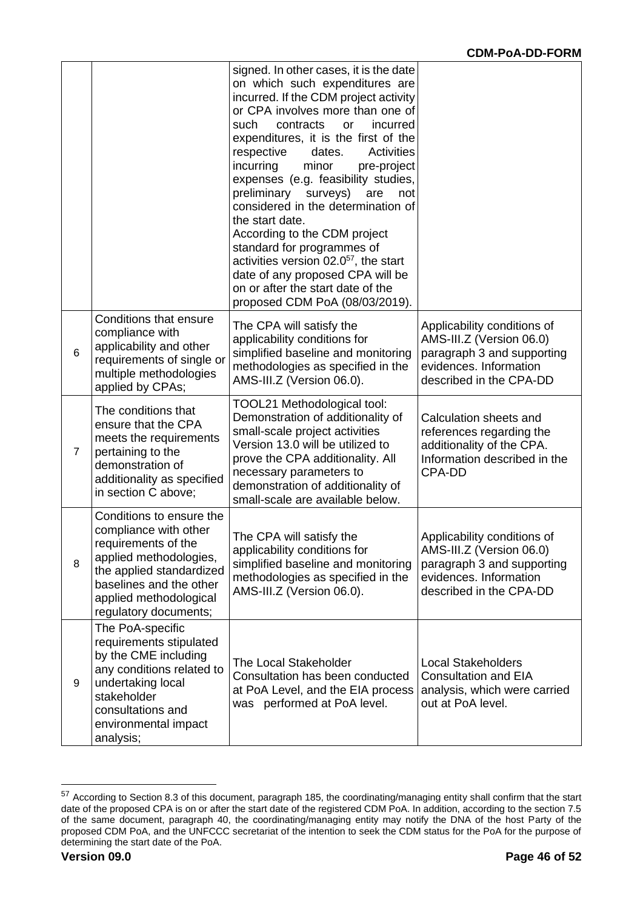|                |                                                                                                                                                                                                              | signed. In other cases, it is the date<br>on which such expenditures are<br>incurred. If the CDM project activity<br>or CPA involves more than one of<br>such<br>contracts<br>incurred<br>or<br>expenditures, it is the first of the<br>Activities<br>respective<br>dates.<br>incurring<br>minor<br>pre-project<br>expenses (e.g. feasibility studies,<br>preliminary<br>surveys)<br>are<br>not<br>considered in the determination of<br>the start date.<br>According to the CDM project<br>standard for programmes of<br>activities version $02.0^{57}$ , the start<br>date of any proposed CPA will be<br>on or after the start date of the<br>proposed CDM PoA (08/03/2019). |                                                                                                                                            |
|----------------|--------------------------------------------------------------------------------------------------------------------------------------------------------------------------------------------------------------|---------------------------------------------------------------------------------------------------------------------------------------------------------------------------------------------------------------------------------------------------------------------------------------------------------------------------------------------------------------------------------------------------------------------------------------------------------------------------------------------------------------------------------------------------------------------------------------------------------------------------------------------------------------------------------|--------------------------------------------------------------------------------------------------------------------------------------------|
| 6              | <b>Conditions that ensure</b><br>compliance with<br>applicability and other<br>requirements of single or<br>multiple methodologies<br>applied by CPAs;                                                       | The CPA will satisfy the<br>applicability conditions for<br>simplified baseline and monitoring<br>methodologies as specified in the<br>AMS-III.Z (Version 06.0).                                                                                                                                                                                                                                                                                                                                                                                                                                                                                                                | Applicability conditions of<br>AMS-III.Z (Version 06.0)<br>paragraph 3 and supporting<br>evidences. Information<br>described in the CPA-DD |
| $\overline{7}$ | The conditions that<br>ensure that the CPA<br>meets the requirements<br>pertaining to the<br>demonstration of<br>additionality as specified<br>in section C above;                                           | TOOL21 Methodological tool:<br>Demonstration of additionality of<br>small-scale project activities<br>Version 13.0 will be utilized to<br>prove the CPA additionality. All<br>necessary parameters to<br>demonstration of additionality of<br>small-scale are available below.                                                                                                                                                                                                                                                                                                                                                                                                  | Calculation sheets and<br>references regarding the<br>additionality of the CPA.<br>Information described in the<br>CPA-DD                  |
| 8              | Conditions to ensure the<br>compliance with other<br>requirements of the<br>applied methodologies,<br>the applied standardized<br>baselines and the other<br>applied methodological<br>regulatory documents; | The CPA will satisfy the<br>applicability conditions for<br>simplified baseline and monitoring<br>methodologies as specified in the<br>AMS-III.Z (Version 06.0).                                                                                                                                                                                                                                                                                                                                                                                                                                                                                                                | Applicability conditions of<br>AMS-III.Z (Version 06.0)<br>paragraph 3 and supporting<br>evidences. Information<br>described in the CPA-DD |
| 9              | The PoA-specific<br>requirements stipulated<br>by the CME including<br>any conditions related to<br>undertaking local<br>stakeholder<br>consultations and<br>environmental impact<br>analysis;               | <b>The Local Stakeholder</b><br>Consultation has been conducted<br>at PoA Level, and the EIA process<br>was performed at PoA level.                                                                                                                                                                                                                                                                                                                                                                                                                                                                                                                                             | <b>Local Stakeholders</b><br><b>Consultation and EIA</b><br>analysis, which were carried<br>out at PoA level.                              |

<sup>57</sup> According to Section 8.3 of this document, paragraph 185, the coordinating/managing entity shall confirm that the start date of the proposed CPA is on or after the start date of the registered CDM PoA. In addition, according to the section 7.5 of the same document, paragraph 40, the coordinating/managing entity may notify the DNA of the host Party of the proposed CDM PoA, and the UNFCCC secretariat of the intention to seek the CDM status for the PoA for the purpose of determining the start date of the PoA.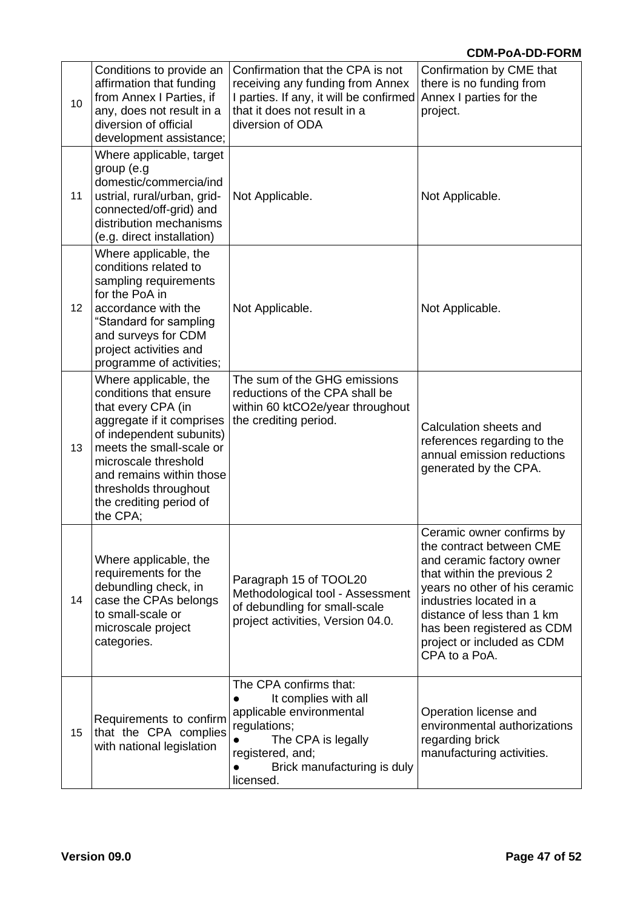| 10 | Conditions to provide an<br>affirmation that funding<br>from Annex I Parties, if<br>any, does not result in a<br>diversion of official<br>development assistance;                                                                                                              | Confirmation that the CPA is not<br>receiving any funding from Annex<br>I parties. If any, it will be confirmed<br>that it does not result in a<br>diversion of ODA                           | Confirmation by CME that<br>there is no funding from<br>Annex I parties for the<br>project.                                                                                                                                                                                             |
|----|--------------------------------------------------------------------------------------------------------------------------------------------------------------------------------------------------------------------------------------------------------------------------------|-----------------------------------------------------------------------------------------------------------------------------------------------------------------------------------------------|-----------------------------------------------------------------------------------------------------------------------------------------------------------------------------------------------------------------------------------------------------------------------------------------|
| 11 | Where applicable, target<br>group (e.g<br>domestic/commercia/ind<br>ustrial, rural/urban, grid-<br>connected/off-grid) and<br>distribution mechanisms<br>(e.g. direct installation)                                                                                            | Not Applicable.                                                                                                                                                                               | Not Applicable.                                                                                                                                                                                                                                                                         |
| 12 | Where applicable, the<br>conditions related to<br>sampling requirements<br>for the PoA in<br>accordance with the<br>"Standard for sampling<br>and surveys for CDM<br>project activities and<br>programme of activities;                                                        | Not Applicable.                                                                                                                                                                               | Not Applicable.                                                                                                                                                                                                                                                                         |
| 13 | Where applicable, the<br>conditions that ensure<br>that every CPA (in<br>aggregate if it comprises<br>of independent subunits)<br>meets the small-scale or<br>microscale threshold<br>and remains within those<br>thresholds throughout<br>the crediting period of<br>the CPA; | The sum of the GHG emissions<br>reductions of the CPA shall be<br>within 60 ktCO2e/year throughout<br>the crediting period.                                                                   | Calculation sheets and<br>references regarding to the<br>annual emission reductions<br>generated by the CPA.                                                                                                                                                                            |
| 14 | Where applicable, the<br>requirements for the<br>debundling check, in<br>case the CPAs belongs<br>to small-scale or<br>microscale project<br>categories.                                                                                                                       | Paragraph 15 of TOOL20<br>Methodological tool - Assessment<br>of debundling for small-scale<br>project activities, Version 04.0.                                                              | Ceramic owner confirms by<br>the contract between CME<br>and ceramic factory owner<br>that within the previous 2<br>years no other of his ceramic<br>industries located in a<br>distance of less than 1 km<br>has been registered as CDM<br>project or included as CDM<br>CPA to a PoA. |
| 15 | Requirements to confirm<br>that the CPA complies<br>with national legislation                                                                                                                                                                                                  | The CPA confirms that:<br>It complies with all<br>applicable environmental<br>regulations;<br>The CPA is legally<br>registered, and;<br>Brick manufacturing is duly<br>$\bullet$<br>licensed. | Operation license and<br>environmental authorizations<br>regarding brick<br>manufacturing activities.                                                                                                                                                                                   |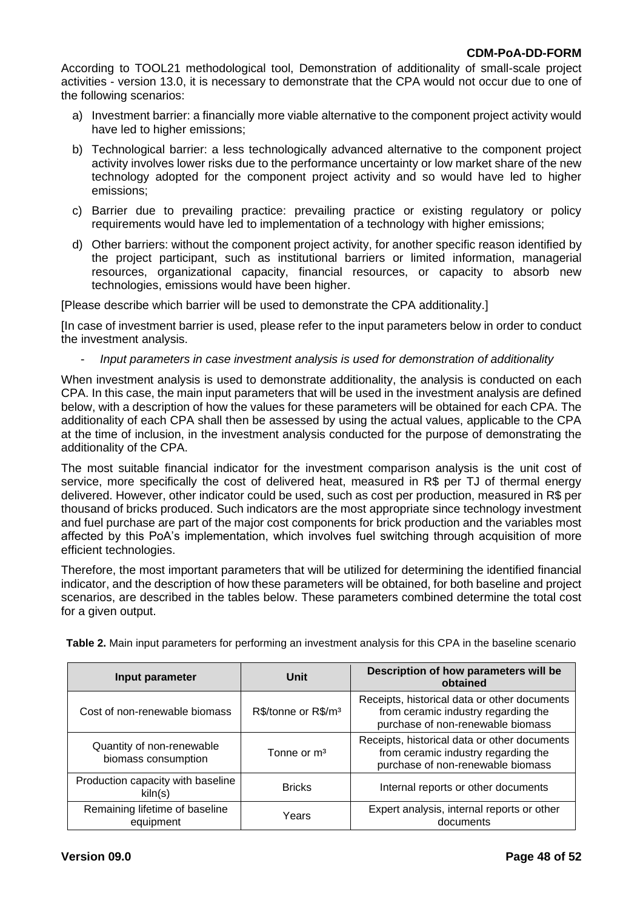According to TOOL21 methodological tool, Demonstration of additionality of small-scale project activities - version 13.0, it is necessary to demonstrate that the CPA would not occur due to one of the following scenarios:

- a) Investment barrier: a financially more viable alternative to the component project activity would have led to higher emissions;
- b) Technological barrier: a less technologically advanced alternative to the component project activity involves lower risks due to the performance uncertainty or low market share of the new technology adopted for the component project activity and so would have led to higher emissions;
- c) Barrier due to prevailing practice: prevailing practice or existing regulatory or policy requirements would have led to implementation of a technology with higher emissions;
- d) Other barriers: without the component project activity, for another specific reason identified by the project participant, such as institutional barriers or limited information, managerial resources, organizational capacity, financial resources, or capacity to absorb new technologies, emissions would have been higher.

[Please describe which barrier will be used to demonstrate the CPA additionality.]

[In case of investment barrier is used, please refer to the input parameters below in order to conduct the investment analysis.

- *Input parameters in case investment analysis is used for demonstration of additionality*

When investment analysis is used to demonstrate additionality, the analysis is conducted on each CPA. In this case, the main input parameters that will be used in the investment analysis are defined below, with a description of how the values for these parameters will be obtained for each CPA. The additionality of each CPA shall then be assessed by using the actual values, applicable to the CPA at the time of inclusion, in the investment analysis conducted for the purpose of demonstrating the additionality of the CPA.

The most suitable financial indicator for the investment comparison analysis is the unit cost of service, more specifically the cost of delivered heat, measured in R\$ per TJ of thermal energy delivered. However, other indicator could be used, such as cost per production, measured in R\$ per thousand of bricks produced. Such indicators are the most appropriate since technology investment and fuel purchase are part of the major cost components for brick production and the variables most affected by this PoA's implementation, which involves fuel switching through acquisition of more efficient technologies.

Therefore, the most important parameters that will be utilized for determining the identified financial indicator, and the description of how these parameters will be obtained, for both baseline and project scenarios, are described in the tables below. These parameters combined determine the total cost for a given output.

| Input parameter                                  | Unit                            | Description of how parameters will be<br>obtained                                                                        |
|--------------------------------------------------|---------------------------------|--------------------------------------------------------------------------------------------------------------------------|
| Cost of non-renewable biomass                    | R\$/tonne or R\$/m <sup>3</sup> | Receipts, historical data or other documents<br>from ceramic industry regarding the<br>purchase of non-renewable biomass |
| Quantity of non-renewable<br>biomass consumption | Tonne or m <sup>3</sup>         | Receipts, historical data or other documents<br>from ceramic industry regarding the<br>purchase of non-renewable biomass |
| Production capacity with baseline<br>kiln(s)     | <b>Bricks</b>                   | Internal reports or other documents                                                                                      |
| Remaining lifetime of baseline<br>equipment      | Years                           | Expert analysis, internal reports or other<br>documents                                                                  |

**Table 2.** Main input parameters for performing an investment analysis for this CPA in the baseline scenario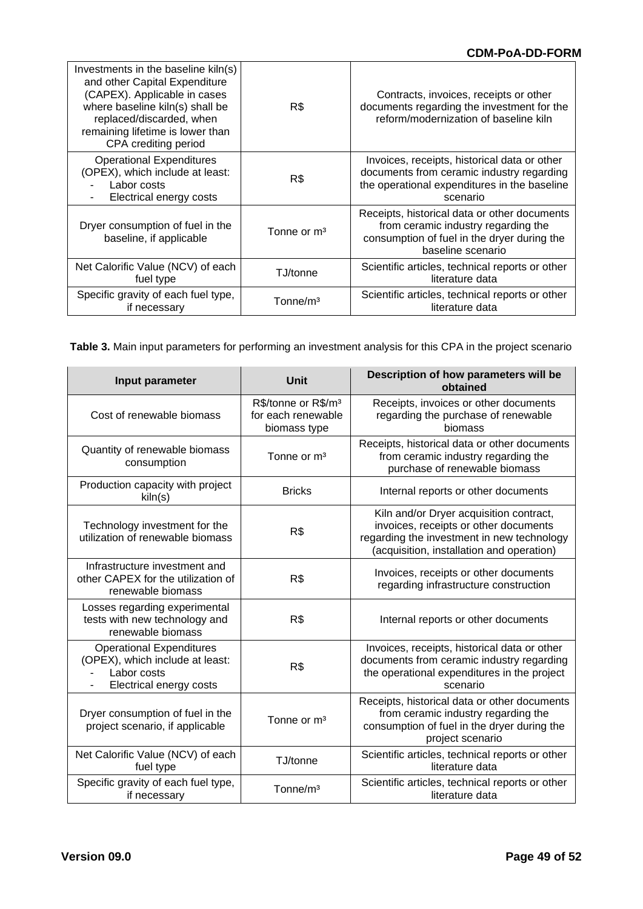| Investments in the baseline kiln(s)<br>and other Capital Expenditure<br>(CAPEX). Applicable in cases<br>where baseline kiln(s) shall be<br>replaced/discarded, when<br>remaining lifetime is lower than<br>CPA crediting period | R\$                     | Contracts, invoices, receipts or other<br>documents regarding the investment for the<br>reform/modernization of baseline kiln                           |
|---------------------------------------------------------------------------------------------------------------------------------------------------------------------------------------------------------------------------------|-------------------------|---------------------------------------------------------------------------------------------------------------------------------------------------------|
| <b>Operational Expenditures</b><br>(OPEX), which include at least:<br>Labor costs<br>Electrical energy costs                                                                                                                    | R\$                     | Invoices, receipts, historical data or other<br>documents from ceramic industry regarding<br>the operational expenditures in the baseline<br>scenario   |
| Dryer consumption of fuel in the<br>baseline, if applicable                                                                                                                                                                     | Tonne or m <sup>3</sup> | Receipts, historical data or other documents<br>from ceramic industry regarding the<br>consumption of fuel in the dryer during the<br>baseline scenario |
| Net Calorific Value (NCV) of each<br>fuel type                                                                                                                                                                                  | TJ/tonne                | Scientific articles, technical reports or other<br>literature data                                                                                      |
| Specific gravity of each fuel type,<br>if necessary                                                                                                                                                                             | Tonne/m <sup>3</sup>    | Scientific articles, technical reports or other<br>literature data                                                                                      |

**Table 3.** Main input parameters for performing an investment analysis for this CPA in the project scenario

| Input parameter                                                                                              | Unit                                                                  | Description of how parameters will be<br>obtained                                                                                                                           |
|--------------------------------------------------------------------------------------------------------------|-----------------------------------------------------------------------|-----------------------------------------------------------------------------------------------------------------------------------------------------------------------------|
| Cost of renewable biomass                                                                                    | R\$/tonne or R\$/m <sup>3</sup><br>for each renewable<br>biomass type | Receipts, invoices or other documents<br>regarding the purchase of renewable<br>biomass                                                                                     |
| Quantity of renewable biomass<br>consumption                                                                 | Tonne or m <sup>3</sup>                                               | Receipts, historical data or other documents<br>from ceramic industry regarding the<br>purchase of renewable biomass                                                        |
| Production capacity with project<br>kiln(s)                                                                  | <b>Bricks</b>                                                         | Internal reports or other documents                                                                                                                                         |
| Technology investment for the<br>utilization of renewable biomass                                            | R\$                                                                   | Kiln and/or Dryer acquisition contract,<br>invoices, receipts or other documents<br>regarding the investment in new technology<br>(acquisition, installation and operation) |
| Infrastructure investment and<br>other CAPEX for the utilization of<br>renewable biomass                     | R\$                                                                   | Invoices, receipts or other documents<br>regarding infrastructure construction                                                                                              |
| Losses regarding experimental<br>tests with new technology and<br>renewable biomass                          | R\$                                                                   | Internal reports or other documents                                                                                                                                         |
| <b>Operational Expenditures</b><br>(OPEX), which include at least:<br>Labor costs<br>Electrical energy costs | R\$                                                                   | Invoices, receipts, historical data or other<br>documents from ceramic industry regarding<br>the operational expenditures in the project<br>scenario                        |
| Dryer consumption of fuel in the<br>project scenario, if applicable                                          | Tonne or m <sup>3</sup>                                               | Receipts, historical data or other documents<br>from ceramic industry regarding the<br>consumption of fuel in the dryer during the<br>project scenario                      |
| Net Calorific Value (NCV) of each<br>fuel type                                                               | TJ/tonne                                                              | Scientific articles, technical reports or other<br>literature data                                                                                                          |
| Specific gravity of each fuel type,<br>if necessary                                                          | Tonne/m <sup>3</sup>                                                  | Scientific articles, technical reports or other<br>literature data                                                                                                          |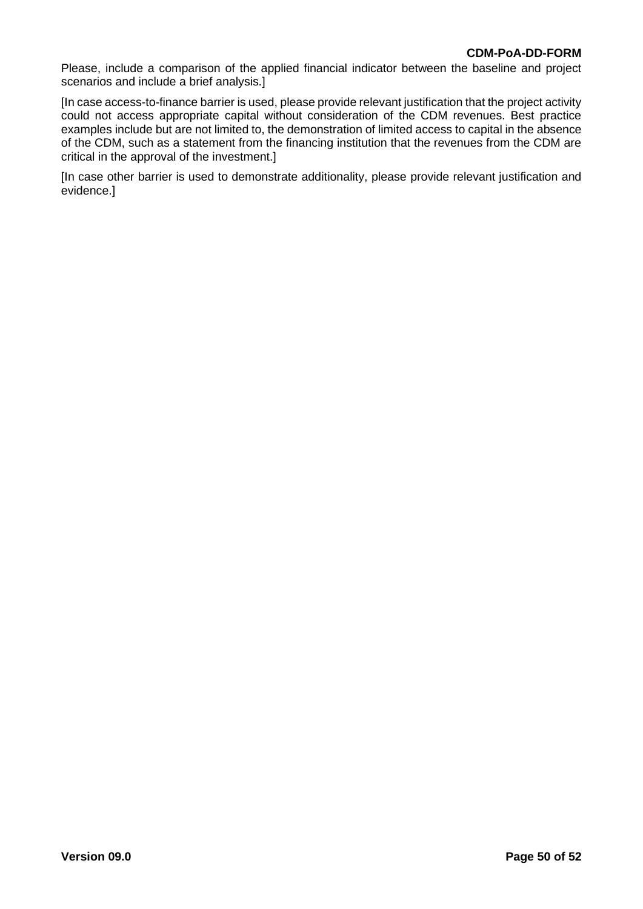Please, include a comparison of the applied financial indicator between the baseline and project scenarios and include a brief analysis.]

[In case access-to-finance barrier is used, please provide relevant justification that the project activity could not access appropriate capital without consideration of the CDM revenues. Best practice examples include but are not limited to, the demonstration of limited access to capital in the absence of the CDM, such as a statement from the financing institution that the revenues from the CDM are critical in the approval of the investment.]

[In case other barrier is used to demonstrate additionality, please provide relevant justification and evidence.]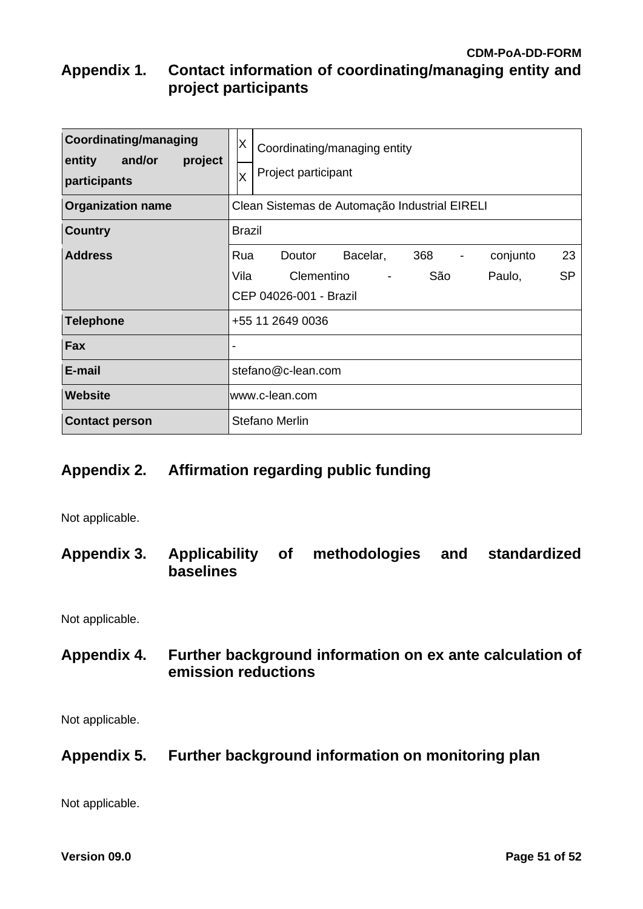# **CDM-PoA-DD-FORM Appendix 1. Contact information of coordinating/managing entity and project participants**

| <b>Coordinating/managing</b><br>and/or<br>entity<br>project<br>participants | X.<br>Coordinating/managing entity<br>Project participant<br>X                                                                                                                 |
|-----------------------------------------------------------------------------|--------------------------------------------------------------------------------------------------------------------------------------------------------------------------------|
| <b>Organization name</b>                                                    | Clean Sistemas de Automação Industrial EIRELI                                                                                                                                  |
| <b>Country</b>                                                              | <b>Brazil</b>                                                                                                                                                                  |
| <b>Address</b>                                                              | Bacelar,<br>368<br>23<br>Rua<br>Doutor<br>conjunto<br>$\overline{\phantom{a}}$<br>São<br><b>SP</b><br>Vila<br>Clementino<br>Paulo,<br>$\blacksquare$<br>CEP 04026-001 - Brazil |
| <b>Telephone</b>                                                            | +55 11 2649 0036                                                                                                                                                               |
| <b>Fax</b>                                                                  |                                                                                                                                                                                |
| E-mail                                                                      | stefano@c-lean.com                                                                                                                                                             |
| Website                                                                     | www.c-lean.com                                                                                                                                                                 |
| <b>Contact person</b>                                                       | <b>Stefano Merlin</b>                                                                                                                                                          |

# **Appendix 2. Affirmation regarding public funding**

Not applicable.

**Appendix 3. Applicability of methodologies and standardized baselines**

Not applicable.

**Appendix 4. Further background information on ex ante calculation of emission reductions**

Not applicable.

**Appendix 5. Further background information on monitoring plan**

Not applicable.